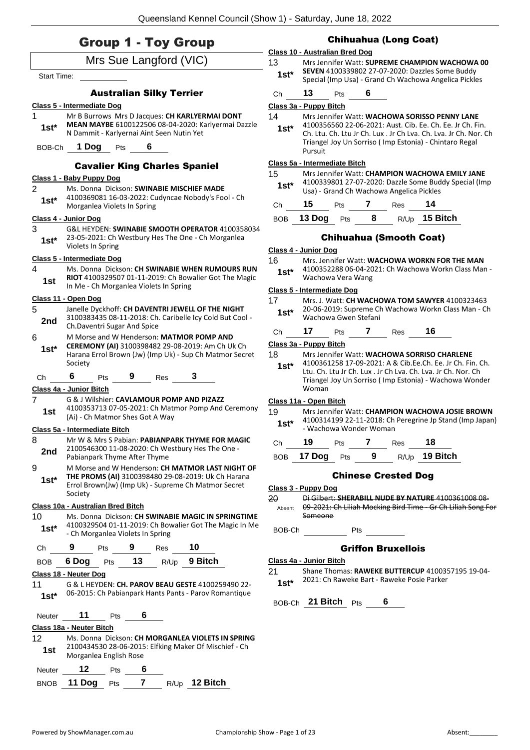|                    | <b>Group 1 - Toy Group</b>                                    |     |                                 |     | <b>Chihuahua (Long Coat)</b>                                                                                  |                                        |         |                        |        |                                            |                                                                                                                                                                                                                                          |
|--------------------|---------------------------------------------------------------|-----|---------------------------------|-----|---------------------------------------------------------------------------------------------------------------|----------------------------------------|---------|------------------------|--------|--------------------------------------------|------------------------------------------------------------------------------------------------------------------------------------------------------------------------------------------------------------------------------------------|
|                    |                                                               |     | Mrs Sue Langford (VIC)          |     |                                                                                                               | Class 10 - Australian Bred Dog<br>13   |         |                        |        |                                            | Mrs Jennifer Watt: SUPREME CHAMPION WACHOWA 00                                                                                                                                                                                           |
| <b>Start Time:</b> |                                                               |     |                                 |     |                                                                                                               | $1st*$                                 |         |                        |        |                                            | SEVEN 4100339802 27-07-2020: Dazzles Some Buddy<br>Special (Imp Usa) - Grand Ch Wachowa Angelica Pickles                                                                                                                                 |
|                    |                                                               |     | <b>Australian Silky Terrier</b> |     |                                                                                                               | Ch                                     | 13      | Pts                    | 6      |                                            |                                                                                                                                                                                                                                          |
|                    | <b>Class 5 - Intermediate Dog</b>                             |     |                                 |     |                                                                                                               | Class 3a - Puppy Bitch                 |         |                        |        |                                            |                                                                                                                                                                                                                                          |
| 1<br>$1st*$        | N Dammit - Karlyernai Aint Seen Nutin Yet<br>BOB-Ch 1 Dog Pts |     | 6                               |     | Mr B Burrows Mrs D Jacques: CH KARLYERMAI DONT<br>MEAN MAYBE 6100122506 08-04-2020: Karlyermai Dazzle         | 14<br>$1st*$                           | Pursuit |                        |        |                                            | Mrs Jennifer Watt: WACHOWA SORISSO PENNY LANE<br>4100356560 22-06-2021: Aust. Cib. Ee. Ch. Ee. Jr Ch. Fin.<br>Ch. Ltu. Ch. Ltu Jr Ch. Lux . Jr Ch Lva. Ch. Lva. Jr Ch. Nor. Ch<br>Triangel Joy Un Sorriso (Imp Estonia) - Chintaro Regal |
|                    |                                                               |     |                                 |     | <b>Cavalier King Charles Spaniel</b>                                                                          | Class 5a - Intermediate Bitch          |         |                        |        |                                            |                                                                                                                                                                                                                                          |
|                    | Class 1 - Baby Puppy Dog                                      |     |                                 |     |                                                                                                               | 15                                     |         |                        |        |                                            | Mrs Jennifer Watt: CHAMPION WACHOWA EMILY JANE                                                                                                                                                                                           |
| 2                  |                                                               |     |                                 |     | Ms. Donna Dickson: SWINABIE MISCHIEF MADE                                                                     | $1st^*$                                |         |                        |        | Usa) - Grand Ch Wachowa Angelica Pickles   | 4100339801 27-07-2020: Dazzle Some Buddy Special (Imp                                                                                                                                                                                    |
| $1st*$             |                                                               |     |                                 |     | 4100369081 16-03-2022: Cudyncae Nobody's Fool - Ch                                                            |                                        | 15      | Pts                    | 7      | <b>Res</b>                                 | 14                                                                                                                                                                                                                                       |
|                    | Morganlea Violets In Spring<br>Class 4 - Junior Dog           |     |                                 |     |                                                                                                               | Ch                                     |         | <b>13 Dog</b> Pts 8    |        |                                            | R/Up 15 Bitch                                                                                                                                                                                                                            |
| 3                  |                                                               |     |                                 |     | G&L HEYDEN: SWINABIE SMOOTH OPERATOR 4100358034                                                               | <b>BOB</b>                             |         |                        |        |                                            |                                                                                                                                                                                                                                          |
| $1st^*$            | Violets In Spring                                             |     |                                 |     | 23-05-2021: Ch Westbury Hes The One - Ch Morganlea                                                            |                                        |         |                        |        | <b>Chihuahua (Smooth Coat)</b>             |                                                                                                                                                                                                                                          |
|                    | Class 5 - Intermediate Dog                                    |     |                                 |     |                                                                                                               | Class 4 - Junior Dog<br>16             |         |                        |        |                                            | Mrs. Jennifer Watt: WACHOWA WORKN FOR THE MAN                                                                                                                                                                                            |
| 4<br>1st           |                                                               |     |                                 |     | Ms. Donna Dickson: CH SWINABIE WHEN RUMOURS RUN<br>RIOT 4100329507 01-11-2019: Ch Bowalier Got The Magic      | $1st*$                                 |         | Wachowa Vera Wang      |        |                                            | 4100352288 06-04-2021: Ch Wachowa Workn Class Man -                                                                                                                                                                                      |
|                    | In Me - Ch Morganlea Violets In Spring                        |     |                                 |     |                                                                                                               | Class 5 - Intermediate Dog             |         |                        |        |                                            |                                                                                                                                                                                                                                          |
| 5<br>2nd           | Class 11 - Open Dog                                           |     |                                 |     | Janelle Dyckhoff: CH DAVENTRI JEWELL OF THE NIGHT<br>3100383435 08-11-2018: Ch. Caribelle Icy Cold But Cool - | 17<br>$1st*$                           |         | Wachowa Gwen Stefani   |        |                                            | Mrs. J. Watt: CH WACHOWA TOM SAWYER 4100323463<br>20-06-2019: Supreme Ch Wachowa Workn Class Man - Ch                                                                                                                                    |
| $6\phantom{1}$     | Ch.Daventri Sugar And Spice                                   |     |                                 |     | M Morse and W Henderson: MATMOR POMP AND                                                                      | Ch                                     | 17      | <b>Pts</b>             | 7      | Res                                        | 16                                                                                                                                                                                                                                       |
| $1st*$             | Society                                                       |     |                                 |     | CEREMONY (AI) 3100398482 29-08-2019: Am Ch Uk Ch<br>Harana Errol Brown (Jw) (Imp Uk) - Sup Ch Matmor Secret   | Class 3a - Puppy Bitch<br>18<br>$1st*$ |         |                        |        |                                            | Mrs Jennifer Watt: WACHOWA SORRISO CHARLENE<br>4100361258 17-09-2021: A & Cib.Ee.Ch. Ee. Jr Ch. Fin. Ch.                                                                                                                                 |
| Ch                 | 6<br>Class 4a - Junior Bitch                                  | Pts | 9                               | Res | 3                                                                                                             |                                        | Woman   |                        |        |                                            | Ltu. Ch. Ltu Jr Ch. Lux. Jr Ch Lva. Ch. Lva. Jr Ch. Nor. Ch<br>Triangel Joy Un Sorriso (Imp Estonia) - Wachowa Wonder                                                                                                                    |
| 7                  |                                                               |     |                                 |     | G & J Wilshier: CAVLAMOUR POMP AND PIZAZZ                                                                     | Class 11a - Open Bitch                 |         |                        |        |                                            |                                                                                                                                                                                                                                          |
| 1st                | (Ai) - Ch Matmor Shes Got A Way                               |     |                                 |     | 4100353713 07-05-2021: Ch Matmor Pomp And Ceremony                                                            | 19<br>$1st^*$                          |         |                        |        |                                            | Mrs Jennifer Watt: CHAMPION WACHOWA JOSIE BROWN<br>4100314199 22-11-2018: Ch Peregrine Jp Stand (Imp Japan)                                                                                                                              |
|                    | Class 5a - Intermediate Bitch                                 |     |                                 |     |                                                                                                               |                                        |         | - Wachowa Wonder Woman |        |                                            |                                                                                                                                                                                                                                          |
| 8<br>2nd           | Pabianpark Thyme After Thyme                                  |     |                                 |     | Mr W & Mrs S Pabian: PABIANPARK THYME FOR MAGIC<br>2100546300 11-08-2020: Ch Westbury Hes The One -           | Ch<br><b>BOB</b>                       | 19      | Pts<br>17 Dog Pts      | 7<br>9 | Res                                        | 18<br>R/Up 19 Bitch                                                                                                                                                                                                                      |
| 9                  |                                                               |     |                                 |     | M Morse and W Henderson: CH MATMOR LAST NIGHT OF                                                              |                                        |         |                        |        |                                            |                                                                                                                                                                                                                                          |
| $1st^*$            |                                                               |     |                                 |     | THE PROMS (AI) 3100398480 29-08-2019: Uk Ch Harana<br>Errol Brown(Jw) (Imp Uk) - Supreme Ch Matmor Secret     | Class 3 - Puppy Dog                    |         |                        |        | <b>Chinese Crested Dog</b>                 |                                                                                                                                                                                                                                          |
|                    | Society                                                       |     |                                 |     |                                                                                                               | $20 \,$                                |         |                        |        |                                            | Di Gilbert: SHERABILL NUDE BY NATURE 4100361008 08-                                                                                                                                                                                      |
| 10                 | Class 10a - Australian Bred Bitch                             |     |                                 |     | Ms. Donna Dickson: CH SWINABIE MAGIC IN SPRINGTIME                                                            |                                        | Someone |                        |        |                                            | Absent 09-2021: Ch Liliah Mocking Bird Time - Gr Ch Liliah Song For                                                                                                                                                                      |
| $1st^*$            | - Ch Morganlea Violets In Spring                              |     |                                 |     | 4100329504 01-11-2019: Ch Bowalier Got The Magic In Me                                                        | BOB-Ch                                 |         | <b>Pts</b>             |        |                                            |                                                                                                                                                                                                                                          |
| Ch                 | 9                                                             |     | Pts 9 Res 10                    |     |                                                                                                               |                                        |         |                        |        | <b>Griffon Bruxellois</b>                  |                                                                                                                                                                                                                                          |
| <b>BOB</b>         | 6 Dog                                                         | Pts |                                 |     | 13 R/Up 9 Bitch                                                                                               | Class 4a - Junior Bitch                |         |                        |        |                                            |                                                                                                                                                                                                                                          |
| 11                 | Class 18 - Neuter Dog                                         |     |                                 |     | G & L HEYDEN: CH. PAROV BEAU GESTE 4100259490 22-                                                             | 21<br>$1st*$                           |         |                        |        | 2021: Ch Raweke Bart - Raweke Posie Parker | Shane Thomas: RAWEKE BUTTERCUP 4100357195 19-04-                                                                                                                                                                                         |
| $1st*$             |                                                               |     |                                 |     | 06-2015: Ch Pabianpark Hants Pants - Parov Romantique                                                         |                                        |         | BOB-Ch 21 Bitch Pts 6  |        |                                            |                                                                                                                                                                                                                                          |
| Neuter             | 11                                                            | Pts | 6                               |     |                                                                                                               |                                        |         |                        |        |                                            |                                                                                                                                                                                                                                          |
|                    | Class 18a - Neuter Bitch                                      |     |                                 |     |                                                                                                               |                                        |         |                        |        |                                            |                                                                                                                                                                                                                                          |
| 12                 |                                                               |     |                                 |     | Ms. Donna Dickson: CH MORGANLEA VIOLETS IN SPRING                                                             |                                        |         |                        |        |                                            |                                                                                                                                                                                                                                          |
| 1st                | Morganlea English Rose                                        |     |                                 |     | 2100434530 28-06-2015: Elfking Maker Of Mischief - Ch                                                         |                                        |         |                        |        |                                            |                                                                                                                                                                                                                                          |
| Neuter             | 12 <sup>1</sup>                                               | Pts | 6                               |     |                                                                                                               |                                        |         |                        |        |                                            |                                                                                                                                                                                                                                          |
|                    | 11 Dog Pts                                                    |     | $\overline{7}$                  |     | R/Up 12 Bitch                                                                                                 |                                        |         |                        |        |                                            |                                                                                                                                                                                                                                          |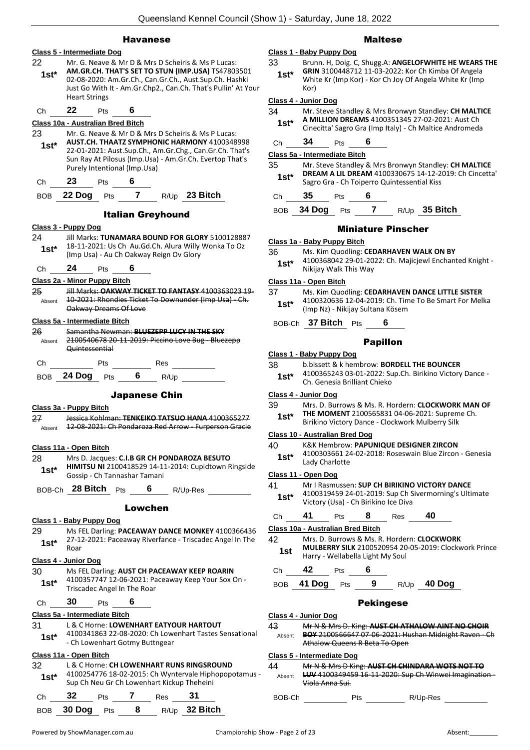### Havanese

|                 | Class 5 - Intermediate Dog                                                                                                                                                                                                                               |
|-----------------|----------------------------------------------------------------------------------------------------------------------------------------------------------------------------------------------------------------------------------------------------------|
| 22<br>$1st*$    | Mr. G. Neave & Mr D & Mrs D Scheiris & Ms P Lucas:<br>AM.GR.CH. THAT'S SET TO STUN (IMP.USA) TS47803501<br>02-08-2020: Am.Gr.Ch., Can.Gr.Ch., Aust.Sup.Ch. Hashki                                                                                        |
|                 | Just Go With It - Am.Gr.Chp2., Can.Ch. That's Pullin' At Your<br><b>Heart Strings</b>                                                                                                                                                                    |
| Ch              | 22<br>Pts 6                                                                                                                                                                                                                                              |
|                 | Class 10a - Australian Bred Bitch                                                                                                                                                                                                                        |
| 23<br>$1st^*$   | Mr. G. Neave & Mr D & Mrs D Scheiris & Ms P Lucas:<br>AUST.CH. THAATZ SYMPHONIC HARMONY 4100348998<br>22-01-2021: Aust.Sup.Ch., Am.Gr.Chg., Can.Gr.Ch. That's<br>Sun Ray At Pilosus (Imp.Usa) - Am.Gr.Ch. Evertop That's<br>Purely Intentional (Imp.Usa) |
|                 | Ch 23 Pts 6                                                                                                                                                                                                                                              |
|                 | BOB 22 Dog Pts 7 R/Up 23 Bitch                                                                                                                                                                                                                           |
|                 | <b>Italian Greyhound</b>                                                                                                                                                                                                                                 |
|                 | <u> Class 3 - Puppy Dog</u>                                                                                                                                                                                                                              |
| 24<br>1st*      | Jill Marks: TUNAMARA BOUND FOR GLORY 5100128887<br>18-11-2021: Us Ch Au.Gd.Ch. Alura Willy Wonka To Oz<br>(Imp Usa) - Au Ch Oakway Reign Ov Glory                                                                                                        |
|                 | Ch 24 Pts 6                                                                                                                                                                                                                                              |
|                 | Class 2a - Minor Puppy Bitch                                                                                                                                                                                                                             |
| 25<br>Absent    | Jill Marks: OAKWAY TICKET TO FANTASY 4100363023 19-<br>10-2021: Rhondies Ticket To Downunder (Imp Usa) Ch.<br>Oakway Dreams Of Love                                                                                                                      |
|                 | Class 5a - Intermediate Bitch                                                                                                                                                                                                                            |
| 26<br>Absent    | Samantha Newman: BLUEZEPP LUCY IN THE SKY<br>2100540678 20-11-2019: Piccino Love Bug - Bluezepp<br>Quintessential                                                                                                                                        |
| Ch              |                                                                                                                                                                                                                                                          |
|                 | BOB 24 Dog Pts 6 R/Up                                                                                                                                                                                                                                    |
|                 |                                                                                                                                                                                                                                                          |
|                 |                                                                                                                                                                                                                                                          |
|                 | <b>Japanese Chin</b>                                                                                                                                                                                                                                     |
|                 | Class 3a - Puppy Bitch                                                                                                                                                                                                                                   |
| 27<br>Absent    | Jessica Kohlman: TENKEIKO TATSUO HANA 4100365277<br>12-08-2021: Ch Pondaroza Red Arrow - Furperson Gracie                                                                                                                                                |
|                 |                                                                                                                                                                                                                                                          |
|                 | Class 11a - Open Bitch                                                                                                                                                                                                                                   |
| 28 -<br>$1st^*$ | Mrs D. Jacques: C.I.B GR CH PONDAROZA BESUTO<br>HIMITSU NI 2100418529 14-11-2014: Cupidtown Ringside<br>Gossip - Ch Tannashar Tamani                                                                                                                     |
|                 | BOB-Ch 28 Bitch Pts<br>6 $R/Up-Res$                                                                                                                                                                                                                      |
|                 |                                                                                                                                                                                                                                                          |
|                 | Lowchen                                                                                                                                                                                                                                                  |
| 29              | Class 1 - Baby Puppy Dog<br>Ms FEL Darling: PACEAWAY DANCE MONKEY 4100366436                                                                                                                                                                             |
| 1st*            | 27-12-2021: Paceaway Riverfance - Triscadec Angel In The<br>Roar                                                                                                                                                                                         |
|                 | Class 4 - Junior Dog                                                                                                                                                                                                                                     |
| 30              | Ms FEL Darling: AUST CH PACEAWAY KEEP ROARIN                                                                                                                                                                                                             |
| $1st*$          | 4100357747 12-06-2021: Paceaway Keep Your Sox On -<br>Triscadec Angel In The Roar                                                                                                                                                                        |
| Сh              | 30<br>6<br>Pts                                                                                                                                                                                                                                           |
|                 | Class 5a - Intermediate Bitch                                                                                                                                                                                                                            |
| 31              | L & C Horne: LOWENHART EATYOUR HARTOUT                                                                                                                                                                                                                   |
| 1st*            | 4100341863 22-08-2020: Ch Lowenhart Tastes Sensational<br>- Ch Lowenhart Gotmy Buttngear                                                                                                                                                                 |
|                 | Class 11a - Open Bitch                                                                                                                                                                                                                                   |
| 32              | L & C Horne: CH LOWENHART RUNS RINGSROUND                                                                                                                                                                                                                |
| $1st^*$         | 4100254776 18-02-2015: Ch Wyntervale Hiphopopotamus -<br>Sup Ch Neu Gr Ch Lowenhart Kickup Theheini<br>Ch 32 Pts 7 Res 31                                                                                                                                |

## Maltese

#### **Class 1 - Baby Puppy Dog** 33 Brunn. H, Doig. C, Shugg.A: **ANGELOFWHITE HE WEARS THE GRIN** 3100448712 11-03-2022: Kor Ch Kimba Of Angela White Kr (Imp Kor) - Kor Ch Joy Of Angela White Kr (Imp Kor) **1st\***

#### **Class 4 - Junior Dog**

| 34 | Mr. Steve Standley & Mrs Bronwyn Standley: CH MALTICE |
|----|-------------------------------------------------------|
|    | A BAILLIAN BREASAC 44000E404E 07.00.0004 A  LCL       |

| $1st*$ | A MILLION DREAMS 4100351345 27-02-2021: Aust Ch         |
|--------|---------------------------------------------------------|
|        | Cinecitta' Sagro Gra (Imp Italy) - Ch Maltice Andromeda |

#### Ch **34** Pts **6**

#### **Class 5a - Intermediate Bitch**

| 35     | Mr. Steve Standley & Mrs Bronwyn Standley: CH MALTICE |
|--------|-------------------------------------------------------|
| $1st*$ | DREAM A LIL DREAM 4100330675 14-12-2019: Ch Cincetta' |
|        | Sagro Gra - Ch Toiperro Quintessential Kiss           |

Ch **35** Pts **6**

BOB **34 Dog** Pts **7** R/Up **35 Bitch**

#### Miniature Pinscher

#### **Class 1a - Baby Puppy Bitch**

- 36 Ms. Kim Quodling: **CEDARHAVEN WALK ON BY**
- 4100368042 29-01-2022: Ch. Majicjewl Enchanted Knight Nikijay Walk This Way **1st\***

#### **Class 11a - Open Bitch**

- 37 Ms. Kim Quodling: **CEDARHAVEN DANCE LITTLE SISTER** 4100320636 12-04-2019: Ch. Time To Be Smart For Melka (Imp Nz) - Nikijay Sultana Kösem **1st\***
- BOB-Ch **37 Bitch** Pts **6**

#### Papillon

- **Class 1 - Baby Puppy Dog**
- 38 b.bissett & k hembrow: **BORDELL THE BOUNCER**
	- 4100365243 03-01-2022: Sup.Ch. Birikino Victory Dance Ch. Genesia Brilliant Chieko **1st\***

#### **Class 4 - Junior Dog**

#### 39 Mrs. D. Burrows & Ms. R. Hordern: **CLOCKWORK MAN OF THE MOMENT** 2100565831 04-06-2021: Supreme Ch.

**1st\* IHE MUMENT ZIUUSSSSSI U4-06-2021:** Suprem

#### **Class 10 - Australian Bred Dog**

- 40 K&K Hembrow: **PAPUNIQUE DESIGNER ZIRCON**
- 4100303661 24-02-2018: Roseswain Blue Zircon Genesia Lady Charlotte **1st\***

#### **Class 11 - Open Dog**

- 41 Mr I Rasmussen: **SUP CH BIRIKINO VICTORY DANCE** 4100319459 24-01-2019: Sup Ch Sivermorning's Ultimate
- **1st**\* 4100319459 24-01-2019: Sup Cn State Microsy (Usa) Ch Birikino Ice Diva

$$
\begin{array}{cccc}\n\text{Ch} & 41 & \text{Pts} & 8 & \text{Res} & 40\n\end{array}
$$

#### **Class 10a - Australian Bred Bitch**

42 Mrs. D. Burrows & Ms. R. Hordern: **CLOCKWORK MULBERRY SILK** 2100520954 20-05-2019: Clockwork Prince **1st MULBERRY SILK 2100520954 20<br>Harry - Wellabella Light My Soul** 

| $\sim$ $\sim$ | $-$      | $\sim$ |  |
|---------------|----------|--------|--|
|               | $\cdots$ |        |  |

BOB **41 Dog** Pts **9** R/Up **40 Dog**

#### Pekingese

- **Class 4 - Junior Dog** 43 Mr N & Mrs D. King: **AUST CH ATHALOW AINT NO CHOIR BOY** 2100566647 07-06-2021: Hushan Midnight Raven - Ch Athalow Queens R Beta To Open Absent **Class 5 - Intermediate Dog** 44 Mr N & Mrs D King: **AUST CH CHINDARA WOTS NOT TO** 
	- **LUV** 4100349459 16-11-2020: Sup Ch Winwei Imagination Viola Anna Sui. Absent

BOB-Ch Pts R/Up-Res

| Class 11a - Open Bitch        |                                                                                                                          |     |  |                                                                                          |     |          |  |
|-------------------------------|--------------------------------------------------------------------------------------------------------------------------|-----|--|------------------------------------------------------------------------------------------|-----|----------|--|
| 28<br>1st*                    | Mrs D. Jacques: C.I.B GR CH PONDAROZA BESU<br>HIMITSU NI 2100418529 14-11-2014: Cupidtow<br>Gossip - Ch Tannashar Tamani |     |  |                                                                                          |     |          |  |
| BOB-Ch 28 Bitch Pts           |                                                                                                                          |     |  | $6\degree$                                                                               |     | R/Up-Res |  |
|                               |                                                                                                                          |     |  | Lowchen                                                                                  |     |          |  |
| Class 1 - Baby Puppy Dog      |                                                                                                                          |     |  |                                                                                          |     |          |  |
| 29                            |                                                                                                                          |     |  | Ms FEL Darling: PACEAWAY DANCE MONKEY 4                                                  |     |          |  |
| $1st^*$                       | Roar                                                                                                                     |     |  | 27-12-2021: Paceaway Riverfance - Triscadec A                                            |     |          |  |
| Class 4 - Junior Dog          |                                                                                                                          |     |  |                                                                                          |     |          |  |
| 30                            |                                                                                                                          |     |  | Ms FEL Darling: AUST CH PACEAWAY KEEP ROA                                                |     |          |  |
| $1st^*$                       |                                                                                                                          |     |  | 4100357747 12-06-2021: Paceaway Keep Your !<br>Triscadec Angel In The Roar               |     |          |  |
| Сh                            | 30                                                                                                                       | Pts |  | 6                                                                                        |     |          |  |
| Class 5a - Intermediate Bitch |                                                                                                                          |     |  |                                                                                          |     |          |  |
| 31                            |                                                                                                                          |     |  | L & C Horne: LOWENHART EATYOUR HARTOUT                                                   |     |          |  |
| 1st*                          |                                                                                                                          |     |  | 4100341863 22-08-2020: Ch Lowenhart Tastes<br>- Ch Lowenhart Gotmy Buttngear             |     |          |  |
| Class 11a - Open Bitch        |                                                                                                                          |     |  |                                                                                          |     |          |  |
| 32                            |                                                                                                                          |     |  | L & C Horne: CH LOWENHART RUNS RINGSROU                                                  |     |          |  |
| $1st^*$                       |                                                                                                                          |     |  | 4100254776 18-02-2015: Ch Wyntervale Hipho<br>Sup Ch Neu Gr Ch Lowenhart Kickup Theheini |     |          |  |
| Ch                            | 32                                                                                                                       | Pts |  | 7                                                                                        | Res | 31       |  |

BOB **30 Dog** Pts **8** R/Up **32 Bitch**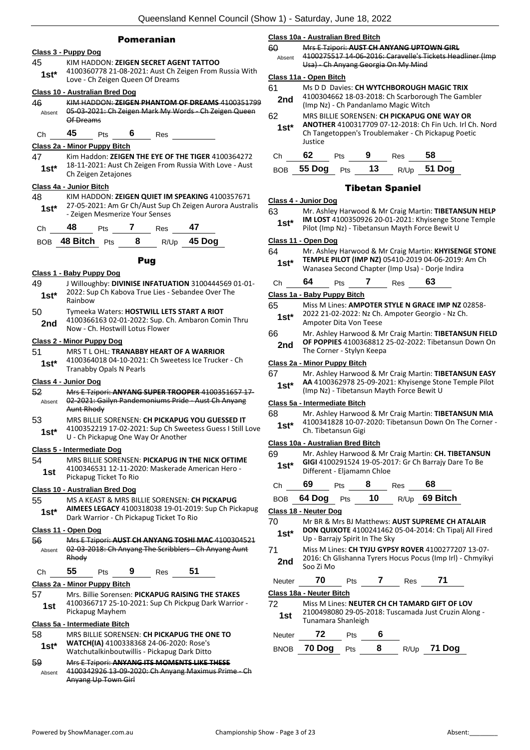#### Pomeranian

### **Class 3 - Puppy Dog**

45 KIM HADDON: **ZEIGEN SECRET AGENT TATTOO** 4100360778 21-08-2021: Aust Ch Zeigen From Russia With Love - Ch Zeigen Queen Of Dreams **1st\***

#### **Class 10 - Australian Bred Dog**

46 KIM HADDON: **ZEIGEN PHANTOM OF DREAMS** 4100351799 05-03-2021: Ch Zeigen Mark My Words - Ch Zeigen Queen Of Dreams Absent

Ch **45** Pts **6** Res

#### **Class 2a - Minor Puppy Bitch**

47 Kim Haddon: **ZEIGEN THE EYE OF THE TIGER** 4100364272 18-11-2021: Aust Ch Zeigen From Russia With Love - Aust **1st** <sup>10-11-2021: Aust Ch Zeigen Zetajones</sup>

#### **Class 4a - Junior Bitch**

48 KIM HADDON: **ZEIGEN QUIET IM SPEAKING** 4100357671 27-05-2021: Am Gr Ch/Aust Sup Ch Zeigen Aurora Australis 1st\* 27-05-2021: Am Gr Ch/Aust Sup<br>Zeigen Mesmerize Your Senses

| Ch | 48 | Pts |  | Res | 47 |
|----|----|-----|--|-----|----|
|----|----|-----|--|-----|----|

| BOB $48$ Bitch $P$ ts |  | $R/Up$ 45 Dog |
|-----------------------|--|---------------|
|                       |  |               |

Pug

#### **Class 1 - Baby Puppy Dog**

- 49 J Willoughby: **DIVINISE INFATUATION** 3100444569 01-01- 2022: Sup Ch Kabova True Lies - Sebandee Over The 1st<sup>\*</sup> <sup>2022:</sup> 20
- 50 Tymeeka Waters: **HOSTWILL LETS START A RIOT** 4100366163 02-01-2022: Sup. Ch. Ambaron Comin Thru **2nd** 4100366163 02-01-2022: Sup. C

#### **Class 2 - Minor Puppy Dog**

51 MRS T L OHL: **TRANABBY HEART OF A WARRIOR** 4100364018 04-10-2021: Ch Sweetess Ice Trucker - Ch Tranabby Opals N Pearls **1st\***

#### **Class 4 - Junior Dog**

- 52 Mrs E Tzipori: **ANYANG SUPER TROOPER** 4100351657 17- 02-2021: Gailyn Pandemoniums Pride - Aust Ch Anyang Aunt Rhody Absent
- 53 MRS BILLIE SORENSEN: **CH PICKAPUG YOU GUESSED IT**
- 4100352219 17-02-2021: Sup Ch Sweetess Guess I Still Love **1st** 4100352219 17-02-2021: Sup Ch Swe<br>U - Ch Pickapug One Way Or Another

#### **Class 5 - Intermediate Dog**

54 MRS BILLIE SORENSEN: **PICKAPUG IN THE NICK OFTIME** 4100346531 12-11-2020: Maskerade American Hero - **1st** <sup>4100346531 12-11-20</sup>

#### **Class 10 - Australian Bred Dog**

55 MS A KEAST & MRS BILLIE SORENSEN: **CH PICKAPUG AIMEES LEGACY** 4100318038 19-01-2019: Sup Ch Pickapug Dark Warrior - Ch Pickapug Ticket To Rio **1st\***

#### **Class 11 - Open Dog**

56 Mrs E Tzipori: **AUST CH ANYANG TOSHI MAC** 4100304521 02-03-2018: Ch Anyang The Scribblers - Ch Anyang Aunt Rhody Absent

| . .n | - -<br>כו | ເວ | ٠ | ₹es |  |
|------|-----------|----|---|-----|--|
|------|-----------|----|---|-----|--|

#### **Class 2a - Minor Puppy Bitch**

57 Mrs. Billie Sorensen: **PICKAPUG RAISING THE STAKES** 4100366717 25-10-2021: Sup Ch Pickpug Dark Warrior - 1st <sup>4100500717</sup><br>Pickapug Mayhem

#### **Class 5a - Intermediate Bitch**

| 58<br>$1st*$  | MRS BILLIE SORENSEN: CH PICKAPUG THE ONE TO<br>WATCH(IA) 4100338368 24-06-2020: Rose's<br>Watchutalkinboutwillis - Pickapug Dark Ditto |
|---------------|----------------------------------------------------------------------------------------------------------------------------------------|
| 59            | Mrs E Tzipori: ANYANG ITS MOMENTS LIKE THESE                                                                                           |
| $A$ is a suit | 1100312026 13-00-2020: Ch Anyang Maximus Prime                                                                                         |

0<del>:</del> Ch Anyang Maximus Prime - Ch Anyang Up Town Girl Absent

**Class 10a - Australian Bred Bitch**

60 Mrs E Tzipori: **AUST CH ANYANG UPTOWN GIRL** 4100275517 14-06-2016: Caravelle's Tickets Headliner (Imp Usa) - Ch Anyang Georgia On My Mind Absent

#### **Class 11a - Open Bitch**

- 61 Ms D D Davies: **CH WYTCHBOROUGH MAGIC TRIX** 4100304662 18-03-2018: Ch Scarborough The Gambler
	- (Imp Nz) Ch Pandanlamo Magic Witch **2nd**
- 62 MRS BILLIE SORENSEN: **CH PICKAPUG ONE WAY OR** 
	- **ANOTHER** 4100317709 07-12-2018: Ch Fin Uch. Irl Ch. Nord Ch Tangetoppen's Troublemaker - Ch Pickapug Poetic Justice **1st\***

| Ch 62 Pts 9 Res 58 |  |                                 |
|--------------------|--|---------------------------------|
|                    |  | BOB 55 Dog Pts $13$ R/Up 51 Dog |

#### Tibetan Spaniel

#### **Class 4 - Junior Dog**

63 Mr. Ashley Harwood & Mr Craig Martin: **TIBETANSUN HELP IM LOST** 4100350926 20-01-2021: Khyisenge Stone Temple Pilot (Imp Nz) - Tibetansun Mayth Force Bewit U **1st\***

#### **Class 11 - Open Dog**

64 Mr. Ashley Harwood & Mr Craig Martin: **KHYISENGE STONE TEMPLE PILOT (IMP NZ)** 05410-2019 04-06-2019: Am Ch Wanasea Second Chapter (Imp Usa) - Dorje Indira **1st\***

| Л |  | , 29 | 13 |  |
|---|--|------|----|--|
|   |  |      |    |  |

#### **Class 1a - Baby Puppy Bitch**

- 65 Miss M Lines: **AMPOTER STYLE N GRACE IMP NZ** 02858- 2022 21-02-2022: Nz Ch. Ampoter Georgio - Nz Ch. **1st**\* 2022 21-02-2022: NZ Ch.<br>Ampoter Dita Von Teese
- 66 Mr. Ashley Harwood & Mr Craig Martin: **TIBETANSUN FIELD OF POPPIES** 4100368812 25-02-2022: Tibetansun Down On
	- **2nd DF PUPPIES** 4100368812

## **Class 2a - Minor Puppy Bitch**

67 Mr. Ashley Harwood & Mr Craig Martin: **TIBETANSUN EASY AA** 4100362978 25-09-2021: Khyisenge Stone Temple Pilot

(Imp Nz) - Tibetansun Mayth Force Bewit U **1st\***

#### **Class 5a - Intermediate Bitch**

- 68 Mr. Ashley Harwood & Mr Craig Martin: **TIBETANSUN MIA**
	- 4100341828 10-07-2020: Tibetansun Down On The Corner **1st**\* 4100341828 10-07<br>Ch. Tibetansun Gigi

#### **Class 10a - Australian Bred Bitch**

69 Mr. Ashley Harwood & Mr Craig Martin: **CH. TIBETANSUN GIGI** 4100291524 19-05-2017: Gr Ch Barrajy Dare To Be Different - Eljamamn Chloe **1st\***

| Ch | 69 Pts 8 |  | Res | 68                                |  |
|----|----------|--|-----|-----------------------------------|--|
|    |          |  |     | BOB 64 Dog Pts 10 $R/Up$ 69 Bitch |  |

#### **Class 18 - Neuter Dog**

- 70 Mr BR & Mrs BJ Matthews: **AUST SUPREME CH ATALAIR DON QUIXOTE** 4100241462 05-04-2014: Ch Tipalj All Fired **1st\* DON QUIXOTE** 4100241462<br>Up - Barrajy Spirit In The Sky 71 Miss M Lines: **CH TYJU GYPSY ROVER** 4100277207 13-07-
- 2016: Ch Glishanna Tyrers Hocus Pocus (Imp Irl) Chmyikyi **2nd** <sup>2016: Cn G</sup><br>Soo Zi Mo

| <b>Neuter</b> |                          |  | Res |  |
|---------------|--------------------------|--|-----|--|
|               | Class 18a - Neuter Bitch |  |     |  |

| 72  | Miss M Lines: NEUTER CH CH TAMARD GIFT OF LOV        |
|-----|------------------------------------------------------|
| 1st | 2100498080 29-05-2018: Tuscamada Just Cruzin Along - |
|     | Tunamara Shanleigh                                   |

| Neuter | ΊS |  |
|--------|----|--|
|        |    |  |

| BNOB 70 Dog Pts |  | R/Up <b>71 Dog</b> |
|-----------------|--|--------------------|
|                 |  |                    |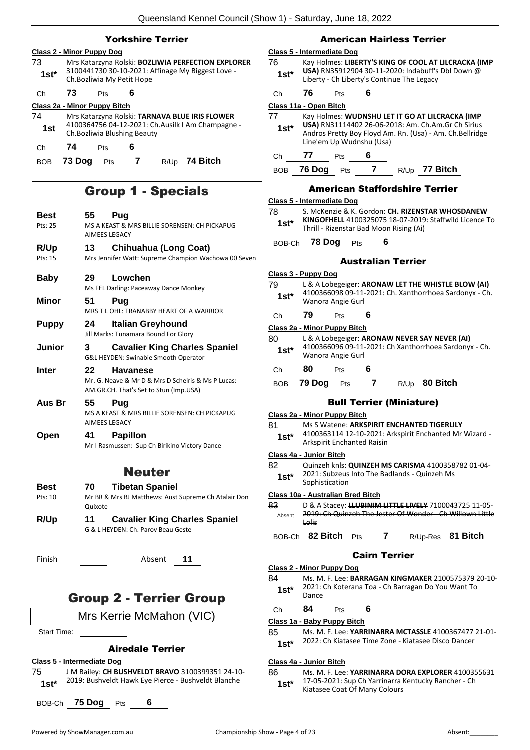## Yorkshire Terrier

## **Class 2 - Minor Puppy Dog**

- 73 Mrs Katarzyna Rolski: **BOZLIWIA PERFECTION EXPLORER** 3100441730 30-10-2021: Affinage My Biggest Love - **1st** <sup>3100441730 30-10-2021: A<br>Ch.Bozliwia My Petit Hope</sup> Ch **73** Pts **6 Class 2a - Minor Puppy Bitch**
- 74 Mrs Katarzyna Rolski: **TARNAVA BLUE IRIS FLOWER** 4100364756 04-12-2021: Ch.Ausilk I Am Champagne - **1st** <sup>4100364756 04-12-2021: Ch.<br>Ch.Bozliwia Blushing Beauty</sup> Ch **74** Pts **6**

BOB **73 Dog** Pts **7** R/Up **74 Bitch**

## Group 1 - Specials

| Best<br>Pts: 25        | 55<br>AIMEES LEGACY        | Pug<br>MS A KEAST & MRS BILLIE SORENSEN: CH PICKAPUG                                                            |
|------------------------|----------------------------|-----------------------------------------------------------------------------------------------------------------|
| R/Up<br>Pts: 15        | 13                         | <b>Chihuahua (Long Coat)</b><br>Mrs Jennifer Watt: Supreme Champion Wachowa 00 Seven                            |
| <b>Baby</b>            | 29                         | Lowchen<br>Ms FEL Darling: Paceaway Dance Monkey                                                                |
| <b>Minor</b>           | 51                         | Pug<br>MRS T L OHL: TRANABBY HEART OF A WARRIOR                                                                 |
| <b>Puppy</b>           | 24                         | <b>Italian Greyhound</b><br>Jill Marks: Tunamara Bound For Glory                                                |
| Junior                 | 3                          | <b>Cavalier King Charles Spaniel</b><br>G&L HEYDEN: Swinabie Smooth Operator                                    |
| Inter                  | 22                         | <b>Havanese</b><br>Mr. G. Neave & Mr D & Mrs D Scheiris & Ms P Lucas:<br>AM.GR.CH. That's Set to Stun (Imp.USA) |
| Aus Br                 | 55<br><b>AIMEES LEGACY</b> | Pua<br>MS A KEAST & MRS BILLIE SORENSEN: CH PICKAPUG                                                            |
| Open                   | 41                         | <b>Papillon</b><br>Mr I Rasmussen: Sup Ch Birikino Victory Dance                                                |
|                        |                            | <b>Neuter</b>                                                                                                   |
| <b>Best</b><br>Pts: 10 | 70<br>Quixote              | <b>Tibetan Spaniel</b><br>Mr BR & Mrs BJ Matthews: Aust Supreme Ch Atalair Don                                  |
| R/Up                   | 11                         | <b>Cavalier King Charles Spaniel</b><br>G & L HEYDEN: Ch. Parov Beau Geste                                      |

Finish Absent **11**

## Group 2 - Terrier Group

Mrs Kerrie McMahon (VIC)

Start Time:

#### Airedale Terrier

**Class 5 - Intermediate Dog**

- 75 J M Bailey: **CH BUSHVELDT BRAVO** 3100399351 24-10-
- 2019: Bushveldt Hawk Eye Pierce Bushveldt Blanche **1st\***

BOB-Ch **75 Dog** Pts **6**

## American Hairless Terrier

#### **Class 5 - Intermediate Dog**

- 76 Kay Holmes: **LIBERTY'S KING OF COOL AT LILCRACKA (IMP USA)** RN35912904 30-11-2020: Indabuff's Dbl Down @ Liberty - Ch Liberty's Continue The Legacy **1st\***
- Ch **76** Pts **6**

#### **Class 11a - Open Bitch**

77 Kay Holmes: **WUDNSHU LET IT GO AT LILCRACKA (IMP USA)** RN31114402 26-06-2018: Am. Ch.Am.Gr Ch Sirius Andros Pretty Boy Floyd Am. Rn. (Usa) - Am. Ch.Bellridge Line'em Up Wudnshu (Usa) **1st\*** Ch **77** Pts **6** BOB **76 Dog** Pts **7** R/Up **77 Bitch**

## American Staffordshire Terrier

#### **Class 5 - Intermediate Dog**

78 S. McKenzie & K. Gordon: **CH. RIZENSTAR WHOSDANEW KINGOFHELL** 4100325075 18-07-2019: Staffwild Licence To Thrill - Rizenstar Bad Moon Rising (Ai) **1st\***

## BOB-Ch **78 Dog** Pts **6**

#### Australian Terrier

- **Class 3 - Puppy Dog** 79 L & A Lobegeiger: **ARONAW LET THE WHISTLE BLOW (AI)** 4100366098 09-11-2021: Ch. Xanthorrhoea Sardonyx - Ch. Wanora Angie Gurl **1st\*** Ch **79** Pts **6 Class 2a - Minor Puppy Bitch** 80 L & A Lobegeiger: **ARONAW NEVER SAY NEVER (AI)** 4100366096 09-11-2021: Ch Xanthorrhoea Sardonyx - Ch. Wanora Angie Gurl **1st\*** Ch **80** Pts **6** BOB **79 Dog** Pts **7** R/Up **80 Bitch** Bull Terrier (Miniature) **Class 2a - Minor Puppy Bitch** 81 Ms S Watene: **ARKSPIRIT ENCHANTED TIGERLILY**
- 4100363114 12-10-2021: Arkspirit Enchanted Mr Wizard Arkspirit Enchanted Raisin **1st\***

#### **Class 4a - Junior Bitch**

82 Quinzeh knls: **QUINZEH MS CARISMA** 4100358782 01-04- 2021: Subzeus Into The Badlands - Quinzeh Ms 1st<sup>\*</sup> Sophistication

#### **Class 10a - Australian Bred Bitch**

83 D & A Stacey: **LLUBINIM LITTLE LIVELY** 7100043725 11-05- 2019: Ch Quinzeh The Jester Of Wonder - Ch Willown Little Lolis Absent

## BOB-Ch **82 Bitch** Pts **7** R/Up-Res **81 Bitch**

## Cairn Terrier

- **Class 2 - Minor Puppy Dog** 84 Ms. M. F. Lee: **BARRAGAN KINGMAKER** 2100575379 20-10- 2021: Ch Koterana Toa - Ch Barragan Do You Want To **1st**\*  $\frac{2021}{\text{Dance}}$
- Ch **84** Pts **6**

#### **Class 1a - Baby Puppy Bitch**

- 85 Ms. M. F. Lee: **YARRINARRA MCTASSLE** 4100367477 21-01-
	- 2022: Ch Kiatasee Time Zone Kiatasee Disco Dancer **1st\***

#### **Class 4a - Junior Bitch**

86 Ms. M. F. Lee: **YARRINARRA DORA EXPLORER** 4100355631 17-05-2021: Sup Ch Yarrinarra Kentucky Rancher - Ch **1st** 17-05-2021: Sup Ch Yarrinarra is<br>Kiatasee Coat Of Many Colours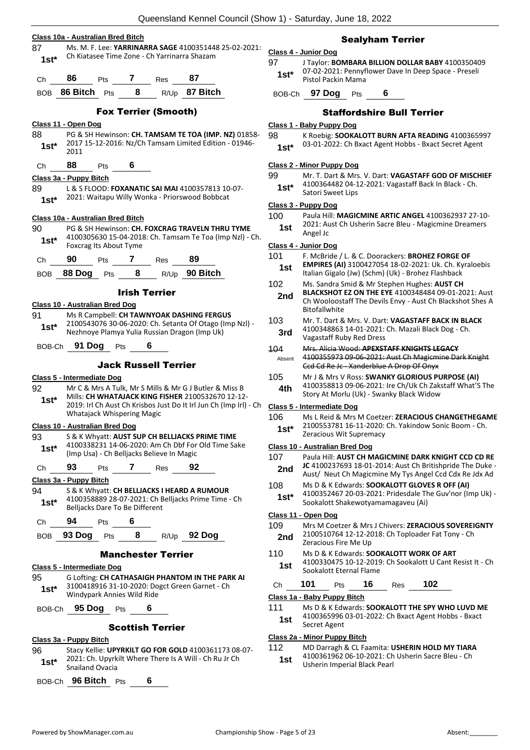- **Class 10a - Australian Bred Bitch** 87 Ms. M. F. Lee: **YARRINARRA SAGE** 4100351448 25-02-2021: Ch Kiatasee Time Zone - Ch Yarrinarra Shazam **1st\*** Ch **86** Pts **7** Res **87** BOB **86 Bitch** Pts **8** R/Up **87 Bitch** Fox Terrier (Smooth) **Class 11 - Open Dog** 88 PG & SH Hewinson: **CH. TAMSAM TE TOA (IMP. NZ)** 01858- 2017 15-12-2016: Nz/Ch Tamsam Limited Edition - 01946- **1st**<sup>\*</sup>  $\frac{2017}{2011}$ Ch **88** Pts **6 Class 3a - Puppy Bitch** 89 L & S FLOOD: **FOXANATIC SAI MAI** 4100357813 10-07- 2021: Waitapu Willy Wonka - Priorswood Bobbcat **1st\* Class 10a - Australian Bred Bitch** 90 PG & SH Hewinson: **CH. FOXCRAG TRAVELN THRU TYME** 4100305630 15-04-2018: Ch. Tamsam Te Toa (Imp Nzl) - Ch. Foxcrag Its About Tyme **1st\***
	- Ch **90** Pts **7** Res **89**
	- BOB **88 Dog** Pts **8** R/Up **90 Bitch**

#### Irish Terrier

#### **Class 10 - Australian Bred Dog**

91 Ms R Campbell: **CH TAWNYOAK DASHING FERGUS** 2100543076 30-06-2020: Ch. Setanta Of Otago (Imp Nzl) - Nezhnoye Plamya Yulia Russian Dragon (Imp Uk) **1st\***

BOB-Ch **91 Dog** Pts **6**

#### Jack Russell Terrier

#### **Class 5 - Intermediate Dog**

- 92 Mr C & Mrs A Tulk, Mr S Mills & Mr G J Butler & Miss B
- Mills: **CH WHATAJACK KING FISHER** 2100532670 12-12- 2019: Irl Ch Aust Ch Krisbos Just Do It Irl Jun Ch (Imp Irl) - Ch Whatajack Whispering Magic **1st\***

#### **Class 10 - Australian Bred Dog**

- 93 S & K Whyatt: **AUST SUP CH BELLJACKS PRIME TIME**
- 4100338231 14-06-2020: Am Ch Dbf For Old Time Sake (Imp Usa) - Ch Belljacks Believe In Magic **1st\***
- Ch **93** Pts **7** Res **92**

**Class 3a - Puppy Bitch**

- 94 S & K Whyatt: **CH BELLJACKS I HEARD A RUMOUR** 4100358889 28-07-2021: Ch Belljacks Prime Time - Ch **1st\*** 4100358889 28-07-2021: Ch Belliacks Dare To Be Different
- Ch **94** Pts **6**

## BOB **93 Dog** Pts **8** R/Up **92 Dog**

#### Manchester Terrier

#### **Class 5 - Intermediate Dog**

95 G Lofting: **CH CATHASAIGH PHANTOM IN THE PARK AI** 3100418916 31-10-2020: Dogct Green Garnet - Ch Windypark Annies Wild Ride **1st\***

BOB-Ch **95 Dog** Pts **6**

#### Scottish Terrier

#### **Class 3a - Puppy Bitch**

96 Stacy Kellie: **UPYRKILT GO FOR GOLD** 4100361173 08-07- 2021: Ch. Upyrkilt Where There Is A Will - Ch Ru Jr Ch **1st**\* <sup>2021: Ch. Upyrk<br>Snailand Ovacia</sup>

BOB-Ch **96 Bitch** Pts **6**

### Sealyham Terrier

- **Class 4 - Junior Dog**
- 97 J Taylor: **BOMBARA BILLION DOLLAR BABY** 4100350409 07-02-2021: Pennyflower Dave In Deep Space - Preseli **1st**\* U/-02-2021: Pennyt<br>Pistol Packin Mama

BOB-Ch **97 Dog** Pts **6**

#### Staffordshire Bull Terrier

#### **Class 1 - Baby Puppy Dog**

98 K Roebig: **SOOKALOTT BURN AFTA READING** 4100365997

03-01-2022: Ch Bxact Agent Hobbs - Bxact Secret Agent **1st\***

#### **Class 2 - Minor Puppy Dog**

99 Mr. T. Dart & Mrs. V. Dart: **VAGASTAFF GOD OF MISCHIEF** 4100364482 04-12-2021: Vagastaff Back In Black - Ch. **1st**\*  $410036448204-1$ <br>Satori Sweet Lips

#### **Class 3 - Puppy Dog**

- 100 Paula Hill: **MAGICMINE ARTIC ANGEL** 4100362937 27-10- 2021: Aust Ch Usherin Sacre Bleu - Magicmine Dreamers
	- **1st** <sup>2021: All</sub></sup>

## **Class 4 - Junior Dog**

- 101 F. McBride / L. & C. Doorackers: **BROHEZ FORGE OF** 
	- **EMPIRES (AI)** 3100427054 18-02-2021: Uk. Ch. Kyraloebis **1st EMPIRES (AI)** 3100427054 18-02-2021: UK. Ch. Ky<br>Italian Gigalo (Jw) (Schm) (Uk) - Brohez Flashback
- 102 Ms. Sandra Smid & Mr Stephen Hughes: **AUST CH**
- **BLACKSHOT EZ ON THE EYE** 4100348484 09-01-2021: Aust Ch Wooloostaff The Devils Envy - Aust Ch Blackshot Shes A Bitofallwhite **2nd**
- 103 Mr. T. Dart & Mrs. V. Dart: **VAGASTAFF BACK IN BLACK**
- 4100348863 14-01-2021: Ch. Mazali Black Dog Ch. **3rd** 4100346603 14-01-2021.
- 104 Mrs. Alicia Wood: **APEXSTAFF KNIGHTS LEGACY**
- 4100355973 09-06-2021: Aust Ch Magicmine Dark Knight Ccd Cd Re Jc - Xanderblue A Drop Of Onyx Absent
- 105 Mr J & Mrs V Ross: **SWANKY GLORIOUS PURPOSE (AI)** 4100358813 09-06-2021: Ire Ch/Uk Ch Zakstaff What'S The **4th** 4100338813 09-06-2021: If Chronic Cake Story At Morlu (Uk) - Swanky Black Widow

#### **Class 5 - Intermediate Dog**

- 106 Ms L Reid & Mrs M Coetzer: **ZERACIOUS CHANGETHEGAME**
- 2100553781 16-11-2020: Ch. Yakindow Sonic Boom Ch. **1st**\* <sup>2100553781 16-11-2020:<br>Zeracious Wit Supremacy</sup>

#### **Class 10 - Australian Bred Dog**

- 107 Paula Hill: **AUST CH MAGICMINE DARK KNIGHT CCD CD RE JC** 4100237693 18-01-2014: Aust Ch Britishpride The Duke - 2nd act 4100237093 16-01-2014. Aust Ch Britishphile The Duke<br>Aust/ Neut Ch Magicmine My Tys Angel Ccd Cdx Re Jdx Ad 108 Ms D & K Edwards: **SOOKALOTT GLOVES R OFF (AI)** 4100352467 20-03-2021: Pridesdale The Guv'nor (Imp Uk) - Sookalott Shakewotyamamagaveu (Ai) **1st\* Class 11 - Open Dog** 109 Mrs M Coetzer & Mrs J Chivers: **ZERACIOUS SOVEREIGNTY** 2100510764 12-12-2018: Ch Toploader Fat Tony - Ch **2nd** <sup>2100510764</sup> 12-12-20<br>Zeracious Fire Me Up
- 110 Ms D & K Edwards: **SOOKALOTT WORK OF ART**
- 4100330475 10-12-2019: Ch Sookalott U Cant Resist It Ch Sookalott Eternal Flame **1st**

## Ch **101** Pts **16** Res **102**

**Class 1a - Baby Puppy Bitch**

111 Ms D & K Edwards: **SOOKALOTT THE SPY WHO LUVD ME** 4100365996 03-01-2022: Ch Bxact Agent Hobbs - Bxact Secret Agent **1st**

#### **Class 2a - Minor Puppy Bitch**

112 MD Darragh & CL Faamita: **USHERIN HOLD MY TIARA** 4100361962 06-10-2021: Ch Usherin Sacre Bleu - Ch

1st 4100361962 06-10-2021: Ch<br>Usherin Imperial Black Pearl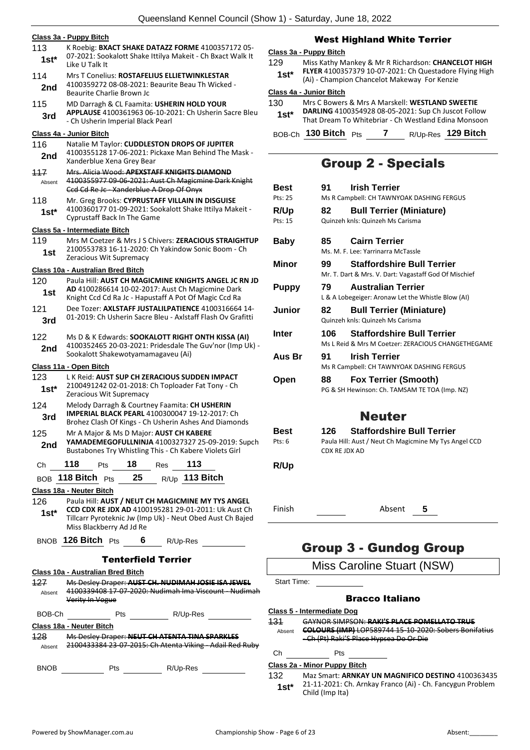|               | Class 3a - Puppy Bitch                                                                                                                                          |
|---------------|-----------------------------------------------------------------------------------------------------------------------------------------------------------------|
| 113<br>1st*   | K Roebig: BXACT SHAKE DATAZZ FORME 4100357172 05-<br>07-2021: Sookalott Shake Ittilya Makeit - Ch Bxact Walk It<br>Like U Talk It                               |
| 114           | Mrs T Conelius: ROSTAFELIUS ELLIETWINKLESTAR                                                                                                                    |
| 2nd           | 4100359272 08-08-2021: Beaurite Beau Th Wicked -<br>Beaurite Charlie Brown Jc                                                                                   |
| 115           | MD Darragh & CL Faamita: USHERIN HOLD YOUR                                                                                                                      |
| 3rd           | APPLAUSE 4100361963 06-10-2021: Ch Usherin Sacre Bleu<br>- Ch Usherin Imperial Black Pearl                                                                      |
|               | Class 4a - Junior Bitch                                                                                                                                         |
| 116<br>2nd    | Natalie M Taylor: CUDDLESTON DROPS OF JUPITER<br>4100355128 17-06-2021: Pickaxe Man Behind The Mask -<br>Xanderblue Xena Grey Bear                              |
| 117<br>Absent | Mrs. Alicia Wood: APEXSTAFF KNIGHTS DIAMOND<br>4100355977 09-06-2021: Aust Ch Magicmine Dark Knight<br>Ccd Cd Re Jc - Xanderblue A Drop Of Onyx                 |
| 118<br>$1st*$ | Mr. Greg Brooks: CYPRUSTAFF VILLAIN IN DISGUISE<br>4100360177 01-09-2021: Sookalott Shake Ittilya Makeit -<br><b>Cyprustaff Back In The Game</b>                |
|               | Class 5a - Intermediate Bitch                                                                                                                                   |
| 119<br>1st    | Mrs M Coetzer & Mrs J S Chivers: ZERACIOUS STRAIGHTUP<br>2100553783 16-11-2020: Ch Yakindow Sonic Boom - Ch                                                     |
|               | Zeracious Wit Supremacy                                                                                                                                         |
| 120           | Class 10a - Australian Bred Bitch<br>Paula Hill: AUST CH MAGICMINE KNIGHTS ANGEL JC RN JD                                                                       |
| 1st           | AD 4100286614 10-02-2017: Aust Ch Magicmine Dark<br>Knight Ccd Cd Ra Jc - Hapustaff A Pot Of Magic Ccd Ra                                                       |
| 121           | Dee Tozer: AXLSTAFF JUSTALILPATIENCE 4100316664 14-                                                                                                             |
| 3rd           | 01-2019: Ch Usherin Sacre Bleu - Axlstaff Flash Ov Grafitti                                                                                                     |
| 122<br>2nd    | Ms D & K Edwards: SOOKALOTT RIGHT ONTH KISSA (AI)<br>4100352465 20-03-2021: Pridesdale The Guv'nor (Imp Uk) -<br>Sookalott Shakewotyamamagaveu (Ai)             |
|               | Class 11a - Open Bitch                                                                                                                                          |
| 123<br>1st*   | L K Reid: AUST SUP CH ZERACIOUS SUDDEN IMPACT<br>2100491242 02-01-2018: Ch Toploader Fat Tony - Ch<br>Zeracious Wit Supremacy                                   |
| 124<br>3rd    | Melody Darragh & Courtney Faamita: CH USHERIN<br><b>IMPERIAL BLACK PEARL 4100300047 19-12-2017: Ch</b><br>Brohez Clash Of Kings - Ch Usherin Ashes And Diamonds |
| 125<br>2nd    | Mr A Major & Ms D Major: AUST CH KABERE<br>YAMADEMEGOFULLNINJA 4100327327 25-09-2019: Supch<br>Bustabones Try Whistling This - Ch Kabere Violets Girl           |
| Ch            | 118<br>Pts 18 Res<br>113                                                                                                                                        |
|               | 25 $R/\bigcup_{p}$ 113 Bitch<br>$_{\rm BOB}$ 118 Bitch $_{\rm Pts}$                                                                                             |
|               | Class 18a - Neuter Bitch                                                                                                                                        |
| 126           | Paula Hill: AUST / NEUT CH MAGICMINE MY TYS ANGEL                                                                                                               |
| 1st*          | CCD CDX RE JDX AD 4100195281 29-01-2011: Uk Aust Ch<br>Tillcarr Pyroteknic Jw (Imp Uk) - Neut Obed Aust Ch Bajed<br>Miss Blackberry Ad Jd Re                    |
|               | BNOB $126$ Bitch $P_{ts}$ 6<br>R/Up-Res                                                                                                                         |
|               |                                                                                                                                                                 |
|               | Tenterfield Terrier                                                                                                                                             |
|               | Class 10a - Australian Bred Bitch                                                                                                                               |
| 127<br>Absent | Ms Desley Draper: AUST CH. NUDIMAH JOSIE ISA JEWEL<br>4100339408 17-07-2020: Nudimah Ima Viscount - Nudimah<br>Verity In Vogue                                  |
| BOB-Ch        | Pts                                                                                                                                                             |
|               | R/Up-Res                                                                                                                                                        |
| 128.          | Class 18a - Neuter Bitch                                                                                                                                        |
| Absent        | Ms Desley Draper: NEUT CH ATENTA TINA SPARKLES<br>2100433384 23 07 2015: Ch Atenta Viking Adail Red Ruby                                                        |

## West Highland White Terrier

#### **Class 3a - Puppy Bitch**

129 Miss Kathy Mankey & Mr R Richardson: **CHANCELOT HIGH FLYER** 4100357379 10-07-2021: Ch Questadore Flying High (Ai) - Champion Chancelot Makeway For Kenzie **1st\***

#### **Class 4a - Junior Bitch**

| 130<br>$1st*$ | Mrs C Bowers & Mrs A Marskell: WESTLAND SWEETIE<br>DARLING 4100354928 08-05-2021: Sup Ch Juscot Follow<br>That Dream To Whitebriar - Ch Westland Edina Monsoon |          |                    |
|---------------|----------------------------------------------------------------------------------------------------------------------------------------------------------------|----------|--------------------|
|               | BOB-Ch 130 Bitch Pts                                                                                                                                           | <b>7</b> | R/Up-Res 129 Bitch |

## Group 2 - Specials

| Best        | 91    | <b>Irish Terrier</b>                                                                       |  |  |  |  |
|-------------|-------|--------------------------------------------------------------------------------------------|--|--|--|--|
| Pts: 25     |       | Ms R Campbell: CH TAWNYOAK DASHING FERGUS                                                  |  |  |  |  |
| <b>R/Up</b> | 82    | <b>Bull Terrier (Miniature)</b>                                                            |  |  |  |  |
| Pts: 15     |       | Quinzeh knls: Quinzeh Ms Carisma                                                           |  |  |  |  |
| Baby        | 85.   | <b>Cairn Terrier</b><br>Ms. M. F. Lee: Yarrinarra McTassle                                 |  |  |  |  |
| Minor       | 99.   | <b>Staffordshire Bull Terrier</b><br>Mr. T. Dart & Mrs. V. Dart: Vagastaff God Of Mischief |  |  |  |  |
| Puppy       | 79.   | <b>Australian Terrier</b><br>L & A Lobegeiger: Aronaw Let the Whistle Blow (AI)            |  |  |  |  |
| Junior      | 82.   | <b>Bull Terrier (Miniature)</b><br>Quinzeh knls: Quinzeh Ms Carisma                        |  |  |  |  |
| Inter       | 106 - | <b>Staffordshire Bull Terrier</b><br>Ms L Reid & Mrs M Coetzer: ZERACIOUS CHANGETHEGAME    |  |  |  |  |
| Aus Br      | 91    | <b>Irish Terrier</b><br>Ms R Campbell: CH TAWNYOAK DASHING FERGUS                          |  |  |  |  |
| Open        | 88.   | <b>Fox Terrier (Smooth)</b><br>PG & SH Hewinson: Ch. TAMSAM TE TOA (Imp. NZ)               |  |  |  |  |

## Neuter

| Best   | <b>Staffordshire Bull Terrier</b><br>126.             |
|--------|-------------------------------------------------------|
| Pts: 6 | Paula Hill: Aust / Neut Ch Magicmine My Tys Angel CCD |
|        | CDX RE JDX AD                                         |

## **R/Up**

Finish Absent **5**

## Group 3 - Gundog Group

## Miss Caroline Stuart (NSW)

Start Time:

### Bracco Italiano

#### **Class 5 - Intermediate Dog**

131 GAYNOR SIMPSON: **RAKI'S PLACE POMELLATO TRUE** 

**COLOURS (IMP)** LOP589744 15-10-2020: Sobers Bonifatius - Ch (Pt) Raki'S Place Hypsea Do Or Die Absent

Ch Pts

#### **Class 2a - Minor Puppy Bitch**

132 Maz Smart: **ARNKAY UN MAGNIFICO DESTINO** 4100363435 21-11-2021: Ch. Arnkay Franco (Ai) - Ch. Fancygun Problem **1st**\* <sup>21-11-2021: Clild (Imp Ita)</sup>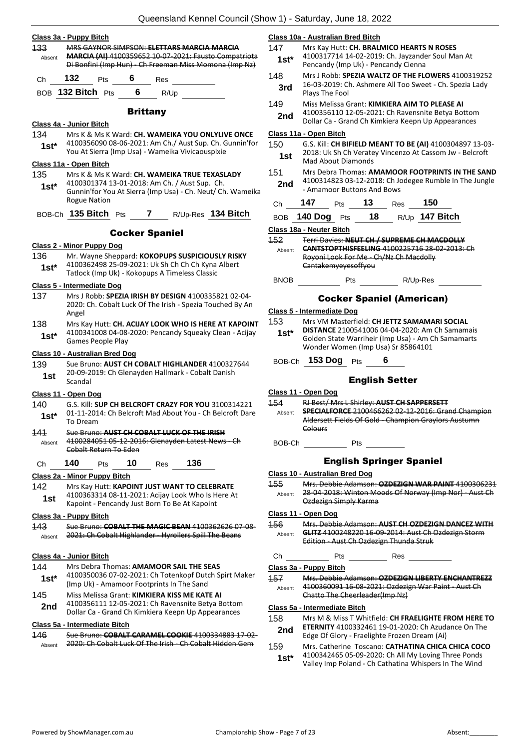| 133           | Class 3a - Puppy Bitch                                                                                                 |            |                 |                       | MRS GAYNOR SIMPSON: ELETTARS MARCIA MARCIA                                                                                                                      |  |  |  |
|---------------|------------------------------------------------------------------------------------------------------------------------|------------|-----------------|-----------------------|-----------------------------------------------------------------------------------------------------------------------------------------------------------------|--|--|--|
| Absent        | <b>MARCIA (AI)</b> 4100359652 10-07-2021: Fausto Compatriota<br>Di Bonfini (Imp Hun) - Ch Freeman Miss Momona (Imp Nz) |            |                 |                       |                                                                                                                                                                 |  |  |  |
| Сh            | 132                                                                                                                    | Pts        | 6               | Res                   |                                                                                                                                                                 |  |  |  |
|               | BOB 132 Bitch Pts                                                                                                      |            | 6               | R/Up                  |                                                                                                                                                                 |  |  |  |
|               |                                                                                                                        |            | <b>Brittany</b> |                       |                                                                                                                                                                 |  |  |  |
|               | Class 4a - Junior Bitch                                                                                                |            |                 |                       |                                                                                                                                                                 |  |  |  |
| 134<br>$1st*$ |                                                                                                                        |            |                 |                       | Mrs K & Ms K Ward: CH. WAMEIKA YOU ONLYLIVE ONCE<br>4100356090 08-06-2021: Am Ch./ Aust Sup. Ch. Gunnin'for<br>You At Sierra (Imp Usa) - Wameika Vivicaouspixie |  |  |  |
|               | Class 11a - Open Bitch                                                                                                 |            |                 |                       |                                                                                                                                                                 |  |  |  |
| 135           |                                                                                                                        |            |                 |                       | Mrs K & Ms K Ward: CH. WAMEIKA TRUE TEXASLADY                                                                                                                   |  |  |  |
| 1st*          | <b>Rogue Nation</b>                                                                                                    |            |                 |                       | 4100301374 13-01-2018: Am Ch. / Aust Sup. Ch.<br>Gunnin'for You At Sierra (Imp Usa) - Ch. Neut/ Ch. Wameika                                                     |  |  |  |
|               | BOB-Ch 135 Bitch Pts                                                                                                   |            |                 | 7                     | R/Up-Res 134 Bitch                                                                                                                                              |  |  |  |
|               |                                                                                                                        |            |                 | <b>Cocker Spaniel</b> |                                                                                                                                                                 |  |  |  |
|               | <b>Class 2 - Minor Puppy Dog</b>                                                                                       |            |                 |                       |                                                                                                                                                                 |  |  |  |
| 136           |                                                                                                                        |            |                 |                       | Mr. Wayne Sheppard: KOKOPUPS SUSPICIOUSLY RISKY                                                                                                                 |  |  |  |
| 1st*          |                                                                                                                        |            |                 |                       | 4100362498 25-09-2021: Uk Sh Ch Ch Ch Kyna Albert<br>Tatlock (Imp Uk) - Kokopups A Timeless Classic                                                             |  |  |  |
|               | Class 5 - Intermediate Dog                                                                                             |            |                 |                       |                                                                                                                                                                 |  |  |  |
| 137           | Angel                                                                                                                  |            |                 |                       | Mrs J Robb: SPEZIA IRISH BY DESIGN 4100335821 02-04-<br>2020: Ch. Cobalt Luck Of The Irish - Spezia Touched By An                                               |  |  |  |
| 138<br>1st*   | Games People Play                                                                                                      |            |                 |                       | Mrs Kay Hutt: CH. ACIJAY LOOK WHO IS HERE AT KAPOINT<br>4100341008 04-08-2020: Pencandy Squeaky Clean - Acijay                                                  |  |  |  |
|               | Class 10 - Australian Bred Dog                                                                                         |            |                 |                       |                                                                                                                                                                 |  |  |  |
| 139<br>1st    | Scandal                                                                                                                |            |                 |                       | Sue Bruno: AUST CH COBALT HIGHLANDER 4100327644<br>20-09-2019: Ch Glenayden Hallmark - Cobalt Danish                                                            |  |  |  |
|               | <u> Class 11 - Open Dog</u>                                                                                            |            |                 |                       |                                                                                                                                                                 |  |  |  |
| 140           |                                                                                                                        |            |                 |                       | G.S. Kill: SUP CH BELCROFT CRAZY FOR YOU 3100314221                                                                                                             |  |  |  |
| 1st*          | To Dream                                                                                                               |            |                 |                       | 01-11-2014: Ch Belcroft Mad About You - Ch Belcroft Dare                                                                                                        |  |  |  |
| 444           |                                                                                                                        |            |                 |                       | Sue Bruno: AUST CH COBALT LUCK OF THE IRISH                                                                                                                     |  |  |  |
| Absent        | Cobalt Return To Eden                                                                                                  |            |                 |                       | 4100284051 05 12 2016: Glenayden Latest News Ch                                                                                                                 |  |  |  |
| Сh            | 140                                                                                                                    | <b>Pts</b> | 10              | Res                   | 136                                                                                                                                                             |  |  |  |
|               | <u> Class 2a - Minor Puppy Bitch</u>                                                                                   |            |                 |                       |                                                                                                                                                                 |  |  |  |
| 142           |                                                                                                                        |            |                 |                       | Mrs Kay Hutt: KAPOINT JUST WANT TO CELEBRATE                                                                                                                    |  |  |  |
| 1st           |                                                                                                                        |            |                 |                       | 4100363314 08-11-2021: Acijay Look Who Is Here At<br>Kapoint - Pencandy Just Born To Be At Kapoint                                                              |  |  |  |
|               | Class 3a - Puppy Bitch                                                                                                 |            |                 |                       |                                                                                                                                                                 |  |  |  |
| 143<br>Absent |                                                                                                                        |            |                 |                       | Sue Bruno: COBALT THE MAGIC BEAN 4100362626 07-08-<br>2021: Ch Cobalt Highlander - Hyrollers Spill The Beans                                                    |  |  |  |
|               | Class 4a - Junior Bitch                                                                                                |            |                 |                       |                                                                                                                                                                 |  |  |  |
| 144           |                                                                                                                        |            |                 |                       | Mrs Debra Thomas: AMAMOOR SAIL THE SEAS                                                                                                                         |  |  |  |
| $1st*$        |                                                                                                                        |            |                 |                       | 4100350036 07-02-2021: Ch Totenkopf Dutch Spirt Maker<br>(Imp Uk) - Amamoor Footprints In The Sand                                                              |  |  |  |
| 145           |                                                                                                                        |            |                 |                       | Miss Melissa Grant: KIMKIERA KISS ME KATE AI                                                                                                                    |  |  |  |
| 2nd           |                                                                                                                        |            |                 |                       | 4100356111 12-05-2021: Ch Ravensnite Betya Bottom<br>Dollar Ca - Grand Ch Kimkiera Keepn Up Appearances                                                         |  |  |  |

#### **Class 5a - Intermediate Bitch**

| 146    | Sue Bruno: COBALT CARAMEL COOKIE 4100334883 17-02-       |
|--------|----------------------------------------------------------|
| Absent | 2020: Ch Cobalt Luck Of The Irish - Ch Cobalt Hidden Gem |

#### **Class 10a - Australian Bred Bitch**

- 147 Mrs Kay Hutt: **CH. BRALMICO HEARTS N ROSES** 4100317714 14-02-2019: Ch. Jayzander Soul Man At
- Pencandy (Imp Uk) Pencandy Cienna **1st\***
- 148 Mrs J Robb: **SPEZIA WALTZ OF THE FLOWERS** 4100319252 16-03-2019: Ch. Ashmere All Too Sweet - Ch. Spezia Lady **3rd 16-03-2019: U**<br>Plays The Fool
- 149 Miss Melissa Grant: **KIMKIERA AIM TO PLEASE AI** 4100356110 12-05-2021: Ch Ravensnite Betya Bottom 2nd 4100356110 12-05-2021: Ch Ravenshile Betya Botton<br>Dollar Ca - Grand Ch Kimkiera Keepn Up Appearances

#### **Class 11a - Open Bitch**

- 150 G.S. Kill: **CH BIFIELD MEANT TO BE (AI)** 4100304897 13-03- 2018: Uk Sh Ch Veratey Vincenzo At Cassom Jw - Belcroft **1st** <sup>2018</sup> UK Sn Cn Verate<br>Mad About Diamonds
- 151 Mrs Debra Thomas: **AMAMOOR FOOTPRINTS IN THE SAND** 4100314823 03-12-2018: Ch Jodegee Rumble In The Jungle 2nd <sup>4100314823</sup><br>Amamoor Buttons And Bows - Amamoor Buttons And Bows

| Сh                                                                                                                                                                                                          | 147     | Pts | 13                        | Res | 150            |  |  |  |
|-------------------------------------------------------------------------------------------------------------------------------------------------------------------------------------------------------------|---------|-----|---------------------------|-----|----------------|--|--|--|
| BOB                                                                                                                                                                                                         | 140 Dog | Pts | 18                        |     | R/Up 147 Bitch |  |  |  |
| Class 18a - Neuter Bitch                                                                                                                                                                                    |         |     |                           |     |                |  |  |  |
| 152<br><u> Tarri Davias: NEUT CH / CUDDEME CH MACDOUV</u><br><del>CANTSTOPTHISFEELING 4100225716 28 02 2013: Ch</del><br>Absent<br>Royoni Look For Me - Ch/Nz Ch Macdolly<br><del>Cantakemvevesoffvou</del> |         |     |                           |     |                |  |  |  |
| BNOB                                                                                                                                                                                                        |         | Pts |                           |     | R/Up-Res       |  |  |  |
|                                                                                                                                                                                                             |         |     | Peeker Snoniel (American) |     |                |  |  |  |

#### Cocker Spaniel (American)

- **Class 5 - Intermediate Dog**
- 153 Mrs VM Masterfield: **CH JETTZ SAMAMARI SOCIAL DISTANCE** 2100541006 04-04-2020: Am Ch Samamais Golden State Warriheir (Imp Usa) - Am Ch Samamarts Wonder Women (Imp Usa) Sr 85864101 **1st\***

#### BOB-Ch **153 Dog** Pts **6**

#### English Setter

**Class 11 - Open Dog**

- 154 RJ Best/ Mrs L Shirley: **AUST CH SAPPERSETT SPECIALFORCE** 2100466262 02-12-2016: Grand Champion Aldersett Fields Of Gold - Champion Graylors Austumn Colours Absent
	- BOB-Ch Pts

#### English Springer Spaniel

- **Class 10 - Australian Bred Dog**
- 155 Mrs. Debbie Adamson: **OZDEZIGN WAR PAINT** 4100306231 28-04-2018: Winton Moods Of Norway (Imp Nor) - Aust Ch Ozdezign Simply Karma Absent

#### **Class 11 - Open Dog**

156 Mrs. Debbie Adamson: **AUST CH OZDEZIGN DANCEZ WITH GLITZ** 4100248220 16-09-2014: Aust Ch Ozdezign Storm Edition - Aust Ch Ozdezign Thunda Struk Absent

#### Ch Pts Res

#### **Class 3a - Puppy Bitch**

157 Mrs. Debbie Adamson: **OZDEZIGN LIBERTY ENCHANTREZZ** 4100360091 16-08-2021: Ozdezign War Paint - Aust Ch Chatto The Cheerleader(Imp Nz) Absent

#### **Class 5a - Intermediate Bitch**

- 158 Mrs M & Miss T Whitfield: **CH FRAELIGHTE FROM HERE TO ETERNITY** 4100332461 19-01-2020: Ch Azudance On The **2nd ELERNITY** 4100332461 19-01-2020: Ch Azud<br>Edge Of Glory - Fraelighte Frozen Dream (Ai)
- 159 Mrs. Catherine Toscano: **CATHATINA CHICA CHICA COCO** 4100342465 05-09-2020: Ch All My Loving Three Ponds **1st** 4100342465 05-09-2020: Ch All My Loving Inree Ponds<br>Valley Imp Poland - Ch Cathatina Whispers In The Wind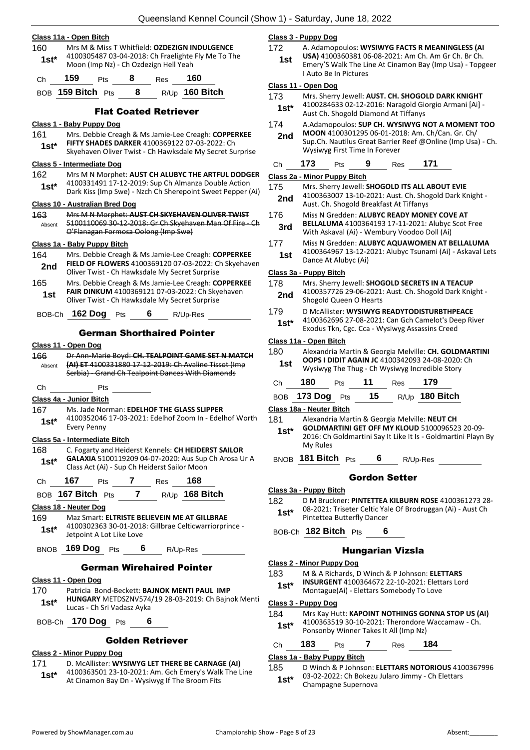#### **Class 11a - Open Bitch**

160 Mrs M & Miss T Whitfield: **OZDEZIGN INDULGENCE** 4100305487 03-04-2018: Ch Fraelighte Fly Me To The **1st**\* 4100305487 03-04-2018: Ch Fraelighte<br>Moon (Imp Nz) - Ch Ozdezign Hell Yeah

| Ch | 159 | <b>Pts</b> | -8 | Res | 160 |  |
|----|-----|------------|----|-----|-----|--|

BOB **159 Bitch** Pts **8** R/Up **160 Bitch**

#### Flat Coated Retriever

#### **Class 1 - Baby Puppy Dog**

- 161 Mrs. Debbie Creagh & Ms Jamie-Lee Creagh: **COPPERKEE FIFTY SHADES DARKER** 4100369122 07-03-2022: Ch
	- **Sex PIFTY SHADES DARKER** 4100369122 07-03-2022: Ch<br>Skyehaven Oliver Twist Ch Hawksdale My Secret Surprise

#### **Class 5 - Intermediate Dog**

162 Mrs M N Morphet: **AUST CH ALUBYC THE ARTFUL DODGER** 4100331491 17-12-2019: Sup Ch Almanza Double Action Dark Kiss (Imp Swe) - Nzch Ch Sherepoint Sweet Pepper (Ai) **1st\***

#### **Class 10 - Australian Bred Dog**

- 163 Mrs M N Morphet: **AUST CH SKYEHAVEN OLIVER TWIST**
- 5100110069 30-12-2018: Gr Ch Skyehaven Man Of Fire Ch O'Flanagan Formosa Oolong (Imp Swe) Absent

#### **Class 1a - Baby Puppy Bitch**

- 164 Mrs. Debbie Creagh & Ms Jamie-Lee Creagh: **COPPERKEE FIELD OF FLOWERS** 4100369120 07-03-2022: Ch Skyehaven **2nd** FIELD OF FLOWERS 4100369120 07-03-2022: CH Oliver Twist - Ch Hawksdale My Secret Surprise 165 Mrs. Debbie Creagh & Ms Jamie-Lee Creagh: **COPPERKEE**
- **FAIR DINKUM** 4100369121 07-03-2022: Ch Skyehaven **1st CAIN DINNOM** 4100309121 07-03-2022: Ch Sky
- BOB-Ch **162 Dog** Pts **6** R/Up-Res

#### German Shorthaired Pointer

#### **Class 11 - Open Dog**

166 Dr Ann-Marie Boyd: **CH. TEALPOINT GAME SET N MATCH (AI) ET** 4100331880 17-12-2019: Ch Avaline Tissot (Imp Serbia) - Grand Ch Tealpoint Dances With Diamonds Absent

## Ch Pts

#### **Class 4a - Junior Bitch**

- 167 Ms. Jade Norman: **EDELHOF THE GLASS SLIPPER**
- 4100352046 17-03-2021: Edelhof Zoom In Edelhof Worth Every Penny **1st\***

#### **Class 5a - Intermediate Bitch**

- 168 C. Fogarty and Heiderst Kennels: **CH HEIDERST SAILOR GALAXIA** 5100119209 04-07-2020: Aus Sup Ch Arosa Ur A Class Act (Ai) - Sup Ch Heiderst Sailor Moon **1st\***
- Ch **167** Pts **7** Res **168**
- BOB **167 Bitch** Pts **7** R/Up **168 Bitch**

#### **Class 18 - Neuter Dog**

169 Maz Smart: **ELTRISTE BELIEVEIN ME AT GILLBRAE** 4100302363 30-01-2018: Gillbrae Celticwarriorprince - Jetpoint A Lot Like Love **1st\***

BNOB **169 Dog** Pts **6** R/Up-Res

#### German Wirehaired Pointer

#### **Class 11 - Open Dog**

- 170 Patricia Bond-Beckett: **BAJNOK MENTI PAUL IMP HUNGARY** METDSZNV574/19 28-03-2019: Ch Bajnok Menti **1st\* HUNGARY** METDSZNV574
- BOB-Ch **170 Dog** Pts **6**

#### Golden Retriever

#### **Class 2 - Minor Puppy Dog**

- 171 D. McAllister: **WYSIWYG LET THERE BE CARNAGE (AI)**
- 4100363501 23-10-2021: Am. Gch Emery's Walk The Line **1st** 4100363501 23-10-2021: Am. GCh Emery's Walk<br>At Cinamon Bay Dn - Wysiwyg If The Broom Fits

#### **Class 3 - Puppy Dog**

#### 172 A. Adamopoulos: **WYSIWYG FACTS R MEANINGLESS (AI**

**USA)** 4100360381 06-08-2021: Am Ch. Am Gr Ch. Br Ch. Emery'S Walk The Line At Cinamon Bay (Imp Usa) - Topgeer I Auto Be In Pictures **1st**

#### **Class 11 - Open Dog**

- 173 Mrs. Sherry Jewell: **AUST. CH. SHOGOLD DARK KNIGHT**
	- 4100284633 02-12-2016: Naragold Giorgio Armani [Ai] Aust Ch. Shogold Diamond At Tiffanys<br>Aust Ch. Shogold Diamond At Tiffanys
- 174 A.Adamopoulos: **SUP CH. WYSIWYG NOT A MOMENT TOO MOON** 4100301295 06-01-2018: Am. Ch/Can. Gr. Ch/
	- Sup.Ch. Nautilus Great Barrier Reef @Online (Imp Usa) Ch. Wysiwyg First Time In Forever **2nd**

|  | Ch | 173 | Pts | 9 | <b>Res</b> | 171 |
|--|----|-----|-----|---|------------|-----|
|--|----|-----|-----|---|------------|-----|

#### **Class 2a - Minor Puppy Bitch**

- 175 Mrs. Sherry Jewell: **SHOGOLD ITS ALL ABOUT EVIE** 4100363007 13-10-2021: Aust. Ch. Shogold Dark Knight - **2nd** 4100363007 13-10-2021: Aust. Ch. Shogold Breakfast At Tiffanys
- 176 Miss N Gredden: **ALUBYC READY MONEY COVE AT BELLALUMA** 4100364193 17-11-2021: Alubyc Scot Free With Askaval (Ai) - Wembury Voodoo Doll (Ai) **3rd**
- 177 Miss N Gredden: **ALUBYC AQUAWOMEN AT BELLALUMA**
- 4100364967 13-12-2021: Alubyc Tsunami (Ai) Askaval Lets **1st** <sup>4100304907</sup><br>Dance At Alubyc (Ai)

#### **Class 3a - Puppy Bitch**

- 178 Mrs. Sherry Jewell: **SHOGOLD SECRETS IN A TEACUP**
- 4100357726 29-06-2021: Aust. Ch. Shogold Dark Knight 2nd 410035772b 29-06-2021
- 179 D McAllister: **WYSIWYG READYTODISTURBTHPEACE** 4100362696 27-08-2021: Can Gch Camelot's Deep River Exodus Tkn, Cgc. Cca - Wysiwyg Assassins Creed **1st\***

#### **Class 11a - Open Bitch**

180 Alexandria Martin & Georgia Melville: **CH. GOLDMARTINI OOPS I DIDIT AGAIN JC** 4100342093 24-08-2020: Ch Wysiwyg The Thug - Ch Wysiwyg Incredible Story **1st**

| Ch 180 Pts 11 Res 179 |  |                                     |
|-----------------------|--|-------------------------------------|
|                       |  | BOB 173 Dog Pts 15 $R/Up$ 180 Bitch |

#### **Class 18a - Neuter Bitch**

- 181 Alexandria Martin & Georgia Melville: **NEUT CH GOLDMARTINI GET OFF MY KLOUD** 5100096523 20-09- 2016: Ch Goldmartini Say It Like It Is - Goldmartini Playn By My Rules **1st\***
- BNOB **181 Bitch** Pts **6** R/Up-Res

#### Gordon Setter

- **Class 3a - Puppy Bitch**
- 182 D M Bruckner: **PINTETTEA KILBURN ROSE** 4100361273 28- 08-2021: Triseter Celtic Yale Of Brodruggan (Ai) - Aust Ch Pintettea Butterfly Dancer **1st\***
- BOB-Ch **182 Bitch** Pts **6**

#### Hungarian Vizsla

#### **Class 2 - Minor Puppy Dog**

- 183 M & A Richards, D Winch & P Johnson: **ELETTARS INSURGENT** 4100364672 22-10-2021: Elettars Lord Montague(Ai) - Elettars Somebody To Love **1st\***
- 

#### **Class 3 - Puppy Dog**

- 184 Mrs Kay Hutt: **KAPOINT NOTHINGS GONNA STOP US (AI)**
- 4100363519 30-10-2021: Therondore Waccamaw Ch. Ponsonby Winner Takes It All (Imp Nz) **1st\***

#### Ch **183** Pts **7** Res **184**

#### **Class 1a - Baby Puppy Bitch**

- 185 D Winch & P Johnson: **ELETTARS NOTORIOUS** 4100367996 03-02-2022: Ch Bokezu Jularo Jimmy - Ch Elettars
	- **1st**\* U3-U2-2022: Ch Bokezu<br>Champagne Supernova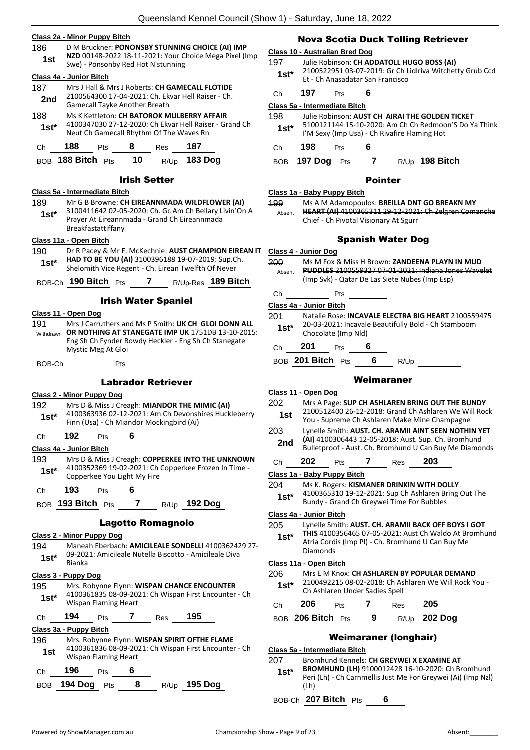#### **Class 2a - Minor Puppy Bitch**

186 D M Bruckner: **PONONSBY STUNNING CHOICE (AI) IMP NZD** 00148-2022 18-11-2021: Your Choice Mega Pixel (Imp **1st 1st** Swe) - Ponsonby Red Hot N'stunning

#### **Class 4a - Junior Bitch**

- 187 Mrs J Hall & Mrs J Roberts: **CH GAMECALL FLOTIDE** 2100564300 17-04-2021: Ch. Ekvar Hell Raiser - Ch. 2nd <sup>2100504500</sup> 17-04-2021. CII. EK<br>Gamecall Tayke Another Breath
- 188 Ms K Kettleton: **CH BATOROK MULBERRY AFFAIR** 4100347030 27-12-2020: Ch Ekvar Hell Raiser - Grand Ch **1st** <sup>4100347030 27-12-2020: Ch Ekvar Hell Raise<br>Neut Ch Gamecall Rhythm Of The Waves Rn</sup>

| Ch | 188               | <b>Pts</b> | - 8  | Res | 187                 |
|----|-------------------|------------|------|-----|---------------------|
|    | BOB 188 Bitch Pts |            | - 10 |     | R/Up <b>183 Dog</b> |

#### Irish Setter

#### **Class 5a - Intermediate Bitch**

189 Mr G B Browne: **CH EIREANNMADA WILDFLOWER (AI)**

3100411642 02-05-2020: Ch. Gc Am Ch Bellary Livin'On A Prayer At Eireannmada - Grand Ch Eireannmada Breakfastattiffany **1st\***

#### **Class 11a - Open Bitch**

190 Dr R Pacey & Mr F. McKechnie: **AUST CHAMPION EIREAN IT HAD TO BE YOU (AI)** 3100396188 19-07-2019: Sup.Ch. Shelomith Vice Regent - Ch. Eirean Twelfth Of Never **1st\***

BOB-Ch **190 Bitch** Pts **7** R/Up-Res **189 Bitch**

#### Irish Water Spaniel

#### **Class 11 - Open Dog**

191 Mrs J Carruthers and Ms P Smith: **UK CH GLOI DONN ALL**  Withdrawn OR NOTHING AT STANEGATE IMP UK 1751DB 13-10-2015: Eng Sh Ch Fynder Rowdy Heckler - Eng Sh Ch Stanegate Mystic Meg At Gloi

BOB-Ch Pts

#### Labrador Retriever

#### **Class 2 - Minor Puppy Dog**

- 192 Mrs D & Miss J Creagh: **MIANDOR THE MIMIC (AI)** 4100363936 02-12-2021: Am Ch Devonshires Huckleberry
- Finn (Usa) Ch Miandor Mockingbird (Ai) **1st\***
- Ch **192** Pts **6**

#### **Class 4a - Junior Bitch**

- 193 Mrs D & Miss J Creagh: **COPPERKEE INTO THE UNKNOWN** 4100352369 19-02-2021: Ch Copperkee Frozen In Time - **1st\*** 4100352369 19-02-2021: Ch<br>Copperkee You Light My Fire
- Ch **193** Pts **6**

BOB **193 Bitch** Pts **7** R/Up **192 Dog**

#### Lagotto Romagnolo

#### **Class 2 - Minor Puppy Dog**

194 Maneah Eberbach: **AMICILEALE SONDELLI** 4100362429 27- 09-2021: Amicileale Nutella Biscotto - Amicileale Diva Bianka **1st\***

**Class 3 - Puppy Dog** 195 Mrs. Robynne Flynn: **WISPAN CHANCE ENCOUNTER** 4100361835 08-09-2021: Ch Wispan First Encounter - Ch Wispan Flaming Heart **1st\***

Ch **194** Pts **7** Res **195**

#### **Class 3a - Puppy Bitch**

196 Mrs. Robynne Flynn: **WISPAN SPIRIT OFTHE FLAME** 4100361836 08-09-2021: Ch Wispan First Encounter - Ch 1st 4100361836 08-09-20.<br>Wispan Flaming Heart Ch **196** Pts **6**

| BOB 194 Dog Pts |  | R/Up 195 Dog |
|-----------------|--|--------------|
|                 |  |              |

#### Nova Scotia Duck Tolling Retriever

#### **Class 10 - Australian Bred Dog**

- 197 Julie Robinson: **CH ADDATOLL HUGO BOSS (AI)** 2100522951 03-07-2019: Gr Ch Lidlriva Witchetty Grub Ccd
- Et Ch Anasadatar San Francisco **1st\***
- Ch **197** Pts **6**

#### **Class 5a - Intermediate Bitch**

198 Julie Robinson: **AUST CH AIRAI THE GOLDEN TICKET** 5100121144 15-10-2020: Am Ch Ch Redmoon'S Do Ya Think **1st** 5100121144 15-10-2020: Am Ch Ch Redmoo<br>**1St\*** 1'M Sexy (Imp Usa) - Ch Rivafire Flaming Hot

Ch **198** Pts **6**

#### BOB **197 Dog** Pts **7** R/Up **198 Bitch**

#### Pointer

**Class 1a - Baby Puppy Bitch**

199 Ms A M Adamopoulos: **BREILLA DNT GO BREAKN MY HEART (AI)** 4100365311 29-12-2021: Ch Zelgren Comanche Chief - Ch Pivotal Visionary At Sgurr Absent

#### Spanish Water Dog

**Class 4 - Junior Dog**

200 Ms M Fox & Miss H Brown: **ZANDEENA PLAYN IN MUD PUDDLES** 2100559327 07-01-2021: Indiana Jones Wavelet (Imp Svk) - Qatar De Las Siete Nubes (Imp Esp) Absent

## Ch Pts

## **Class 4a - Junior Bitch**

- 201 Natalie Rose: **INCAVALE ELECTRA BIG HEART** 2100559475 20-03-2021: Incavale Beautifully Bold - Ch Stamboom **1st**\* <sup>20-03-2021: Incaval<br>Chocolate (Imp Nld)</sup>
- Ch **201** Pts **6**

BOB **201 Bitch** Pts **6** R/Up

#### **Class 11 - Open Dog**

- 202 Mrs A Page: **SUP CH ASHLAREN BRING OUT THE BUNDY** 2100512400 26-12-2018: Grand Ch Ashlaren We Will Rock You - Supreme Ch Ashlaren Make Mine Champagne **1st**
- 203 Lynelle Smith: **AUST. CH. ARAMII AINT SEEN NOTHIN YET (AI)** 4100306443 12-05-2018: Aust. Sup. Ch. Bromhund **2nd** (Al) 4100306443 12-05-2018: Aust. Sup. Ch. Bromhund Bulletproof - Aust. Ch. Bromhund U Can Buy Me Diamonds
- Ch **202** Pts **7** Res **203**

**Class 1a - Baby Puppy Bitch**

- 204 Ms K. Rogers: **KISMANER DRINKIN WITH DOLLY**
- 4100365310 19-12-2021: Sup Ch Ashlaren Bring Out The Bundy - Grand Ch Greywei Time For Bubbles **1st\***

**Class 4a - Junior Bitch**

#### 205 Lynelle Smith: **AUST. CH. ARAMII BACK OFF BOYS I GOT**

**THIS** 4100356465 07-05-2021: Aust Ch Waldo At Bromhund Atria Cordis (Imp Pl) - Ch. Bromhund U Can Buy Me Diamonds **1st\***

#### **Class 11a - Open Bitch**

- 206 Mrs E M Knox: **CH ASHLAREN BY POPULAR DEMAND**
- 2100492215 08-02-2018: Ch Ashlaren We Will Rock You 1st\* <u>LAUUASLAN US-UL-LUIB: Ch Ashlaren Under Sadies Spell</u>

| Ch | - 206             | Pts |     | Res | - 205        |
|----|-------------------|-----|-----|-----|--------------|
|    | BOB 206 Bitch Pts |     | - 9 |     | R/Up 202 Dog |

## Weimaraner (longhair)

#### **Class 5a - Intermediate Bitch**

#### 207 Bromhund Kennels: **CH GREYWEI X EXAMINE AT**

**BROMHUND (LH)** 9100012428 16-10-2020: Ch Bromhund Peri (Lh) - Ch Carnmellis Just Me For Greywei (Ai) (Imp Nzl) (Lh) **1st\***

BOB-Ch **207 Bitch** Pts **6**

Weimaraner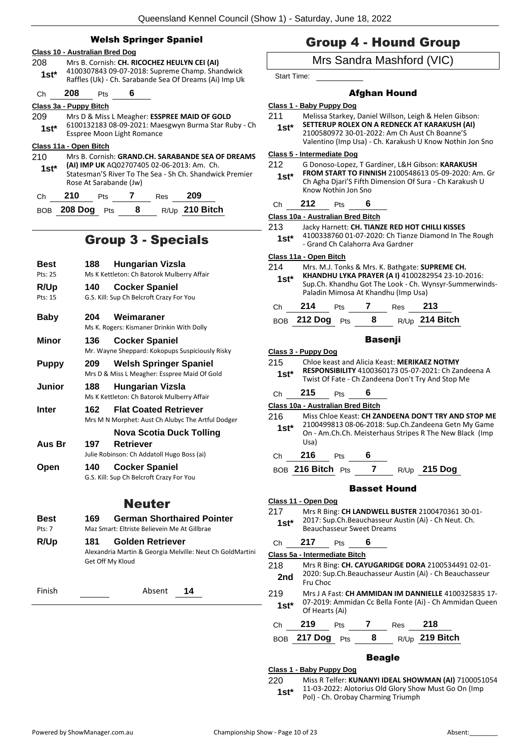## Welsh Springer Spaniel

|         | Class 10 - Australian Bred Dog |                                                                                                           |   |            |                                              |                                                         |  |  |
|---------|--------------------------------|-----------------------------------------------------------------------------------------------------------|---|------------|----------------------------------------------|---------------------------------------------------------|--|--|
| 208     |                                | Mrs B. Cornish: CH. RICOCHEZ HEULYN CEI (AI)                                                              |   |            |                                              |                                                         |  |  |
| $1st^*$ |                                | 4100307843 09-07-2018: Supreme Champ. Shandwick<br>Raffles (Uk) - Ch. Sarabande Sea Of Dreams (Ai) Imp Uk |   |            |                                              |                                                         |  |  |
| Сh      | 208                            | Pts                                                                                                       | 6 |            |                                              |                                                         |  |  |
|         | Class 3a - Puppy Bitch         |                                                                                                           |   |            |                                              |                                                         |  |  |
| 209     |                                |                                                                                                           |   |            | Mrs D & Miss L Meagher: ESSPREE MAID OF GOLD |                                                         |  |  |
| $1st^*$ |                                |                                                                                                           |   |            |                                              | 6100132183 08-09-2021: Maesgwyn Burma Star Ruby - Ch    |  |  |
|         |                                | <b>Esspree Moon Light Romance</b>                                                                         |   |            |                                              |                                                         |  |  |
|         | Class 11a - Open Bitch         |                                                                                                           |   |            |                                              |                                                         |  |  |
| 210     |                                |                                                                                                           |   |            |                                              | Mrs B. Cornish: GRAND.CH. SARABANDE SEA OF DREAMS       |  |  |
| $1st*$  |                                |                                                                                                           |   |            | (AI) IMP UK AQ02707405 02-06-2013: Am. Ch.   |                                                         |  |  |
|         |                                |                                                                                                           |   |            |                                              | Statesman'S River To The Sea - Sh Ch. Shandwick Premier |  |  |
|         |                                | Rose At Sarabande (Jw)                                                                                    |   |            |                                              |                                                         |  |  |
| Сh      | 210                            | Pts                                                                                                       |   | <b>Res</b> | 209                                          |                                                         |  |  |
| BOB     | 208 Dog                        | Pts                                                                                                       | 8 |            | R/Up 210 Bitch                               |                                                         |  |  |

## Group 3 - Specials

| Best          | 188              | <b>Hungarian Vizsla</b>                                   |  |  |  |
|---------------|------------------|-----------------------------------------------------------|--|--|--|
| Pts: 25       |                  | Ms K Kettleton: Ch Batorok Mulberry Affair                |  |  |  |
| R/Up          | 140              | <b>Cocker Spaniel</b>                                     |  |  |  |
| Pts: 15       |                  | G.S. Kill: Sup Ch Belcroft Crazy For You                  |  |  |  |
|               |                  |                                                           |  |  |  |
| <b>Baby</b>   | 204              | Weimaraner                                                |  |  |  |
|               |                  | Ms K. Rogers: Kismaner Drinkin With Dolly                 |  |  |  |
| Minor         | 136              | <b>Cocker Spaniel</b>                                     |  |  |  |
|               |                  | Mr. Wayne Sheppard: Kokopups Suspiciously Risky           |  |  |  |
| <b>Puppy</b>  | 209              | <b>Welsh Springer Spaniel</b>                             |  |  |  |
|               |                  | Mrs D & Miss L Meagher: Esspree Maid Of Gold              |  |  |  |
| Junior        | 188              | Hungarian Vizsla                                          |  |  |  |
|               |                  | Ms K Kettleton: Ch Batorok Mulberry Affair                |  |  |  |
| Inter         | 162              | <b>Flat Coated Retriever</b>                              |  |  |  |
|               |                  | Mrs M N Morphet: Aust Ch Alubyc The Artful Dodger         |  |  |  |
|               |                  | Nova Scotia Duck Tolling                                  |  |  |  |
| Aus Br        | 197              | <b>Retriever</b>                                          |  |  |  |
|               |                  | Julie Robinson: Ch Addatoll Hugo Boss (ai)                |  |  |  |
| Open          | 140              | <b>Cocker Spaniel</b>                                     |  |  |  |
|               |                  | G.S. Kill: Sup Ch Belcroft Crazy For You                  |  |  |  |
|               |                  |                                                           |  |  |  |
| <b>Neuter</b> |                  |                                                           |  |  |  |
| <b>Best</b>   | 169.             | <b>German Shorthaired Pointer</b>                         |  |  |  |
| $P$ ts: 7     |                  | Maz Smart: Eltriste Believein Me At Gillbrae              |  |  |  |
| R/Up          | 181              | <b>Golden Retriever</b>                                   |  |  |  |
|               |                  | Alexandria Martin & Georgia Melville: Neut Ch GoldMartini |  |  |  |
|               | Get Off My Kloud |                                                           |  |  |  |
|               |                  |                                                           |  |  |  |

Finish Absent **14**

## Group 4 - Hound Group

## Mrs Sandra Mashford (VIC)

Start Time:

### Afghan Hound

| Class 1 - Baby Puppy Dog |  |
|--------------------------|--|
|--------------------------|--|

- 211 Melissa Starkey, Daniel Willson, Leigh & Helen Gibson:
- **SETTERUP ROLEX ON A REDNECK AT KARAKUSH (AI)** 2100580972 30-01-2022: Am Ch Aust Ch Boanne'S Valentino (Imp Usa) - Ch. Karakush U Know Nothin Jon Sno **1st\***

#### **Class 5 - Intermediate Dog**

- 212 G Donoso-Lopez, T Gardiner, L&H Gibson: **KARAKUSH FROM START TO FINNISH** 2100548613 05-09-2020: Am. Gr Ch Agha Djari'S Fifth Dimension Of Sura - Ch Karakush U Know Nothin Jon Sno **1st\***
- Ch **212** Pts **6**

#### **Class 10a - Australian Bred Bitch**

213 Jacky Harnett: **CH. TIANZE RED HOT CHILLI KISSES** 4100338760 01-07-2020: Ch Tianze Diamond In The Rough - Grand Ch Calahorra Ava Gardner **1st\***

#### **Class 11a - Open Bitch**

- 214 Mrs. M.J. Tonks & Mrs. K. Bathgate: **SUPREME CH.**
- **KHANDHU LYKA PRAYER (A I)** 4100282954 23-10-2016: Sup.Ch. Khandhu Got The Look - Ch. Wynsyr-Summerwinds-Paladin Mimosa At Khandhu (Imp Usa) **1st\***

| 0 | 4<br>— —     |  |                   |
|---|--------------|--|-------------------|
|   | - - - -<br>_ |  | - - -<br>_<br>. . |

#### BOB **212 Dog** Pts **8** R/Up **214 Bitch**

#### Basenji

**Class 3 - Puppy Dog**

215 Chloe keast and Alicia Keast: **MERIKAEZ NOTMY RESPONSIBILITY** 4100360173 05-07-2021: Ch Zandeena A

Twist Of Fate - Ch Zandeena Don't Try And Stop Me **1st\***

## Ch **215** Pts **6**

**Class 10a - Australian Bred Bitch**

216 Miss Chloe Keast: **CH ZANDEENA DON'T TRY AND STOP ME** 2100499813 08-06-2018: Sup.Ch.Zandeena Getn My Game On - Am.Ch.Ch. Meisterhaus Stripes R The New Black (Imp Usa) **1st\***

## Ch **216** Pts **6**

BOB **216 Bitch** Pts **7** R/Up **215 Dog**

#### Basset Hound

### **Class 11 - Open Dog**

217 Mrs R Bing: **CH LANDWELL BUSTER** 2100470361 30-01- 2017: Sup.Ch.Beauchasseur Austin (Ai) - Ch Neut. Ch. **1st**\* 2017: Sup.Ch. Beauchasseur P<br>Beauchasseur Sweet Dreams

## Ch **217** Pts **6**

**Class 5a - Intermediate Bitch**

- 218 Mrs R Bing: **CH. CAYUGARIDGE DORA** 2100534491 02-01- 2020: Sup.Ch.Beauchasseur Austin (Ai) - Ch Beauchasseur **2nd Example 2nd Example 2nd**
- 219 Mrs J A Fast: **CH AMMIDAN IM DANNIELLE** 4100325835 17- 07-2019: Ammidan Cc Bella Fonte (Ai) - Ch Ammidan Queen **1st**\* 07-2019: Amn<br>Of Hearts (Ai)

| - | э | $-$ |  |  |
|---|---|-----|--|--|
|   |   |     |  |  |

BOB **217 Dog** Pts **8** R/Up **219 Bitch**

## Beagle

**Class 1 - Baby Puppy Dog** 220 Miss R Telfer: **KUNANYI IDEAL SHOWMAN (AI)** 7100051054 11-03-2022: Alotorius Old Glory Show Must Go On (Imp **1st** 11-03-2022: Alotorius Old Glory Show<br>Pol) - Ch. Orobay Charming Triumph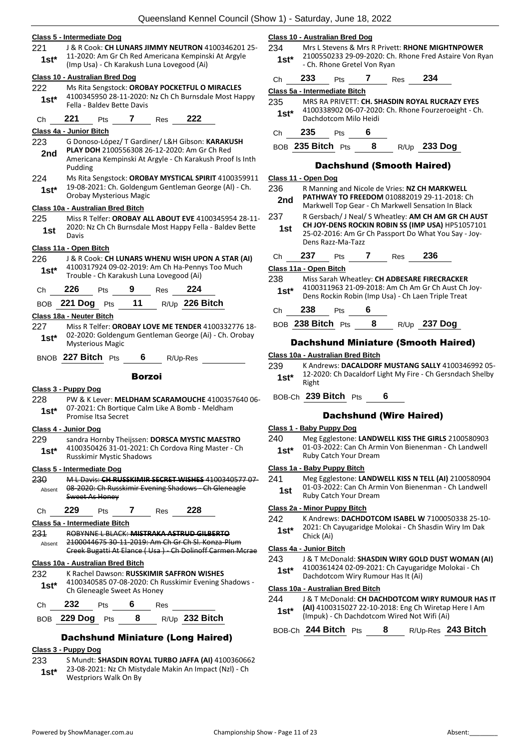#### **Class 5 - Intermediate Dog**

221 J & R Cook: **CH LUNARS JIMMY NEUTRON** 4100346201 25- 11-2020: Am Gr Ch Red Americana Kempinski At Argyle (Imp Usa) - Ch Karakush Luna Lovegood (Ai) **1st\***

#### **Class 10 - Australian Bred Dog**

222 Ms Rita Sengstock: **OROBAY POCKETFUL O MIRACLES** 4100345950 28-11-2020: Nz Ch Ch Burnsdale Most Happy Fella - Baldev Bette Davis **1st\***

#### Ch **221** Pts **7** Res **222**

#### **Class 4a - Junior Bitch**

- 223 G Donoso-López/ T Gardiner/ L&H Gibson: **KARAKUSH PLAY DOH** 2100556308 26-12-2020: Am Gr Ch Red Americana Kempinski At Argyle - Ch Karakush Proof Is Inth Pudding **2nd**
- 224 Ms Rita Sengstock: **OROBAY MYSTICAL SPIRIT** 4100359911 19-08-2021: Ch. Goldengum Gentleman George (Al) - Ch. **1st**\* 19-08-2021: Ch. Goldengu<br>Orobay Mysterious Magic

#### **Class 10a - Australian Bred Bitch**

225 Miss R Telfer: **OROBAY ALL ABOUT EVE** 4100345954 28-11- 2020: Nz Ch Ch Burnsdale Most Happy Fella - Baldev Bette **1st** <sup>2020</sup>

#### **Class 11a - Open Bitch**

226 J & R Cook: **CH LUNARS WHENU WISH UPON A STAR (AI)** 4100317924 09-02-2019: Am Ch Ha-Pennys Too Much Trouble - Ch Karakush Luna Lovegood (Ai) **1st\***

| Ch — | 226 Pts 9            |  | $Res$ 224 |                |
|------|----------------------|--|-----------|----------------|
|      | BOB 221 Dog $Pts$ 11 |  |           | R/Up 226 Bitch |

#### **Class 18a - Neuter Bitch**

227 Miss R Telfer: **OROBAY LOVE ME TENDER** 4100332776 18- 02-2020: Goldengum Gentleman George (Ai) - Ch. Orobay 1st<sup>\*</sup> U<sup>2-2020</sup>: Goldeng<br>Mysterious Magic

BNOB **227 Bitch** Pts **6** R/Up-Res

#### Borzoi

#### **Class 3 - Puppy Dog**

228 PW & K Lever: **MELDHAM SCARAMOUCHE** 4100357640 06- 07-2021: Ch Bortique Calm Like A Bomb - Meldham 1st\* U/-2021: Ch Bortiqu<br>Promise Itsa Secret

#### **Class 4 - Junior Dog**

229 sandra Hornby Theijssen: **DORSCA MYSTIC MAESTRO** 4100350426 31-01-2021: Ch Cordova Ring Master - Ch Russkimir Mystic Shadows **1st\***

#### **Class 5 - Intermediate Dog**

230 M L Davis: **CH RUSSKIMIR SECRET WISHES** 4100340577 07- 08-2020: Ch Russkimir Evening Shadows - Ch Gleneagle Sweet As Honey Absent

#### Ch **229** Pts **7** Res **228**

**Class 5a - Intermediate Bitch**

231 ROBYNNE L BLACK: **MISTRAKA ASTRUD GILBERTO** 2100044675 30-11-2019: Am Ch Gr Ch Sl. Konza-Plum Creek Bugatti At Elance ( Usa ) - Ch Dolinoff Carmen Mcrae Absent

#### **Class 10a - Australian Bred Bitch**

232 K Rachel Dawson: **RUSSKIMIR SAFFRON WISHES**

| $1st*$ | 4100340585 07-08-2020: Ch Russkimir Evening Shadows -<br>Ch Gleneagle Sweet As Honey |            |  |     |  |  |  |  |
|--------|--------------------------------------------------------------------------------------|------------|--|-----|--|--|--|--|
| Ch     | 232                                                                                  | <b>Pts</b> |  | Res |  |  |  |  |

| BOB 229 Dog Pts |  | R/Up 232 Bitch |
|-----------------|--|----------------|
|                 |  |                |

## Dachshund Miniature (Long Haired)

## **Class 3 - Puppy Dog**

- 233 S Mundt: **SHASDIN ROYAL TURBO JAFFA (AI)** 4100360662 23-08-2021: Nz Ch Mistydale Makin An Impact (Nzl) - Ch
- Westpriors Walk On By **1st\***

#### **Class 10 - Australian Bred Dog**

- 234 Mrs L Stevens & Mrs R Privett: **RHONE MIGHTNPOWER** 2100550233 29-09-2020: Ch. Rhone Fred Astaire Von Ryan 1st<sup>\*</sup> 2100330233 29-09-2020. Ch.<br>Ch. Rhone Gretel Von Ryan
- Ch **233** Pts **7** Res **234 Class 5a - Intermediate Bitch**

## 235 MRS RA PRIVETT: **CH. SHASDIN ROYAL RUCRAZY EYES**

4100338902 06-07-2020: Ch. Rhone Fourzeroeight - Ch. Dachdotcom Milo Heidi **1st\***

Ch **235** Pts **6**

BOB **235 Bitch** Pts **8** R/Up **233 Dog**

#### Dachshund (Smooth Haired)

#### **Class 11 - Open Dog**

| 236<br>2nd             |           |                   |   |     | R Manning and Nicole de Vries: NZ CH MARKWELL<br><b>PATHWAY TO FREEDOM 010882019 29-11-2018: Ch</b><br>Markwell Top Gear - Ch Markwell Sensation In Black       |  |
|------------------------|-----------|-------------------|---|-----|-----------------------------------------------------------------------------------------------------------------------------------------------------------------|--|
| 237<br>1st             |           | Dens Razz-Ma-Tazz |   |     | R Gersbach/ J Neal/ S Wheatley: AM CH AM GR CH AUST<br>CH JOY-DENS ROCKIN ROBIN SS (IMP USA) HP51057101<br>25-02-2016: Am Gr Ch Passport Do What You Say - Joy- |  |
| Ch                     | 237       | Pts               |   | Res | 236                                                                                                                                                             |  |
| Class 11a - Open Bitch |           |                   |   |     |                                                                                                                                                                 |  |
| 238<br>$1st*$          |           |                   |   |     | Miss Sarah Wheatley: CH ADBESARE FIRECRACKER<br>4100311963 21-09-2018: Am Ch Am Gr Ch Aust Ch Joy-<br>Dens Rockin Robin (Imp Usa) - Ch Laen Triple Treat        |  |
| Сh                     | 238       | Pts               | 6 |     |                                                                                                                                                                 |  |
|                        | 238 Bitch | Pts               | 8 |     | 237 Dog                                                                                                                                                         |  |

#### Dachshund Miniature (Smooth Haired)

#### **Class 10a - Australian Bred Bitch**

239 K Andrews: **DACALDORF MUSTANG SALLY** 4100346992 05- 12-2020: Ch Dacaldorf Light My Fire - Ch Gersndach Shelby  $1$ st<sup>\*</sup>  $\frac{12-20}{Right}$ 

#### BOB-Ch **239 Bitch** Pts **6**

#### Dachshund (Wire Haired)

#### **Class 1 - Baby Puppy Dog**

240 Meg Egglestone: **LANDWELL KISS THE GIRLS** 2100580903 01-03-2022: Can Ch Armin Von Bienenman - Ch Landwell **1st**\* UL-03-2022: Can Ch Arm<br>Ruby Catch Your Dream

#### **Class 1a - Baby Puppy Bitch**

241 Meg Egglestone: **LANDWELL KISS N TELL (AI)** 2100580904 01-03-2022: Can Ch Armin Von Bienenman - Ch Landwell **1st** U<sub>1</sub>-03-2022: Can Ch Arm<br>Ruby Catch Your Dream

#### **Class 2a - Minor Puppy Bitch**

242 K Andrews: **DACHDOTCOM ISABEL W** 7100050338 25-10- 2021: Ch Cayugaridge Molokai - Ch Shasdin Wiry Im Dak 1st<sup>\*</sup> <sup>2021: Ch</sup><br>Chick (Ai)

#### **Class 4a - Junior Bitch**

243 J & T McDonald: **SHASDIN WIRY GOLD DUST WOMAN (AI)** 4100361424 02-09-2021: Ch Cayugaridge Molokai - Ch **1st**\* 4100361424 02-09-2021: Ch Cayugar<br>Dachdotcom Wiry Rumour Has It (Ai)

#### **Class 10a - Australian Bred Bitch**

- 244 J & T McDonald: **CH DACHDOTCOM WIRY RUMOUR HAS IT**
- **(AI)** 4100315027 22-10-2018: Eng Ch Wiretap Here I Am **1st\*** (AI) 4100315027 22-10-2018: Eng Ch Wiretap<br>(Impuk) - Ch Dachdotcom Wired Not Wifi (Ai)

BOB-Ch **244 Bitch** Pts **8** R/Up-Res **243 Bitch**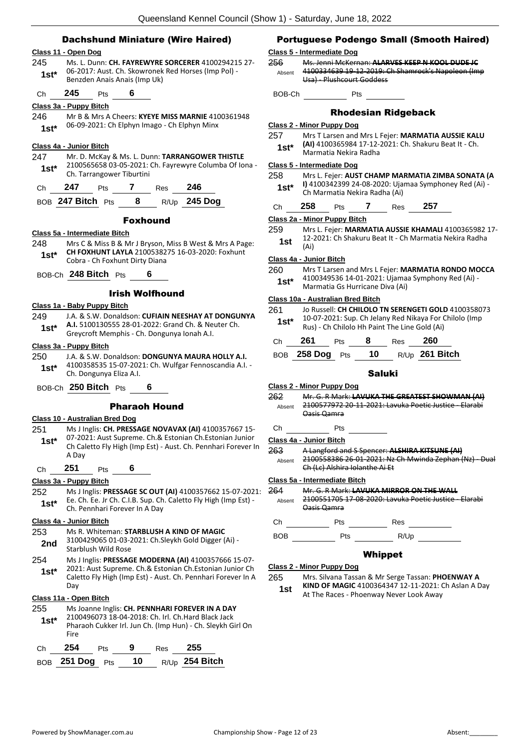### Dachshund Miniature (Wire Haired)

#### **Class 11 - Open Dog**

245 Ms. L. Dunn: **CH. FAYREWYRE SORCERER** 4100294215 27- 06-2017: Aust. Ch. Skowronek Red Horses (Imp Pol) - **1st**\* Ub-2017: Aust. Ch. Skowronek<br>Benzden Anais Anais (Imp Uk)

Ch **245** Pts **6**

#### **Class 3a - Puppy Bitch**

246 Mr B & Mrs A Cheers: **KYEYE MISS MARNIE** 4100361948 06-09-2021: Ch Elphyn Imago - Ch Elphyn Minx **1st\***

#### **Class 4a - Junior Bitch**

247 Mr. D. McKay & Ms. L. Dunn: **TARRANGOWER THISTLE** 2100565658 03-05-2021: Ch. Fayrewyre Columba Of Iona - Ch. Tarrangower Tiburtini **1st\***

| Ch | 247 | Pts | Res | 246 |
|----|-----|-----|-----|-----|
|    |     |     |     |     |

|  | BOB 247 Bitch Pts |  |  |  | $R/Up$ 245 Dog |
|--|-------------------|--|--|--|----------------|
|--|-------------------|--|--|--|----------------|

#### Foxhound

#### **Class 5a - Intermediate Bitch**

- 248 Mrs C & Miss B & Mr J Bryson, Miss B West & Mrs A Page: **CH FOXHUNT LAYLA** 2100538275 16-03-2020: Foxhunt **1st\*** CH FOXHUNT LAYLA 21005382<br>Cobra - Ch Foxhunt Dirty Diana
- BOB-Ch **248 Bitch** Pts **6**

#### Irish Wolfhound

#### **Class 1a - Baby Puppy Bitch**

249 J.A. & S.W. Donaldson: **CUFIAIN NEESHAY AT DONGUNYA A.I.** 5100130555 28-01-2022: Grand Ch. & Neuter Ch. **1st\*** A.I. 5100130555 28-01-2022: Grand Ch. & Net<br>Greycroft Memphis - Ch. Dongunya Ionah A.I.

#### **Class 3a - Puppy Bitch**

- 250 J.A. & S.W. Donaldson: **DONGUNYA MAURA HOLLY A.I.** 4100358535 15-07-2021: Ch. Wulfgar Fennoscandia A.I. - Ch. Dongunya Eliza A.I. **1st\***
- BOB-Ch **250 Bitch** Pts **6**

#### Pharaoh Hound

#### **Class 10 - Australian Bred Dog**

- 251 Ms J Inglis: **CH. PRESSAGE NOVAVAX (AI)** 4100357667 15- 07-2021: Aust Supreme. Ch.& Estonian Ch.Estonian Junior Ch Caletto Fly High (Imp Est) - Aust. Ch. Pennhari Forever In A Day **1st\***
	- Ch **251** Pts **6**

#### **Class 3a - Puppy Bitch**

252 Ms J Inglis: **PRESSAGE SC OUT (AI)** 4100357662 15-07-2021: Ee. Ch. Ee. Jr Ch. C.I.B. Sup. Ch. Caletto Fly High (Imp Est) - **1st**\* E. C. C. E. T. C. C. C. C. B. Sup. C. C. Pennhari Forever In A Day

#### **Class 4a - Junior Bitch**

## 253 Ms R. Whiteman: **STARBLUSH A KIND OF MAGIC**

3100429065 01-03-2021: Ch.Sleykh Gold Digger (Ai) - Starblush Wild Rose **2nd**

254 Ms J Inglis: **PRESSAGE MODERNA (AI)** 4100357666 15-07- 2021: Aust Supreme. Ch.& Estonian Ch.Estonian Junior Ch Caletto Fly High (Imp Est) - Aust. Ch. Pennhari Forever In A Day **1st\***

## **Class 11a - Open Bitch**

| 255<br>$1st^*$ | Fire |     |   |     | Ms Joanne Inglis: CH. PENNHARI FOREVER IN A DAY<br>2100496073 18-04-2018: Ch. Irl. Ch. Hard Black Jack | Pharaoh Cukker Irl. Jun Ch. (Imp Hun) - Ch. Sleykh Girl On |
|----------------|------|-----|---|-----|--------------------------------------------------------------------------------------------------------|------------------------------------------------------------|
| Ch             | 254  | Pts | 9 | Res | 255                                                                                                    |                                                            |

| BOB 251 Dog Pts |  | 10 $R/Up$ 254 Bitch |
|-----------------|--|---------------------|
|                 |  |                     |

## Portuguese Podengo Small (Smooth Haired)

## **Class 5 - Intermediate Dog**

- 256 Ms. Jenni McKernan: **ALARVES KEEP N KOOL DUDE JC** 4100334639 19-12-2019: Ch Shamrock's Napoleon (Imp Usa) - Plushcourt Goddess Absent
- BOB-Ch Pts

## Rhodesian Ridgeback

#### **Class 2 - Minor Puppy Dog**

257 Mrs T Larsen and Mrs L Fejer: **MARMATIA AUSSIE KALU (AI)** 4100365984 17-12-2021: Ch. Shakuru Beat It - Ch. Marmatia Nekira Radha **1st\***

#### **Class 5 - Intermediate Dog**

| 258    | Mrs L. Fejer: AUST CHAMP MARMATIA ZIMBA SONATA (A     |
|--------|-------------------------------------------------------|
| $1st*$ | I) 4100342399 24-08-2020: Ujamaa Symphoney Red (Ai) - |
|        | Ch Marmatia Nekira Radha (Ai)                         |

Ch **258** Pts **7** Res **257**

#### **Class 2a - Minor Puppy Bitch**

- 259 Mrs L. Fejer: **MARMATIA AUSSIE KHAMALI** 4100365982 17- 12-2021: Ch Shakuru Beat It - Ch Marmatia Nekira Radha
- **1st**  $\frac{12}{(Ai)}$

#### **Class 4a - Junior Bitch**

260 Mrs T Larsen and Mrs L Fejer: **MARMATIA RONDO MOCCA** 4100349536 14-01-2021: Ujamaa Symphony Red (Ai) - Marmatia Gs Hurricane Diva (Ai) **1st\***

#### **Class 10a - Australian Bred Bitch**

- 261 Jo Russell: **CH CHILOLO TN SERENGETI GOLD** 4100358073 10-07-2021: Sup. Ch Jelany Red Nikaya For Chilolo (Imp Rus) - Ch Chilolo Hh Paint The Line Gold (Ai) **1st\***
- Ch **261** Pts **8** Res **260** BOB **258 Dog** Pts **10** R/Up **261 Bitch**

#### Saluki

#### **Class 2 - Minor Puppy Dog**

- 262 Mr. G. R Mark: **LAVUKA THE GREATEST SHOWMAN (AI)** 2100577972 20-11-2021: Lavuka Poetic Justice - Elarabi Oasis Qamra Absent
- Ch Pts

#### **Class 4a - Junior Bitch**

263 A Langford and S Spencer: **ALSHIRA KITSUNE (AI)** 2100558386 26-01-2021: Nz Ch Mwinda Zephan (Nz) - Dual Absent

#### **Class 5a - Intermediate Bitch**

- 264 Mr. G. R Mark: **LAVUKA MIRROR ON THE WALL**
	- 2100551705 17-08-2020: Lavuka Poetic Justice Elarabi Oasis Qamra Absent

Ch Pts Res

## BOB Pts R/Up

#### Whippet

#### **Class 2 - Minor Puppy Dog**

265 Mrs. Silvana Tassan & Mr Serge Tassan: **PHOENWAY A KIND OF MAGIC** 4100364347 12-11-2021: Ch Aslan A Day

**1st** KIND OF MAGIC 4100364347 12-11-2021: N<br>At The Races - Phoenway Never Look Away

- Ch (Lc) Alshira Iolanthe Ai Et
- 
-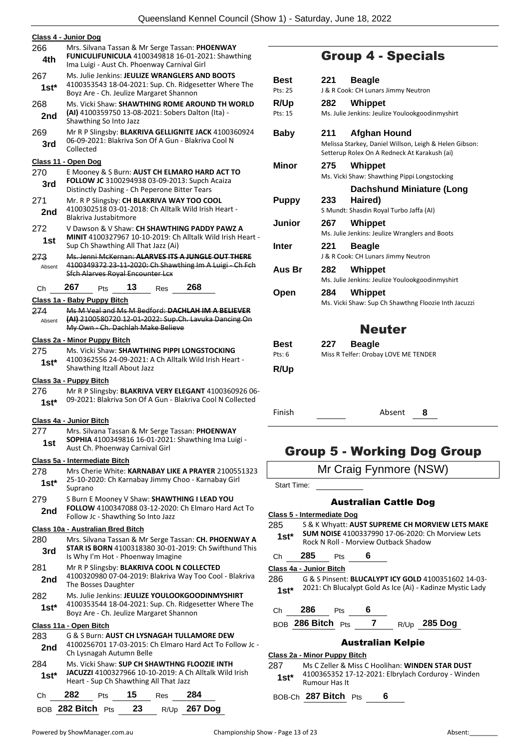|         | Queensland Kennel Council (S                                                                         |  |  |  |  |  |  |  |
|---------|------------------------------------------------------------------------------------------------------|--|--|--|--|--|--|--|
|         | Class 4 - Junior Dog                                                                                 |  |  |  |  |  |  |  |
| 266     |                                                                                                      |  |  |  |  |  |  |  |
|         | Mrs. Silvana Tassan & Mr Serge Tassan: PHOENWAY<br>FUNICULIFUNICULA 4100349818 16-01-2021: Shawthing |  |  |  |  |  |  |  |
| 4th     | Ima Luigi - Aust Ch. Phoenway Carnival Girl                                                          |  |  |  |  |  |  |  |
| 267     | Ms. Julie Jenkins: JEULIZE WRANGLERS AND BOOTS                                                       |  |  |  |  |  |  |  |
| 1st*    | 4100353543 18-04-2021: Sup. Ch. Ridgesetter Where The<br>Boyz Are - Ch. Jeulize Margaret Shannon     |  |  |  |  |  |  |  |
| 268     | Ms. Vicki Shaw: <b>SHAWTHING ROME AROUND TH WORLD</b>                                                |  |  |  |  |  |  |  |
| 2nd     | (AI) 4100359750 13-08-2021: Sobers Dalton (Ita) -<br>Shawthing So Into Jazz                          |  |  |  |  |  |  |  |
| 269     | Mr R P Slingsby: BLAKRIVA GELLIGNITE JACK 4100360924                                                 |  |  |  |  |  |  |  |
| 3rd     | 06-09-2021: Blakriva Son Of A Gun - Blakriva Cool N<br>Collected                                     |  |  |  |  |  |  |  |
|         | Class 11 - Open Dog                                                                                  |  |  |  |  |  |  |  |
| 270     | E Mooney & S Burn: AUST CH ELMARO HARD ACT TO                                                        |  |  |  |  |  |  |  |
| 3rd     | FOLLOW JC 3100294938 03-09-2013: Supch Acaiza<br>Distinctly Dashing - Ch Peperone Bitter Tears       |  |  |  |  |  |  |  |
| 271     | Mr. R P Slingsby: CH BLAKRIVA WAY TOO COOL                                                           |  |  |  |  |  |  |  |
| 2nd     | 4100302518 03-01-2018: Ch Alltalk Wild Irish Heart -<br>Blakriva Justabitmore                        |  |  |  |  |  |  |  |
| 272     | V Dawson & V Shaw: CH SHAWTHING PADDY PAWZ A                                                         |  |  |  |  |  |  |  |
| 1st     | <b>MINIT 4100327967 10-10-2019: Ch Alltalk Wild Irish Heart -</b>                                    |  |  |  |  |  |  |  |
|         | Sup Ch Shawthing All That Jazz (Ai)                                                                  |  |  |  |  |  |  |  |
| 273     | Ms. Jenni McKernan: ALARVES ITS A JUNGLE OUT THERE                                                   |  |  |  |  |  |  |  |
| Absent  | 4100349372 23-11-2020: Ch Shawthing Im A Luigi - Ch Fch<br><b>Sfch Alarves Royal Encounter Lcx</b>   |  |  |  |  |  |  |  |
| Сh      | 267<br>268<br>13<br>Pts<br>Res                                                                       |  |  |  |  |  |  |  |
|         | Class 1a - Baby Puppy Bitch                                                                          |  |  |  |  |  |  |  |
| 274     | Ms M Veal and Ms M Bedford: DACHLAH IM A BELIEVER                                                    |  |  |  |  |  |  |  |
| Absent  | (AI) 2100580720 12-01-2022: Sup.Ch. Lavuka Dancing On<br>My Own Ch. Dachlah Make Believe             |  |  |  |  |  |  |  |
|         | Class 2a - Minor Puppy Bitch                                                                         |  |  |  |  |  |  |  |
| 275     | Ms. Vicki Shaw: SHAWTHING PIPPI LONGSTOCKING                                                         |  |  |  |  |  |  |  |
| $1st*$  | 4100362556 24-09-2021: A Ch Alltalk Wild Irish Heart -<br>Shawthing Itzall About Jazz                |  |  |  |  |  |  |  |
|         | Class 3a - Puppy Bitch                                                                               |  |  |  |  |  |  |  |
| 276     | Mr R P Slingsby: BLAKRIVA VERY ELEGANT 4100360926 06-                                                |  |  |  |  |  |  |  |
| $1st^*$ | 09-2021: Blakriva Son Of A Gun - Blakriva Cool N Collected                                           |  |  |  |  |  |  |  |
|         | Class 4a - Junior Bitch                                                                              |  |  |  |  |  |  |  |
| 277     | Mrs. Silvana Tassan & Mr Serge Tassan: PHOENWAY                                                      |  |  |  |  |  |  |  |
| 1st     | SOPHIA 4100349816 16-01-2021: Shawthing Ima Luigi -<br>Aust Ch. Phoenway Carnival Girl               |  |  |  |  |  |  |  |
|         | Class 5a - Intermediate Bitch                                                                        |  |  |  |  |  |  |  |
| 278     | Mrs Cherie White: KARNABAY LIKE A PRAYER 2100551323                                                  |  |  |  |  |  |  |  |
| 1st*    | 25-10-2020: Ch Karnabay Jimmy Choo - Karnabay Girl<br>Suprano                                        |  |  |  |  |  |  |  |
| 279     | S Burn E Mooney V Shaw: SHAWTHING I LEAD YOU                                                         |  |  |  |  |  |  |  |
|         | FOLLOW 4100347088 03-12-2020: Ch Elmaro Hard Act To                                                  |  |  |  |  |  |  |  |
| 2nd     | Follow Jc - Shawthing So Into Jazz                                                                   |  |  |  |  |  |  |  |
|         | Class 10a - Australian Bred Bitch                                                                    |  |  |  |  |  |  |  |
| 280     | Mrs. Silvana Tassan & Mr Serge Tassan: CH. PHOENWAY A                                                |  |  |  |  |  |  |  |
| 3rd     | <b>STAR IS BORN 4100318380 30-01-2019: Ch Swifthund This</b><br>Is Why I'm Hot - Phoenway Imagine    |  |  |  |  |  |  |  |
| 281     | Mr R P Slingsby: BLAKRIVA COOL N COLLECTED                                                           |  |  |  |  |  |  |  |
| 2nd     | 4100320980 07-04-2019: Blakriva Way Too Cool - Blakriva<br>The Bosses Daughter                       |  |  |  |  |  |  |  |
| 282     | Ms. Julie Jenkins: JEULIZE YOULOOKGOODINMYSHIRT                                                      |  |  |  |  |  |  |  |
| $1st^*$ | 4100353544 18-04-2021: Sup. Ch. Ridgesetter Where The<br>Boyz Are - Ch. Jeulize Margaret Shannon     |  |  |  |  |  |  |  |
|         | Class 11a - Open Bitch                                                                               |  |  |  |  |  |  |  |
| 283     | G & S Burn: AUST CH LYSNAGAH TULLAMORE DEW                                                           |  |  |  |  |  |  |  |
|         | $0.2.2045, Ck$ FI                                                                                    |  |  |  |  |  |  |  |

- 4100256701 17-03-2015: Ch Elmaro Hard Act To Follow Jc **2nd** 4100256701 17-03-2015: Ch Lysnagah Autumn Belle 284 Ms. Vicki Shaw: **SUP CH SHAWTHNG FLOOZIE INTH**
- **JACUZZI** 4100327966 10-10-2019: A Ch Alltalk Wild Irish Heart - Sup Ch Shawthing All That Jazz **1st\***

| Ch. | 282 | <b>Pts</b> | - 15 | Res | - 284                             |
|-----|-----|------------|------|-----|-----------------------------------|
|     |     |            |      |     | BOB 282 Bitch Pts 23 R/Up 267 Dog |

## Group 4 - Specials

|                        | Group 4 - Specials                                                                                                                   |
|------------------------|--------------------------------------------------------------------------------------------------------------------------------------|
| <b>Best</b><br>Pts: 25 | 221<br><b>Beagle</b><br>J & R Cook: CH Lunars Jimmy Neutron                                                                          |
| R/Up<br>Pts: 15        | 282<br>Whippet<br>Ms. Julie Jenkins: Jeulize Youlookgoodinmyshirt                                                                    |
| <b>Baby</b>            | <b>Afghan Hound</b><br>211<br>Melissa Starkey, Daniel Willson, Leigh & Helen Gibson:<br>Setterup Rolex On A Redneck At Karakush (ai) |
| Minor                  | 275<br><b>Whippet</b><br>Ms. Vicki Shaw: Shawthing Pippi Longstocking                                                                |
| <b>Puppy</b>           | <b>Dachshund Miniature (Long</b><br>233<br>Haired)<br>S Mundt: Shasdin Royal Turbo Jaffa (AI)                                        |
| Junior                 | 267<br><b>Whippet</b><br>Ms. Julie Jenkins: Jeulize Wranglers and Boots                                                              |
| <b>Inter</b>           | 221<br><b>Beagle</b><br>J & R Cook: CH Lunars Jimmy Neutron                                                                          |
| Aus Br                 | 282<br><b>Whippet</b><br>Ms. Julie Jenkins: Jeulize Youlookgoodinmyshirt                                                             |
| Open                   | 284<br>Whippet<br>Ms. Vicki Shaw: Sup Ch Shawthng Floozie Inth Jacuzzi                                                               |
|                        | <b>Neuter</b>                                                                                                                        |
| Best<br>Pts: 6         | 227<br><b>Beagle</b><br>Miss R Telfer: Orobay LOVE ME TENDER                                                                         |
| R/Up                   |                                                                                                                                      |
|                        |                                                                                                                                      |
| Finish                 | Absent<br>8                                                                                                                          |
|                        | <b>Group 5 - Working Dog Group</b>                                                                                                   |
|                        | Mr Craig Fynmore (NSW)                                                                                                               |
| <b>Start Time:</b>     |                                                                                                                                      |

#### Australian Cattle Dog

#### **Class 5 - Intermediate Dog**

285 S & K Whyatt: **AUST SUPREME CH MORVIEW LETS MAKE SUM NOISE** 4100337990 17-06-2020: Ch Morview Lets **1st\* 5UM NOISE** 4100337990 17-06-2020: CI<br>Rock N Roll - Morview Outback Shadow

### Ch **285** Pts **6**

#### **Class 4a - Junior Bitch**



Ch **286** Pts **6**

## BOB **286 Bitch** Pts **7** R/Up **285 Dog**

## Australian Kelpie

#### **Class 2a - Minor Puppy Bitch**

287 Ms C Zeller & Miss C Hoolihan: **WINDEN STAR DUST** 4100365352 17-12-2021: Elbrylach Corduroy - Winden **1st**\* 4100365352 1.<br>Rumour Has It

BOB-Ch **287 Bitch** Pts **6**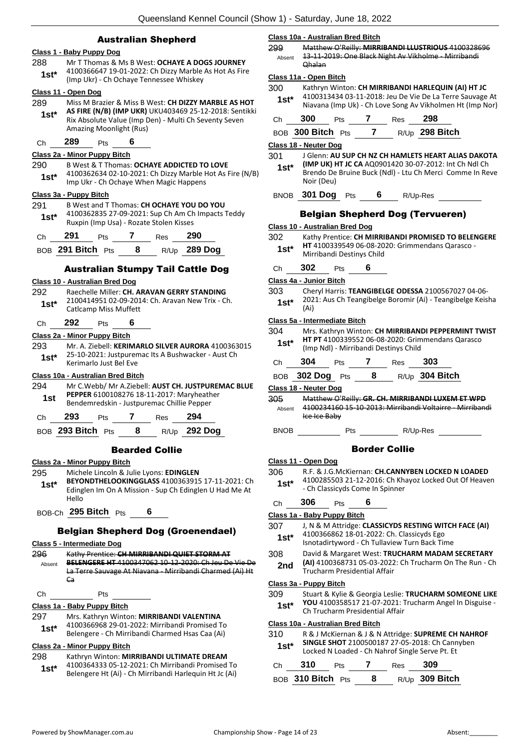### Australian Shepherd

#### **Class 1 - Baby Puppy Dog**

- 288 Mr T Thomas & Ms B West: **OCHAYE A DOGS JOURNEY** 4100366647 19-01-2022: Ch Dizzy Marble As Hot As Fire
- (Imp Ukr) Ch Ochaye Tennessee Whiskey **1st\***

### **Class 11 - Open Dog**

- 289 Miss M Brazier & Miss B West: **CH DIZZY MARBLE AS HOT AS FIRE (N/B) (IMP UKR)** UKU403469 25-12-2018: Sentikki Rix Absolute Value (Imp Den) - Multi Ch Seventy Seven Amazing Moonlight (Rus) **1st\***
- Ch **289** Pts **6**

#### **Class 2a - Minor Puppy Bitch**

#### 290 B West & T Thomas: **OCHAYE ADDICTED TO LOVE**

4100362634 02-10-2021: Ch Dizzy Marble Hot As Fire (N/B) Imp Ukr - Ch Ochaye When Magic Happens **1st\***

#### **Class 3a - Puppy Bitch**

- 291 B West and T Thomas: **CH OCHAYE YOU DO YOU** 4100362835 27-09-2021: Sup Ch Am Ch Impacts Teddy
- 1st\* 4100362835 27-09-2021: Sup Ch Am Ch<br>Ruxpin (Imp Usa) Rozate Stolen Kisses

| Ch | - 291             | Pts. | Res | - 290        |
|----|-------------------|------|-----|--------------|
|    | BOB 291 Bitch Pts |      |     | R/Up 289 Dog |

#### Australian Stumpy Tail Cattle Dog

#### **Class 10 - Australian Bred Dog**

#### 292 Raechelle Miller: **CH. ARAVAN GERRY STANDING**

- 2100414951 02-09-2014: Ch. Aravan New Trix Ch. **1st\*** <u>Catlcamp</u> Miss Muffett
- Ch **292** Pts **6**

#### **Class 2a - Minor Puppy Bitch**

293 Mr. A. Ziebell: **KERIMARLO SILVER AURORA** 4100363015 25-10-2021: Justpuremac Its A Bushwacker - Aust Ch **1st**\* 25-10-2021: Justpurer<br>Kerimarlo Just Bel Eve

#### **Class 10a - Australian Bred Bitch**

294 Mr C.Webb/ Mr A.Ziebell: **AUST CH. JUSTPUREMAC BLUE PEPPER** 6100108276 18-11-2017: Maryheather **1st PEPPER 6100108276 18-11-2017: Maryheath**<br>Bendemredskin - Justpuremac Chillie Pepper

| צטע | ເວ |  | 94 |
|-----|----|--|----|
|     |    |  |    |

BOB **293 Bitch** Pts **8** R/Up **292 Dog**

#### Bearded Collie

#### **Class 2a - Minor Puppy Bitch**

- 295 Michele Lincoln & Julie Lyons: **EDINGLEN BEYONDTHELOOKINGGLASS** 4100363915 17-11-2021: Ch Edinglen Im On A Mission - Sup Ch Edinglen U Had Me At Hello **1st\***
- BOB-Ch **295 Bitch** Pts **6**

#### Belgian Shepherd Dog (Groenendael)

#### **Class 5 - Intermediate Dog**

- 296 Kathy Prentice: **CH MIRRIBANDI QUIET STORM AT BELENGERE HT** 4100347062 10-12-2020: Ch Jeu De Vie De La Terre Sauvage At Niavana - Mirribandi Charmed (Ai) Ht Ca Absent
- Ch Pts

**Class 1a - Baby Puppy Bitch**

| 297    | Mrs. Kathryn Winton: MIRRIBANDI VALENTINA     |
|--------|-----------------------------------------------|
| $1st*$ | 4100366968 29-01-2022: Mirribandi Promised To |
|        | $D - 1 - 1 - 1 - 2 - 3 = 0$                   |

Belengere - Ch Mirribandi Charmed Hsas Caa (Ai)

## **Class 2a - Minor Puppy Bitch**

## 298 Kathryn Winton: **MIRRIBANDI ULTIMATE DREAM**

4100364333 05-12-2021: Ch Mirribandi Promised To Belengere Ht (Ai) - Ch Mirribandi Harlequin Ht Jc (Ai) **1st\***

#### **Class 10a - Australian Bred Bitch**

299 Matthew O'Reilly: **MIRRIBANDI LLUSTRIOUS** 4100328696 13-11-2019: One Black Night Av Vikholme - Mirribandi Qhalan Absent

#### **Class 11a - Open Bitch**

- 300 Kathryn Winton: **CH MIRRIBANDI HARLEQUIN (AI) HT JC**
- 4100313434 03-11-2018: Jeu De Vie De La Terre Sauvage At Niavana (Imp Uk) - Ch Love Song Av Vikholmen Ht (Imp Nor) **1st\***

| ------- |  | ------- |  |
|---------|--|---------|--|

| BOB 300 Bitch Pts |  | R/Up 298 Bitch |
|-------------------|--|----------------|
|                   |  |                |

#### **Class 18 - Neuter Dog**

- 301 J Glenn: **AU SUP CH NZ CH HAMLETS HEART ALIAS DAKOTA (IMP UK) HT JC CA** AQ0901420 30-07-2012: Int Ch Ndl Ch Brendo De Bruine Buck (Ndl) - Ltu Ch Merci Comme In Reve Noir (Deu) **1st\***
- BNOB **301 Dog** Pts **6** R/Up-Res

#### Belgian Shepherd Dog (Tervueren)

|  | Class 10 - Australian Bred Dog |  |
|--|--------------------------------|--|
|  |                                |  |

- 302 Kathy Prentice: **CH MIRRIBANDI PROMISED TO BELENGERE HT** 4100339549 06-08-2020: Grimmendans Qarasco - Mirribandi Destinys Child **1st\*** Ch **302** Pts **6 Class 4a - Junior Bitch**
- 303 Cheryl Harris: **TEANGIBELGE ODESSA** 2100567027 04-06- 2021: Aus Ch Teangibelge Boromir (Ai) - Teangibelge Keisha (Ai) **1st\***

#### **Class 5a - Intermediate Bitch**

- 304 Mrs. Kathryn Winton: **CH MIRRIBANDI PEPPERMINT TWIST HT PT** 4100339552 06-08-2020: Grimmendans Qarasco (Imp Ndl) - Mirribandi Destinys Child **1st\***
- Ch **304** Pts **7** Res **303**

| BOB $302$ Dog Pts |  | $R/Up$ 304 Bitch |
|-------------------|--|------------------|
|                   |  |                  |

**Class 18 - Neuter Dog**

305 Matthew O'Reilly: **GR. CH. MIRRIBANDI LUXEM ET WPD** 4100234160 15-10-2013: Mirribandi Voltairre - Mirribandi Ice Ice Baby Absent

## BNOB Pts R/Up-Res

#### Border Collie

#### **Class 11 - Open Dog**

- 306 R.F. & J.G.McKiernan: **CH.CANNYBEN LOCKED N LOADED**
- 4100285503 21-12-2016: Ch Khayoz Locked Out Of Heaven 1st\* 4100285503 21-12-2016: Ch Kha<br>Ch Classicyds Come In Spinner

## Ch **306** Pts **6 Class 1a - Baby Puppy Bitch**

- 307 J, N & M Attridge: **CLASSICYDS RESTING WITCH FACE (AI)** 4100366862 18-01-2022: Ch. Classicyds Ego 1st\* 4100366862 18-01-2022: Ch. Classicyds Ego<br>Isnotadirtyword - Ch Tullaview Turn Back Time
- 308 David & Margaret West: **TRUCHARM MADAM SECRETARY (AI)** 4100368731 05-03-2022: Ch Trucharm On The Run - Ch 2nd (AI) 4100368731 05-03-2022<br>Trucharm Presidential Affair

#### **Class 3a - Puppy Bitch**

- 309 Stuart & Kylie & Georgia Leslie: **TRUCHARM SOMEONE LIKE YOU** 4100358517 21-07-2021: Trucharm Angel In Disguise -
- **1st\* 100** 4100338517 21-07-2021: I

### **Class 10a - Australian Bred Bitch**

- 310 R & J McKiernan & J & N Attridge: **SUPREME CH NAHROF SINGLE SHOT** 2100500187 27-05-2018: Ch Cannyben
	- Locked N Loaded Ch Nahrof Single Serve Pt. Et **1st\***

| Ch — | -310                 | Pts | Res | -309             |
|------|----------------------|-----|-----|------------------|
|      | BOB 310 Bitch $P$ ts |     |     | $R/Up$ 309 Bitch |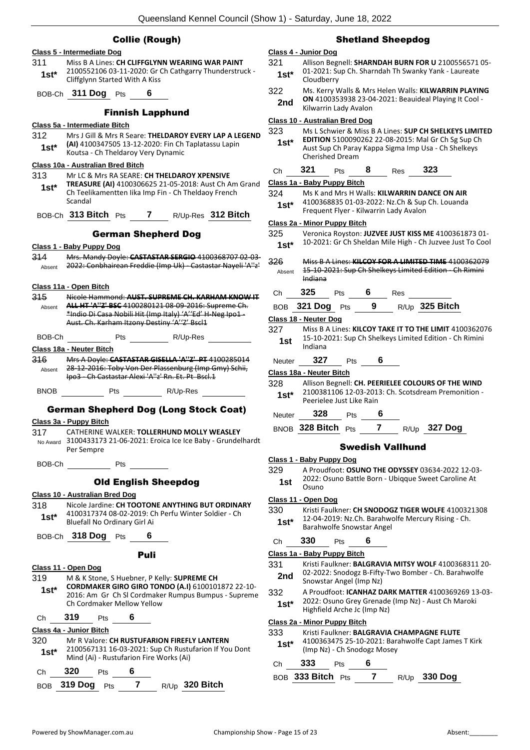### Collie (Rough)

|             | Class 5 - Intermediate Dog                                                                                              |
|-------------|-------------------------------------------------------------------------------------------------------------------------|
| 311         | Miss B A Lines: CH CLIFFGLYNN WEARING WAR PAINT                                                                         |
| $1st*$      | 2100552106 03-11-2020: Gr Ch Cathgarry Thunderstruck -<br>Cliffglynn Started With A Kiss                                |
|             | BOB-Ch 311 Dog Pts<br>6                                                                                                 |
|             | <b>Finnish Lapphund</b>                                                                                                 |
|             | Class 5a - Intermediate Bitch                                                                                           |
| 312         | Mrs J Gill & Mrs R Seare: THELDAROY EVERY LAP A LEGEND                                                                  |
| $1st*$      | (AI) 4100347505 13-12-2020: Fin Ch Taplatassu Lapin<br>Koutsa - Ch Theldaroy Very Dynamic                               |
|             | Class 10a - Australian Bred Bitch                                                                                       |
| 313         | Mr LC & Mrs RA SEARE: CH THELDAROY XPENSIVE                                                                             |
| $1st^*$     | TREASURE (AI) 4100306625 21-05-2018: Aust Ch Am Grand<br>Ch Teelikamentten Iika Imp Fin - Ch Theldaoy French<br>Scandal |
|             | BOB-Ch 313 Bitch Pts 7 R/Up-Res 312 Bitch                                                                               |
|             | <b>German Shepherd Dog</b>                                                                                              |
|             | <u> Class 1 - Baby Puppy Dog</u>                                                                                        |
| 314         | Mrs. Mandy Doyle: CASTASTAR SERGIO 4100368707 02-03-                                                                    |
| Absent      | 2022: Conbhairean Freddie (Imp Uk) - Castastar Nayeli 'A"z'                                                             |
|             |                                                                                                                         |
|             | Class 11a - Open Bitch                                                                                                  |
| 345         | Nicole Hammond: AUST, SUPREME CH, KARHAM KNOW IT<br>ALL HT 'A"Z' BSC 4100280121 08-09-2016: Supreme Ch.                 |
| Absent      | *Indio Di Casa Nobili Hit (Imp Italy) 'A''Ed' H Neg Ipo1-                                                               |
|             | Aust. Ch. Karham Itzony Destiny 'A''Z' Bscl1                                                                            |
| BOB-Ch      | R/Up-Res<br>Pts                                                                                                         |
|             | Class 18a - Neuter Bitch                                                                                                |
| 316         | Mrs A Doyle: CASTASTAR GISELLA 'A"Z' PT 4100285014                                                                      |
| Absent      | 28-12-2016: Toby Von Der Plassenburg (Imp Gmy) Schii,                                                                   |
|             | Ipo3 Ch Castastar Alexi 'A''z' Rn. Et. Pt Bscl.1                                                                        |
| <b>BNOB</b> | Pts<br>R/Up-Res                                                                                                         |
|             | <b>German Shepherd Dog (Long Stock Coat)</b>                                                                            |
|             | Class 3a - Puppy Bitch                                                                                                  |
| 317         | CATHERINE WALKER: TOLLERHUND MOLLY WEASLEY                                                                              |
|             | No Award 3100433173 21-06-2021: Eroica Ice Ice Baby - Grundelhardt<br>Per Sempre                                        |
| BOB-Ch      | <b>Example 19</b> Pts                                                                                                   |
|             | <b>Old English Sheepdog</b>                                                                                             |
|             | Class 10 - Australian Bred Dog                                                                                          |
| 318         | Nicole Jardine: CH TOOTONE ANYTHING BUT ORDINARY                                                                        |
| $1st^*$     | 4100317374 08-02-2019: Ch Perfu Winter Soldier - Ch<br>Bluefall No Ordinary Girl Ai                                     |
|             | BOB-Ch 318 Dog Pts 6                                                                                                    |
|             | Puli                                                                                                                    |
|             | Class 11 - Open Dog                                                                                                     |
| 319         | M & K Stone, S Huebner, P Kelly: SUPREME CH                                                                             |
| 1st* i      | CORDMAKER GIRO GIRO TONDO (A.I) 6100101872 22-10-                                                                       |
|             | 2016: Am Gr Ch SI Cordmaker Rumpus Bumpus - Supreme<br>Ch Cordmaker Mellow Yellow                                       |
| Ch          | 319<br>6<br><b>Pts</b>                                                                                                  |
|             | Class 4a - Junior Bitch                                                                                                 |
| 320         | Mr R Valore: CH RUSTUFARION FIREFLY LANTERN                                                                             |
| $1st*$      | 2100567131 16-03-2021: Sup Ch Rustufarion If You Dont<br>Mind (Ai) - Rustufarion Fire Works (Ai)                        |
| Сh          | 320<br>6<br>Pts                                                                                                         |
| <b>BOB</b>  | $\mathbf{7}$<br>R/Up 320 Bitch<br>319 Dog<br><b>Pts</b>                                                                 |

#### Shetland Sheepdog

#### **Class 4 - Junior Dog**

- 321 Allison Begnell: **SHARNDAH BURN FOR U** 2100556571 05- 01-2021: Sup Ch. Sharndah Th Swanky Yank - Laureate 1st<sup>\*</sup> <sup>01-2021: St</sup><br>Cloudberry
- 322 Ms. Kerry Walls & Mrs Helen Walls: **KILWARRIN PLAYING ON** 4100353938 23-04-2021: Beauideal Playing It Cool - 2nd UN 4100353938 23-04<br>Kilwarrin Lady Avalon

#### **Class 10 - Australian Bred Dog**

323 Ms L Schwier & Miss B A Lines: **SUP CH SHELKEYS LIMITED EDITION** 5100090262 22-08-2015: Mal Gr Ch Sg Sup Ch Aust Sup Ch Paray Kappa Sigma Imp Usa - Ch Shelkeys Cherished Dream **1st\***

## Ch **321** Pts **8** Res **323**

## **Class 1a - Baby Puppy Bitch**

- 324 Ms K and Mrs H Walls: **KILWARRIN DANCE ON AIR**
	- 4100368835 01-03-2022: Nz.Ch & Sup Ch. Louanda
	- Frequent Flyer Kilwarrin Lady Avalon **1st\***

#### **Class 2a - Minor Puppy Bitch**

| 325    | Veronica Royston: JUZVEE JUST KISS ME 4100361873 01-      |
|--------|-----------------------------------------------------------|
| $1st*$ | 10-2021: Gr Ch Sheldan Mile High - Ch Juzvee Just To Cool |

- 326 Miss B A Lines: **KILCOY FOR A LIMITED TIME** 4100362079 15-10-2021: Sup Ch Shelkeys Limited Edition - Ch Rimini Indiana Absent
- Ch **325** Pts **6** Res

|  | BOB 321 Dog Pts |  |  |  | $R/Up$ 325 Bitch |
|--|-----------------|--|--|--|------------------|
|--|-----------------|--|--|--|------------------|

#### **Class 18 - Neuter Dog**

327 Miss B A Lines: **KILCOY TAKE IT TO THE LIMIT** 4100362076 15-10-2021: Sup Ch Shelkeys Limited Edition - Ch Rimini Indiana **1st**

#### Neuter **327** Pts **6**

#### **Class 18a - Neuter Bitch**

328 Allison Begnell: **CH. PEERIELEE COLOURS OF THE WIND** 2100381106 12-03-2013: Ch. Scotsdream Premonition - Peerielee Just Like Rain **1st\***

#### Neuter **328** Pts **6**

## BNOB **328 Bitch** Pts **7** R/Up **327 Dog**

#### Swedish Vallhund

- **Class 1 - Baby Puppy Dog**
- 329 A Proudfoot: **OSUNO THE ODYSSEY** 03634-2022 12-03-
- 2022: Osuno Battle Born Ubiqque Sweet Caroline At 1st 2022:

#### **Class 11 - Open Dog**

330 Kristi Faulkner: **CH SNODOGZ TIGER WOLFE** 4100321308 12-04-2019: Nz.Ch. Barahwolfe Mercury Rising - Ch. **1st**\* 12-04-2019: Nz.Ch. Barahwolfe Snowstar Angel

## Ch **330** Pts **6**

**Class 1a - Baby Puppy Bitch**

- 331 Kristi Faulkner: **BALGRAVIA MITSY WOLF** 4100368311 20- 02-2022: Snodogz B-Fifty-Two Bomber - Ch. Barahwolfe 2nd U2-2022: Snowstar Angel (Imp Nz)
- 332 A Proudfoot: **ICANHAZ DARK MATTER** 4100369269 13-03- 2022: Osuno Grey Grenade (Imp Nz) - Aust Ch Maroki 1st<sup>\*</sup> <sup>2022:</sup> Usuno Grey Grenade<br>Highfield Arche Jc (Imp Nz)

#### **Class 2a - Minor Puppy Bitch**

#### 333 Kristi Faulkner: **BALGRAVIA CHAMPAGNE FLUTE**

4100363475 25-10-2021: Barahwolfe Capt James T Kirk (Imp Nz) - Ch Snodogz Mosey **1st\***

#### Ch **333** Pts **6**

BOB **333 Bitch** Pts **7** R/Up **330 Dog**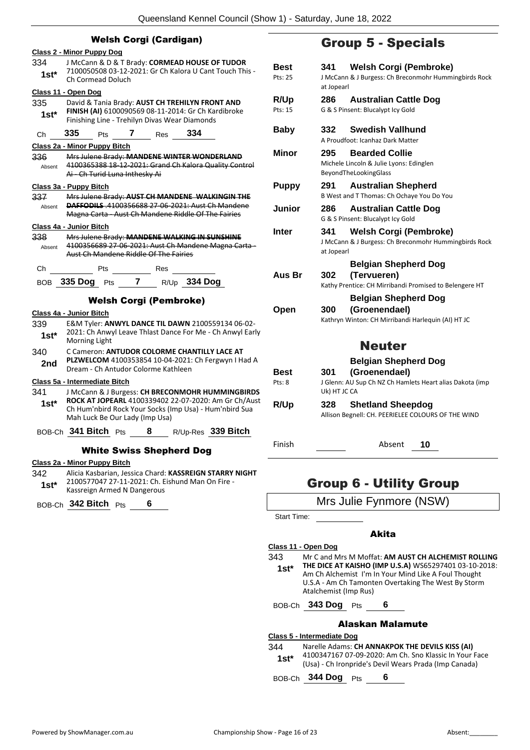|                                          |                                                                                                                                                                       |                            | <b>Group 5 - Special</b> |                                                                                           |
|------------------------------------------|-----------------------------------------------------------------------------------------------------------------------------------------------------------------------|----------------------------|--------------------------|-------------------------------------------------------------------------------------------|
| <b>Class 2 - Minor Puppy Dog</b>         |                                                                                                                                                                       |                            |                          |                                                                                           |
| 334<br>$1st*$                            | J McCann & D & T Brady: CORMEAD HOUSE OF TUDOR<br>7100050508 03-12-2021: Gr Ch Kalora U Cant Touch This -<br>Ch Cormead Doluch                                        | <b>Best</b><br>Pts: 25     | 341<br>at Jopearl        | Welsh Corgi (Pembr<br>J McCann & J Burgess: Ch Breconmohr F                               |
| Class 11 - Open Dog<br>335<br>$1st*$     | David & Tania Brady: AUST CH TREHILYN FRONT AND<br>FINISH (AI) 6100090569 08-11-2014: Gr Ch Kardibroke<br>Finishing Line - Trehilyn Divas Wear Diamonds               | R/Up<br>Pts: 15            | 286                      | <b>Australian Cattle Do</b><br>G & S Pinsent: Blucalypt Icy Gold                          |
| 335<br>Ch                                | 334<br>Pts 7 Res                                                                                                                                                      | <b>Baby</b>                | 332                      | <b>Swedish Vallhund</b><br>A Proudfoot: Icanhaz Dark Matter                               |
| 336<br>Absent                            | Class 2a - Minor Puppy Bitch<br>Mrs Julene Brady: MANDENE WINTER WONDERLAND<br>4100365388 18 12 2021: Grand Ch Kalora Quality Control<br>Ai Ch Turid Luna Inthesky Ai | <b>Minor</b>               | 295                      | <b>Bearded Collie</b><br>Michele Lincoln & Julie Lyons: Edinglen<br>BeyondTheLookingGlass |
| Class 3a - Puppy Bitch<br>337            | Mrs Julene Brady: AUST CH MANDENE WALKINGIN THE                                                                                                                       | <b>Puppy</b>               | 291                      | <b>Australian Shepherd</b><br>B West and T Thomas: Ch Ochaye You D                        |
| Absent                                   | <b>DAFFODILS</b> .4100356688 27-06-2021: Aust Ch Mandene<br>Magna Carta Aust Ch Mandene Riddle Of The Fairies                                                         | Junior                     | 286                      | <b>Australian Cattle Do</b><br>G & S Pinsent: Blucalypt Icy Gold                          |
| Class 4a - Junior Bitch<br>338<br>Absent | Mrs Julene Brady: MANDENE WALKING IN SUNSHINE<br>4100356689 27-06-2021: Aust Ch Mandene Magna Carta -<br>Aust Ch Mandene Riddle Of The Fairies                        | <b>Inter</b>               | 341<br>at Jopearl        | Welsh Corgi (Pembr<br>J McCann & J Burgess: Ch Breconmohr F                               |
|                                          | Ch Pts Res<br>BOB 335 Dog Pts 7 R/Up 334 Dog                                                                                                                          | Aus Br                     | 302                      | <b>Belgian Shepherd De</b><br>(Tervueren)<br>Kathy Prentice: CH Mirribandi Promised       |
| Class 4a - Junior Bitch<br>339<br>$1st*$ | <b>Welsh Corgi (Pembroke)</b><br>E&M Tyler: ANWYL DANCE TIL DAWN 2100559134 06-02-<br>2021: Ch Anwyl Leave Thlast Dance For Me - Ch Anwyl Early                       | Open                       | 300                      | <b>Belgian Shepherd De</b><br>(Groenendael)<br>Kathryn Winton: CH Mirribandi Harlequi     |
| 340<br>2nd                               | <b>Morning Light</b><br>C Cameron: ANTUDOR COLORME CHANTILLY LACE AT<br>PLZWELCOM 4100353854 10-04-2021: Ch Fergwyn I Had A<br>Dream - Ch Antudor Colorme Kathleen    |                            |                          | <b>Neuter</b><br><b>Belgian Shepherd De</b>                                               |
| 341                                      | Class 5a - Intermediate Bitch<br>J McCann & J Burgess: CH BRECONMOHR HUMMINGBIRDS                                                                                     | Best<br>Pts: 8             | 301<br>Uk) HT JC CA      | (Groenendael)<br>J Glenn: AU Sup Ch NZ Ch Hamlets Hear                                    |
| $1st*$                                   | ROCK AT JOPEARL 4100339402 22-07-2020: Am Gr Ch/Aust<br>Ch Hum'nbird Rock Your Socks (Imp Usa) - Hum'nbird Sua<br>Mah Luck Be Our Lady (Imp Usa)                      | R/Up                       | 328                      | <b>Shetland Sheepdog</b><br>Allison Begnell: CH. PEERIELEE COLOURS                        |
|                                          | BOB-Ch 341 Bitch Pts<br>R/Up-Res 339 Bitch<br>8                                                                                                                       | Finish                     |                          | Absent<br>10                                                                              |
|                                          | <b>White Swiss Shepherd Dog</b><br>Class 2a - Minor Puppy Bitch                                                                                                       |                            |                          |                                                                                           |
| 342<br>$1st*$                            | Alicia Kasbarian, Jessica Chard: KASSREIGN STARRY NIGHT<br>2100577047 27-11-2021: Ch. Eishund Man On Fire -<br>Kassreign Armed N Dangerous                            |                            |                          | <b>Group 6 - Utility Group</b>                                                            |
|                                          | BOB-Ch 342 Bitch Pts<br>6                                                                                                                                             |                            |                          | Mrs Julie Fynmore (NS)                                                                    |
|                                          |                                                                                                                                                                       | Start Time:                |                          |                                                                                           |
|                                          |                                                                                                                                                                       | Class 11 - Open Dog<br>343 |                          | <b>Akita</b><br>Mr C and Mrs M Moffat: AM AUST CH AL                                      |

## Group 5 - Specials

| <b>Best</b><br>Pts: 25 | <b>Welsh Corgi (Pembroke)</b><br>341<br>J McCann & J Burgess: Ch Breconmohr Hummingbirds Rock<br>at Jopearl |
|------------------------|-------------------------------------------------------------------------------------------------------------|
| R/Up<br>Pts: 15        | <b>Australian Cattle Dog</b><br>286<br>G & S Pinsent: Blucalypt Icy Gold                                    |
| <b>Baby</b>            | <b>Swedish Vallhund</b><br>332<br>A Proudfoot: Icanhaz Dark Matter                                          |
| <b>Minor</b>           | <b>Bearded Collie</b><br>295<br>Michele Lincoln & Julie Lyons: Edinglen<br>BeyondTheLookingGlass            |
| <b>Puppy</b>           | 291<br><b>Australian Shepherd</b><br>B West and T Thomas: Ch Ochaye You Do You                              |
| Junior                 | <b>Australian Cattle Dog</b><br>286<br>G & S Pinsent: Blucalypt Icy Gold                                    |
| Inter                  | <b>Welsh Corgi (Pembroke)</b><br>341<br>J McCann & J Burgess: Ch Breconmohr Hummingbirds Rock<br>at Jopearl |
|                        | <b>Belgian Shepherd Dog</b>                                                                                 |
| Aus Br                 | (Tervueren)<br>302<br>Kathy Prentice: CH Mirribandi Promised to Belengere HT                                |
| Open                   | <b>Belgian Shepherd Dog</b><br>(Groenendael)<br>300<br>Kathryn Winton: CH Mirribandi Harlequin (AI) HT JC   |
|                        | <b>Neuter</b>                                                                                               |
|                        | <b>Belgian Shepherd Dog</b>                                                                                 |
| Best<br>Pts: 8         | (Groenendael)<br>301<br>J Glenn: AU Sup Ch NZ Ch Hamlets Heart alias Dakota (imp<br>Uk) HT JC CA            |
|                        | <b>Shetland Sheepdog</b><br>328                                                                             |

## Group 6 - Utility Group

| Mrs Julie Fynmore (NSW) |  |
|-------------------------|--|
|-------------------------|--|

### Akita

**Class 11 - Open Dog** 343 Mr C and Mrs M Moffat: **AM AUST CH ALCHEMIST ROLLING THE DICE AT KAISHO (IMP U.S.A)** WS65297401 03-10-2018: Am Ch Alchemist I'm In Your Mind Like A Foul Thought U.S.A - Am Ch Tamonten Overtaking The West By Storm Atalchemist (Imp Rus) **1st\***

BOB-Ch **343 Dog** Pts **6**

#### Alaskan Malamute

#### **Class 5 - Intermediate Dog**

344 Narelle Adams: **CH ANNAKPOK THE DEVILS KISS (AI)** 4100347167 07-09-2020: Am Ch. Sno Klassic In Your Face (Usa) - Ch Ironpride's Devil Wears Prada (Imp Canada) **1st\***

BOB-Ch **344 Dog** Pts **6**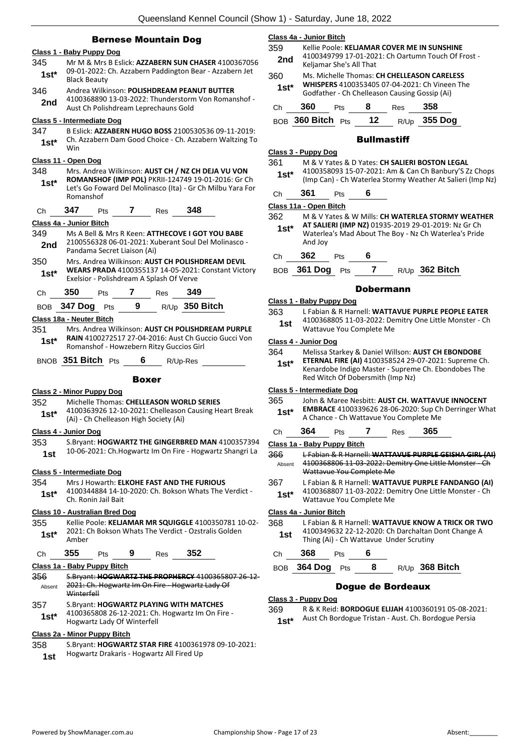|               | <b>Bernese Mountain Dog</b><br>Class 1 - Baby Puppy Dog                                                                                 | Class 4a -<br>359           |  |
|---------------|-----------------------------------------------------------------------------------------------------------------------------------------|-----------------------------|--|
| 345           | Mr M & Mrs B Eslick: AZZABERN SUN CHASER 4100367056                                                                                     | 2nd                         |  |
| $1st*$        | 09-01-2022: Ch. Azzabern Paddington Bear - Azzabern Jet<br><b>Black Beauty</b>                                                          |                             |  |
| 346           | Andrea Wilkinson: POLISHDREAM PEANUT BUTTER                                                                                             | 1st*                        |  |
| 2nd           | 4100368890 13-03-2022: Thunderstorm Von Romanshof -<br>Aust Ch Polishdream Leprechauns Gold                                             | Ch                          |  |
|               | Class 5 - Intermediate Dog                                                                                                              | BOB <sub>3</sub>            |  |
| 347<br>$1st*$ | B Eslick: AZZABERN HUGO BOSS 2100530536 09-11-2019:<br>Ch. Azzabern Dam Good Choice - Ch. Azzabern Waltzing To<br>Win                   |                             |  |
|               | Class 11 - Open Dog                                                                                                                     | <u> Class 3 - I</u>         |  |
| 348           | Mrs. Andrea Wilkinson: AUST CH / NZ CH DEJA VU VON                                                                                      | 361                         |  |
| $1st*$        | ROMANSHOF (IMP POL) PKRII-124749 19-01-2016: Gr Ch<br>Let's Go Foward Del Molinasco (Ita) - Gr Ch Milbu Yara For                        | $1st*$<br>Ch                |  |
| Ch            | Romanshof<br>347<br>348<br>$\mathbf{7}$<br><b>Pts</b><br>Res                                                                            | Class 11a                   |  |
|               | <b>Class 4a - Junior Bitch</b>                                                                                                          | 362                         |  |
| 349<br>2nd    | Ms A Bell & Mrs R Keen: ATTHECOVE I GOT YOU BABE<br>2100556328 06-01-2021: Xuberant Soul Del Molinasco -<br>Pandama Secret Liaison (Ai) | $1st^*$                     |  |
| 350           | Mrs. Andrea Wilkinson: AUST CH POLISHDREAM DEVIL                                                                                        | Сh                          |  |
| $1st^*$       | WEARS PRADA 4100355137 14-05-2021: Constant Victory<br>Exelsior - Polishdream A Splash Of Verve                                         | BOB <sub>3</sub>            |  |
| Ch            | 350<br>7<br>349<br>Res<br><b>Pts</b>                                                                                                    |                             |  |
|               | 9 $R/Up$ 350 Bitch<br>BOB 347 Dog Pts                                                                                                   | Class 1 - I                 |  |
|               | Class 18a - Neuter Bitch                                                                                                                | 363                         |  |
| 351           | Mrs. Andrea Wilkinson: AUST CH POLISHDREAM PURPLE                                                                                       | 1st                         |  |
| $1st*$        | RAIN 4100272517 27-04-2016: Aust Ch Guccio Gucci Von<br>Romanshof - Howzebern Ritzy Guccios Girl                                        | Class 4 - .<br>364          |  |
|               | BNOB 351 Bitch Pts<br>6<br>R/Up-Res                                                                                                     | $1st^*$                     |  |
|               | Boxer                                                                                                                                   |                             |  |
|               | <b>Class 2 - Minor Puppy Dog</b>                                                                                                        | $Class 5 - $                |  |
| 352           | Michelle Thomas: CHELLEASON WORLD SERIES                                                                                                | 365                         |  |
| $1st*$        | 4100363926 12-10-2021: Chelleason Causing Heart Break<br>(Ai) - Ch Chelleason High Society (Ai)                                         | $1st^*$                     |  |
|               | Class 4 - Junior Dog                                                                                                                    | Сh                          |  |
| 353<br>1st    | S.Bryant: HOGWARTZ THE GINGERBRED MAN 4100357394<br>10-06-2021: Ch.Hogwartz Im On Fire - Hogwartz Shangri La                            | Class 1a ·<br>366<br>Absent |  |
|               | Class 5 - Intermediate Dog                                                                                                              |                             |  |
| 354           | Mrs J Howarth: ELKOHE FAST AND THE FURIOUS                                                                                              | 367                         |  |
| $1st*$        | 4100344884 14-10-2020: Ch. Bokson Whats The Verdict -<br>Ch. Ronin Jail Bait                                                            | $1st^*$                     |  |
|               | <b>Class 10 - Australian Bred Dog</b>                                                                                                   | <u>Class 4a -</u>           |  |
| 355<br>1st*   | Kellie Poole: KELJAMAR MR SQUIGGLE 4100350781 10-02-<br>2021: Ch Bokson Whats The Verdict - Ozstralis Golden<br>Amber                   | 368<br>1st                  |  |
| Ch            | 355<br>9<br>352<br>Pts<br><b>Res</b>                                                                                                    | Сh                          |  |
|               | Class 1a - Baby Puppy Bitch                                                                                                             | <b>BOB</b>                  |  |
| 356           | S.Bryant: <b>HOGWARTZ THE PROPHERCY</b> 4100365807 26-12-<br>2021: Ch. Hogwartz Im On Fire - Hogwartz Lady Of                           |                             |  |
| Absent        | Winterfell                                                                                                                              |                             |  |
|               |                                                                                                                                         | Class 3 - I                 |  |
| 357<br>$1st*$ | S. Bryant: HOGWARTZ PLAYING WITH MATCHES<br>4100365808 26-12-2021: Ch. Hogwartz Im On Fire -<br>Hogwartz Lady Of Winterfell             | 369<br>1st*                 |  |

#### **Class 2a - Minor Puppy Bitch** 358 S.Bryant: **HOGWARTZ STAR FIRE** 4100361978 09-10-2021:

Hogwartz Drakaris - Hogwartz All Fired Up **1st**

#### **Class 4a - Junior Bitch**

359 Kellie Poole: **KELJAMAR COVER ME IN SUNSHINE** 4100349799 17-01-2021: Ch Oartumn Touch Of Frost - **Keljamar She's All That** 360 Ms. Michelle Thomas: **CH CHELLEASON CARELESS** 

| $1st*$ |     | WHISPERS 4100353405 07-04-2021: Ch Vineen The<br>Godfather - Ch Chelleason Causing Gossip (Ai) |   |     |     |  |
|--------|-----|------------------------------------------------------------------------------------------------|---|-----|-----|--|
| Ch     | 360 | <b>Pts</b>                                                                                     | 8 | Res | 358 |  |

BOB **360 Bitch** Pts **12** R/Up **355 Dog**

#### **Bullmastiff**

#### **Class 3 - Puppy Dog**

361 M & V Yates & D Yates: **CH SALIERI BOSTON LEGAL** 4100358093 15-07-2021: Am & Can Ch Banbury'S Zz Chops (Imp Can) - Ch Waterlea Stormy Weather At Salieri (Imp Nz) **1st\***

| Сh | 361 | ⊃ts | b |
|----|-----|-----|---|
|    |     |     |   |

```
Class 11a - Open Bitch
```

| 362<br>$1st*$ | And Joy | M & V Yates & W Mills: CH WATERLEA STORMY WEATHER<br>AT SALIERI (IMP NZ) 01935-2019 29-01-2019: Nz Gr Ch<br>Waterlea's Mad About The Boy - Nz Ch Waterlea's Pride |  |  |  |
|---------------|---------|-------------------------------------------------------------------------------------------------------------------------------------------------------------------|--|--|--|
| Ch            | 362     | Pts.                                                                                                                                                              |  |  |  |

BOB **361 Dog** Pts **7** R/Up **362 Bitch**

#### Dobermann

#### **Class 1 - Baby Puppy Dog**

| 363 | L Fabian & R Harnell: WATTAVUE PURPLE PEOPLE EATER     |
|-----|--------------------------------------------------------|
| 1st | 4100368805 11-03-2022: Demitry One Little Monster - Ch |
|     | Wattavue You Complete Me                               |

#### **Class 4 - Junior Dog**

| 364    | Melissa Starkey & Daniel Willson: AUST CH EBONDOBE   |
|--------|------------------------------------------------------|
| $1st*$ | ETERNAL FIRE (AI) 4100358524 29-07-2021: Supreme Ch. |
|        | Kenardobe Indigo Master - Supreme Ch. Ebondobes The  |
|        | Red Witch Of Dobersmith (Imp Nz)                     |

#### **Class 5 - Intermediate Dog**

| 365    | John & Maree Nesbitt: AUST CH. WATTAVUE INNOCENT            |
|--------|-------------------------------------------------------------|
| $1st*$ | <b>EMBRACE</b> 4100339626 28-06-2020: Sup Ch Derringer What |
|        | A Chance - Ch Wattavue You Complete Me                      |

## Ch **364** Pts **7** Res **365**

#### **Class 1a - Baby Puppy Bitch**

| 366<br>Absent  | L Fabian & R Harnell: WATTAVUE PURPLE GEISHA GIRL (AI)<br>4100368806 11-03-2022: Demitry One Little Monster - Ch<br>Wattavue You Complete Me |
|----------------|----------------------------------------------------------------------------------------------------------------------------------------------|
| 367<br>$1st^*$ | L Fabian & R Harnell: WATTAVUE PURPLE FANDANGO (AI)<br>4100368807 11-03-2022: Demitry One Little Monster - Ch<br>Wattavue You Complete Me    |

#### **Class 4a - Junior Bitch**

| 368 | L Fabian & R Harnell: WATTAVUE KNOW A TRICK OR TWO                                            |
|-----|-----------------------------------------------------------------------------------------------|
| 1st | 4100349632 22-12-2020: Ch Darchaltan Dont Change A<br>Thing (Ai) - Ch Wattavue Under Scrutiny |

## Ch **368** Pts **6**

BOB **364 Dog** Pts **8** R/Up **368 Bitch**

#### Dogue de Bordeaux

#### **Class 3 - Puppy Dog**

369 R & K Reid: **BORDOGUE ELIJAH** 4100360191 05-08-2021: Aust Ch Bordogue Tristan - Aust. Ch. Bordogue Persia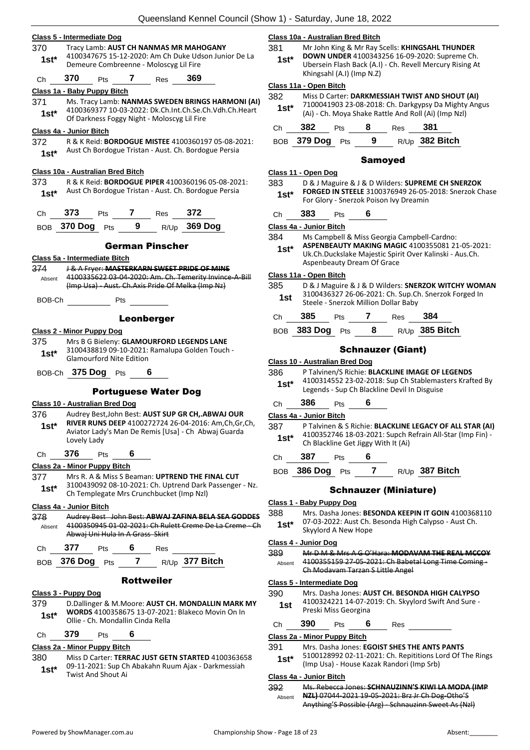|            | Class 5 - Intermediate Dog                                                                                    | Class 10a - Australian Bred Bitch                                                                                        |  |  |  |
|------------|---------------------------------------------------------------------------------------------------------------|--------------------------------------------------------------------------------------------------------------------------|--|--|--|
| 370        | Tracy Lamb: AUST CH NANMAS MR MAHOGANY                                                                        | 381<br>Mr John King & Mr Ray Scells: KHINGSAHL THUNDER                                                                   |  |  |  |
| $1st*$     | 4100347675 15-12-2020: Am Ch Duke Udson Junior De La<br>Demeure Combreenne - Moloscyg Lil Fire                | DOWN UNDER 4100343256 16-09-2020: Supreme Ch.<br>$1st*$<br>Ubersein Flash Back (A.I) - Ch. Revell Mercury Rising At      |  |  |  |
| Ch         | 370<br>$7^{\circ}$<br>369<br>Pts<br>Res                                                                       | Khingsahl (A.I) (Imp N.Z)                                                                                                |  |  |  |
|            | Class 1a - Baby Puppy Bitch                                                                                   | Class 11a - Open Bitch                                                                                                   |  |  |  |
| 371        | Ms. Tracy Lamb: NANMAS SWEDEN BRINGS HARMONI (AI)                                                             | 382<br>Miss D Carter: DARKMESSIAH TWIST AND SHOUT (AI)<br>7100041903 23-08-2018: Ch. Darkgypsy Da Mighty Angus           |  |  |  |
| $1st*$     | 4100369377 10-03-2022: Dk.Ch.Int.Ch.Se.Ch.Vdh.Ch.Heart<br>Of Darkness Foggy Night - Moloscyg Lil Fire         | $1st^*$<br>(Ai) - Ch. Moya Shake Rattle And Roll (Ai) (Imp Nzl)                                                          |  |  |  |
|            | Class 4a - Junior Bitch                                                                                       | 382<br>$\overline{\mathbf{8}}$<br>381<br>Pts<br>Res<br>Ch                                                                |  |  |  |
| 372        | R & K Reid: <b>BORDOGUE MISTEE</b> 4100360197 05-08-2021:                                                     | BOB 379 Dog Pts 9 R/Up 382 Bitch                                                                                         |  |  |  |
| $1st*$     | Aust Ch Bordogue Tristan - Aust. Ch. Bordogue Persia                                                          | <b>Samoyed</b>                                                                                                           |  |  |  |
|            | Class 10a - Australian Bred Bitch                                                                             | Class 11 - Open Dog                                                                                                      |  |  |  |
| 373        | R & K Reid: BORDOGUE PIPER 4100360196 05-08-2021:                                                             | 383<br>D & J Maguire & J & D Wilders: SUPREME CH SNERZOK                                                                 |  |  |  |
| $1st*$     | Aust Ch Bordogue Tristan - Aust. Ch. Bordogue Persia                                                          | FORGED IN STEELE 3100376949 26-05-2018: Snerzok Cha<br>$1st^*$<br>For Glory - Snerzok Poison Ivy Dreamin                 |  |  |  |
| Ch         | 373<br>Pts 7 Res 372                                                                                          | 383<br>6<br><b>Pts</b><br>Ch                                                                                             |  |  |  |
|            | BOB 370 Dog Pts 9 R/Up 369 Dog                                                                                | Class 4a - Junior Bitch                                                                                                  |  |  |  |
|            |                                                                                                               | 384<br>Ms Campbell & Miss Georgia Campbell-Cardno:                                                                       |  |  |  |
|            | <b>German Pinscher</b>                                                                                        | ASPENBEAUTY MAKING MAGIC 4100355081 21-05-2021<br>$1st*$                                                                 |  |  |  |
|            | Class 5a - Intermediate Bitch                                                                                 | Uk.Ch.Duckslake Majestic Spirit Over Kalinski - Aus.Ch.<br>Aspenbeauty Dream Of Grace                                    |  |  |  |
| 374        | J & A Fryer: MASTERKARN SWEET PRIDE OF MINE                                                                   | Class 11a - Open Bitch                                                                                                   |  |  |  |
| Absent     | 4100335622 03-04-2020: Am. Ch. Temerity Invince-A-Bill<br>(Imp Usa) Aust. Ch. Axis Pride Of Melka (Imp Nz)    | 385<br>D & J Maguire & J & D Wilders: SNERZOK WITCHY WOMA                                                                |  |  |  |
| BOB-Ch     | Pts                                                                                                           | 3100436327 26-06-2021: Ch. Sup.Ch. Snerzok Forged In<br>1st<br>Steele - Snerzok Million Dollar Baby                      |  |  |  |
|            | Leonberger                                                                                                    | 385<br>Pts 7 Res 384<br>Ch                                                                                               |  |  |  |
|            | <b>Class 2 - Minor Puppy Dog</b>                                                                              | BOB 383 Dog Pts 8 R/Up 385 Bitch                                                                                         |  |  |  |
| 375        | Mrs B G Bieleny: GLAMOURFORD LEGENDS LANE                                                                     |                                                                                                                          |  |  |  |
| $1st*$     | 3100438819 09-10-2021: Ramalupa Golden Touch -                                                                | <b>Schnauzer (Giant)</b>                                                                                                 |  |  |  |
|            | <b>Glamourford Nite Edition</b>                                                                               | Class 10 - Australian Bred Dog                                                                                           |  |  |  |
|            | BOB-Ch 375 Dog Pts                                                                                            | 386<br>P Talvinen/S Richie: BLACKLINE IMAGE OF LEGENDS                                                                   |  |  |  |
|            |                                                                                                               | 4100314552 23-02-2018: Sup Ch Stablemasters Krafted By<br>$1st^*$                                                        |  |  |  |
|            | <b>Portuguese Water Dog</b>                                                                                   | Legends - Sup Ch Blackline Devil In Disguise                                                                             |  |  |  |
|            | <b>Class 10 - Australian Bred Dog</b>                                                                         | 386<br>6<br>Pts<br>Ch                                                                                                    |  |  |  |
| 376        | Audrey Best, John Best: AUST SUP GR CH,.ABWAJ OUR                                                             | Class 4a - Junior Bitch                                                                                                  |  |  |  |
| $1st*$     | RIVER RUNS DEEP 4100272724 26-04-2016: Am, Ch, Gr, Ch,<br>Aviator Lady's Man De Remis [Usa] - Ch Abwaj Guarda | 387<br>P Talvinen & S Richie: BLACKLINE LEGACY OF ALL STAR (A                                                            |  |  |  |
|            | Lovely Lady                                                                                                   | 4100352746 18-03-2021: Supch Refrain All-Star (Imp Fin)<br>$1st^*$<br>Ch Blackline Get Jiggy With It (Ai)                |  |  |  |
| Ch         | 376<br>6<br>Pts                                                                                               | 387<br>Pts<br>6                                                                                                          |  |  |  |
|            | Class 2a - Minor Puppy Bitch                                                                                  | Ch                                                                                                                       |  |  |  |
| 377        | Mrs R. A & Miss S Beaman: UPTREND THE FINAL CUT                                                               | BOB 386 Dog Pts<br>$\mathbf{7}$<br>R/Up 387 Bitch                                                                        |  |  |  |
| $1st*$     | 3100439092 08-10-2021: Ch. Uptrend Dark Passenger - Nz.<br>Ch Templegate Mrs Crunchbucket (Imp NzI)           | <b>Schnauzer (Miniature)</b>                                                                                             |  |  |  |
|            | <u>Class 4a - Junior Bitch</u>                                                                                | Class 1 - Baby Puppy Dog                                                                                                 |  |  |  |
| 378        | Audrey Best John Best: ABWAJ ZAFINA BELA SEA GODDES                                                           | 388<br>Mrs. Dasha Jones: BESONDA KEEPIN IT GOIN 4100368110                                                               |  |  |  |
| Absent     | 4100350945 01 02 2021: Ch Rulett Creme De La Creme - Ch<br>Abwaj Uni Hula In A Grass Skirt                    | 07-03-2022: Aust Ch. Besonda High Calypso - Aust Ch.<br>$1st^*$<br>Skyylord A New Hope                                   |  |  |  |
| Ch         | 377<br>6<br>Pts<br>Res                                                                                        | <u> Class 4 - Junior Dog</u>                                                                                             |  |  |  |
|            |                                                                                                               | Mr D M & Mrs A G O'Hara: MODAVAM THE REAL MCCOY<br>389                                                                   |  |  |  |
| <b>BOB</b> |                                                                                                               | 4100355159 27-05-2021: Ch Babetal Long Time Coming -<br>Absent                                                           |  |  |  |
|            | 7<br>R/Up 377 Bitch<br>376 Dog Pts                                                                            | Ch Modavam Tarzan S Little Angel                                                                                         |  |  |  |
|            | <b>Rottweiler</b>                                                                                             | Class 5 - Intermediate Dog                                                                                               |  |  |  |
|            | Class 3 - Puppy Dog                                                                                           | Mrs. Dasha Jones: AUST CH. BESONDA HIGH CALYPSO<br>390                                                                   |  |  |  |
| 379        | D. Dallinger & M. Moore: AUST CH. MONDALLIN MARK MY                                                           | 4100324221 14-07-2019: Ch. Skyylord Swift And Sure -<br>1st                                                              |  |  |  |
| $1st^*$    | WORDS 4100358675 13-07-2021: Blakeco Movin On In                                                              | Preski Miss Georgina                                                                                                     |  |  |  |
|            | Ollie - Ch. Mondallin Cinda Rella                                                                             | 390<br>6<br>Pts<br>Ch<br><b>Res</b>                                                                                      |  |  |  |
| Ch         | 379<br>6<br>Pts                                                                                               | Class 2a - Minor Puppy Bitch                                                                                             |  |  |  |
| 380        | Class 2a - Minor Puppy Bitch<br>Miss D Carter: TERRAC JUST GETN STARTED 4100363658                            | 391<br>Mrs. Dasha Jones: EGOIST SHES THE ANTS PANTS<br>5100128992 02-11-2021: Ch. Repititions Lord Of The Ring<br>$1st*$ |  |  |  |

| 381    | Mr John King & Mr Ray Scells: KHINGSAHL THUNDER          |
|--------|----------------------------------------------------------|
| $1st*$ | <b>DOWN UNDER</b> 4100343256 16-09-2020: Supreme Ch.     |
|        | Ubersein Flash Back (A.I) - Ch. Revell Mercury Rising At |

## (Ai) - Ch. Moya Shake Rattle And Roll (Ai) (Imp Nzl) **1st\*** Ch **382** Pts **8** Res **381** BOB **379 Dog** Pts **9** R/Up **382 Bitch** Samoyed

## 383 D & J Maguire & J & D Wilders: **SUPREME CH SNERZOK STEELE** 3100376949 26-05-2018: Snerzok Chase **Snerzok Poison Ivy Dreamin**

- Ill & Miss Georgia Campbell-Cardno:
- **ASPENBEAUTY MAKING MAGIC** 4100355081 21-05-2021: slake Majestic Spirit Over Kalinski - Aus.Ch. ty Dream Of Grace

#### **Class 11a - Open Bitch**

| 385 |  |  |  | D & J Maguire & J & D Wilders: SNERZOK WITCHY WOMAN |
|-----|--|--|--|-----------------------------------------------------|
|     |  |  |  |                                                     |

| Ch | 385             | <b>Pts</b> | Res | -384             |
|----|-----------------|------------|-----|------------------|
|    | BOB 383 Dog Pts |            |     | $R/Up$ 385 Bitch |

## Schnauzer (Giant)

#### **Class 10 - Australian Bred Dog**

| 386    | P Talvinen/S Richie: BLACKLINE IMAGE OF LEGENDS                                                        |
|--------|--------------------------------------------------------------------------------------------------------|
| $1st*$ | 4100314552 23-02-2018: Sup Ch Stablemasters Krafted By<br>Legends - Sup Ch Blackline Devil In Disguise |

## Ch **386** Pts **6**

- **S Richie: BLACKLINE LEGACY OF ALL STAR (AI)** 4100352746 18-03-2021: Supch Refrain All-Star (Imp Fin) - **Get Jiggy With It (Ai)** 
	- Ch **387** Pts **6**
		- BOB **386 Dog** Pts **7** R/Up **387 Bitch**

## hnauzer (Miniature)

#### $Doq$

- 388 Mrs. Dasha Jones: **BESONDA KEEPIN IT GOIN** 4100368110 Aust Ch. Besonda High Calypso - Aust Ch.
- **New Hope**
- 389 Mr D M & Mrs A G O'Hara: **MODAVAM THE REAL MCCOY** .....<br>3 27-05-2021: Ch Babetal Long Time Coming m Tarzan S Little Angel

## **Class 5 - Intermediate Dog**

#### Jones: **AUST CH. BESONDA HIGH CALYPSO** . 14-07-2019: Ch. Skyylord Swift And Sure -Georgina

## **Class 2a - Minor Puppy Bitch**

- **Jones: EGOIST SHES THE ANTS PANTS**
- 2 02-11-2021: Ch. Repititions Lord Of The Rings
- (Imp Usa) House Kazak Randori (Imp Srb) **1st\***

## **Class 4a - Junior Bitch**

392 Ms. Rebecca Jones: **SCHNAUZINN'S KIWI LA MODA (IMP NZL)** 07044-2021 19-05-2021: Brz Jr Ch Dog-Otho'S Anything'S Possible (Arg) - Schnauzinn Sweet As (Nzl) Absent

09-11-2021: Sup Ch Abakahn Ruum Ajax - Darkmessiah **1st**\* U9-11-2021: Sup Chart Twist And Shout Ai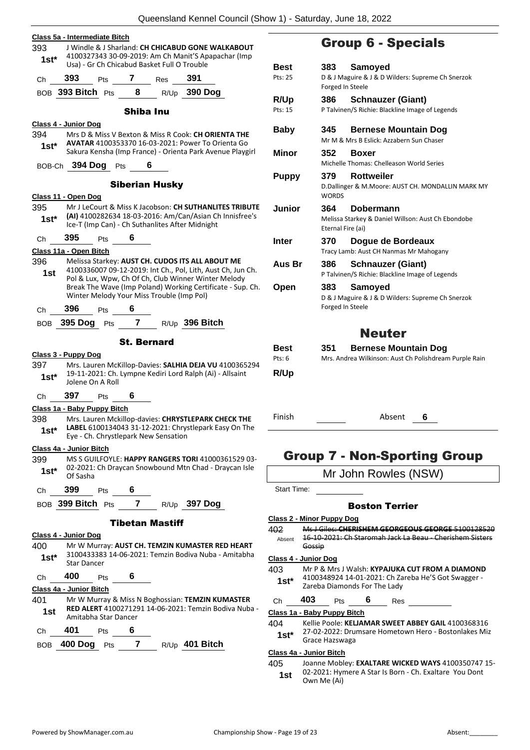|         | xaccholana itomici Ocanoli (Onow T)                                                                        |                                   |
|---------|------------------------------------------------------------------------------------------------------------|-----------------------------------|
|         | Class 5a - Intermediate Bitch                                                                              |                                   |
| 393     | J Windle & J Sharland: CH CHICABUD GONE WALKABOUT                                                          |                                   |
| $1st^*$ | 4100327343 30-09-2019: Am Ch Manit'S Apapachar (Imp<br>Usa) - Gr Ch Chicabud Basket Full O Trouble         |                                   |
|         |                                                                                                            | Best                              |
| Ch      | 393<br>$\overline{7}$<br>391<br>Res<br>Pts                                                                 | Pts: 25                           |
|         | BOB 393 Bitch Pts 8 R/Up<br>390 Dog                                                                        |                                   |
|         |                                                                                                            | R/Up<br>Pts: 15                   |
|         | <b>Shiba Inu</b>                                                                                           |                                   |
|         | Class 4 - Junior Dog                                                                                       | <b>Baby</b>                       |
| 394     | Mrs D & Miss V Bexton & Miss R Cook: CH ORIENTA THE<br>AVATAR 4100353370 16-03-2021: Power To Orienta Go   |                                   |
| 1st*    | Sakura Kensha (Imp France) - Orienta Park Avenue Playgirl                                                  | Minor                             |
|         | BOB-Ch 394 Dog Pts<br>6                                                                                    |                                   |
|         |                                                                                                            | <b>Puppy</b>                      |
|         | <b>Siberian Husky</b>                                                                                      |                                   |
|         | Class 11 - Open Dog                                                                                        |                                   |
| 395     | Mr J LeCourt & Miss K Jacobson: CH SUTHANLITES TRIBUTE                                                     | Junior                            |
| $1st^*$ | (AI) 4100282634 18-03-2016: Am/Can/Asian Ch Innisfree's<br>Ice-T (Imp Can) - Ch Suthanlites After Midnight |                                   |
|         | 395<br>6                                                                                                   |                                   |
| Ch      | <b>Pts</b>                                                                                                 | Inter                             |
| 396     | Class 11a - Open Bitch<br>Melissa Starkey: AUST CH. CUDOS ITS ALL ABOUT ME                                 |                                   |
| 1st     | 4100336007 09-12-2019: Int Ch., Pol, Lith, Aust Ch, Jun Ch.                                                | Aus Br                            |
|         | Pol & Lux, Wpw, Ch Of Ch, Club Winner Winter Melody                                                        |                                   |
|         | Break The Wave (Imp Poland) Working Certificate - Sup. Ch.<br>Winter Melody Your Miss Trouble (Imp Pol)    | Open                              |
|         |                                                                                                            |                                   |
| Ch      | 396<br>6<br>Pts                                                                                            |                                   |
|         | BOB 395 Dog Pts 7 R/Up 396 Bitch                                                                           |                                   |
|         | <b>St. Bernard</b>                                                                                         |                                   |
|         |                                                                                                            | Best                              |
| 397     | Class 3 - Puppy Dog<br>Mrs. Lauren McKillop-Davies: SALHIA DEJA VU 4100365294                              | Pts: $6$                          |
| $1st^*$ | 19-11-2021: Ch. Lympne Kediri Lord Ralph (Ai) - Allsaint                                                   | R/Up                              |
|         | Jolene On A Roll                                                                                           |                                   |
| Ch      | 397<br>6<br>Pts                                                                                            |                                   |
|         | Class 1a - Baby Puppy Bitch                                                                                |                                   |
| 398     | Mrs. Lauren Mckillop-davies: CHRYSTLEPARK CHECK THE                                                        | Finish                            |
| $1st^*$ | LABEL 6100134043 31-12-2021: Chrystlepark Easy On The                                                      |                                   |
|         | Eye - Ch. Chrystlepark New Sensation                                                                       |                                   |
| 399     | Class 4a - Junior Bitch<br>MS S GUILFOYLE: HAPPY RANGERS TORI 41000361529 03-                              | Grou                              |
| $1st^*$ | 02-2021: Ch Draycan Snowbound Mtn Chad - Draycan Isle                                                      |                                   |
|         | Of Sasha                                                                                                   |                                   |
| Ch      | 399<br>6<br><b>Pts</b>                                                                                     | Start Time:                       |
|         | BOB 399 Bitch Pts 7 R/Up 397 Dog                                                                           |                                   |
|         |                                                                                                            |                                   |
|         | <b>Tibetan Mastiff</b>                                                                                     | Class 2 - Minor                   |
|         | Class 4 - Junior Dog                                                                                       | 402<br>Ms J<br>$16 - 1$<br>Absent |
| 400     | Mr W Murray: AUST CH. TEMZIN KUMASTER RED HEART                                                            | Goss                              |
| $1st^*$ | 3100433383 14-06-2021: Temzin Bodiva Nuba - Amitabha<br><b>Star Dancer</b>                                 | Class 4 - Junic                   |
|         |                                                                                                            | 403<br>Mr F                       |
| Ch      | 400<br>6<br>Pts                                                                                            | 4100<br>1st*                      |
|         | Class 4a - Junior Bitch                                                                                    | Zare                              |
| 401     | Mr W Murray & Miss N Boghossian: TEMZIN KUMASTER<br>RED ALERT 4100271291 14-06-2021: Temzin Bodiva Nuba -  | 403<br>Ch                         |
| 1st     | Amitabha Star Dancer                                                                                       | Class 1a - Bab                    |
| Ch      | 401<br>6<br>Pts                                                                                            | Kelli<br>404<br>27-0              |
|         |                                                                                                            | 1st*<br>Grac                      |
|         | 7 $R/Up$ 401 Bitch<br><b>BOB 400 Dog</b><br>Pts                                                            | <u>Class 4a - Juni</u>            |
|         |                                                                                                            | 405<br>Joan                       |
|         |                                                                                                            | በን-ን                              |

## Group 6 - Specials

| Best<br>Pts: 25       | 383<br>Forged In Steele | Samoved<br>D & J Maguire & J & D Wilders: Supreme Ch Snerzok                          |  |
|-----------------------|-------------------------|---------------------------------------------------------------------------------------|--|
| R/Up                  | 386                     | <b>Schnauzer (Giant)</b>                                                              |  |
| Pts: 15               |                         | P Talvinen/S Richie: Blackline Image of Legends                                       |  |
| <b>Baby</b>           | 345                     | <b>Bernese Mountain Dog</b>                                                           |  |
|                       |                         | Mr M & Mrs B Eslick: Azzabern Sun Chaser                                              |  |
| Minor                 | 352                     | <b>Boxer</b>                                                                          |  |
|                       |                         | Michelle Thomas: Chelleason World Series                                              |  |
| <b>Puppy</b>          | 379                     | <b>Rottweiler</b>                                                                     |  |
|                       | <b>WORDS</b>            | D.Dallinger & M.Moore: AUST CH. MONDALLIN MARK MY                                     |  |
| Junior                | 364                     | Dobermann                                                                             |  |
|                       | Eternal Fire (ai)       | Melissa Starkey & Daniel Willson: Aust Ch Ebondobe                                    |  |
|                       |                         |                                                                                       |  |
| Inter                 | 370                     | Dogue de Bordeaux                                                                     |  |
|                       |                         | Tracy Lamb: Aust CH Nanmas Mr Mahogany                                                |  |
| Aus Br                | 386                     | <b>Schnauzer (Giant)</b>                                                              |  |
|                       |                         | P Talvinen/S Richie: Blackline Image of Legends                                       |  |
| Open                  | 383                     | Samoyed                                                                               |  |
|                       |                         | D & J Maguire & J & D Wilders: Supreme Ch Snerzok                                     |  |
|                       | Forged In Steele        |                                                                                       |  |
|                       |                         | <b>Neuter</b>                                                                         |  |
|                       |                         |                                                                                       |  |
| <b>Best</b><br>Pts: 6 | 351                     | <b>Bernese Mountain Dog</b><br>Mrs. Andrea Wilkinson: Aust Ch Polishdream Purple Rain |  |
|                       |                         |                                                                                       |  |
| R/Up                  |                         |                                                                                       |  |
|                       |                         |                                                                                       |  |

Absent 6

## p 7 - Non-Sporting Group

Mr John Rowles (NSW)

#### Boston Terrier

#### **Class 2 - Minor Puppy Dog**

402 Ms J Giles: **CHERISHEM GEORGEOUS GEORGE** 5100128520 16-10-2021: Ch Staromah Jack La Beau - Cherishem Sisters Gossip

#### **Class 4 - Junior Dog**

403 Mr P & Mrs J Walsh: **KYPAJUKA CUT FROM A DIAMOND** 0348924 14-01-2021: Ch Zareba He'S Got Swagger **zba Diamonds For The Lady** 

Pts **6** Res

**Class 1a - Baby Puppy Bitch**

- ie Poole: **KELJAMAR SWEET ABBEY GAIL** 4100368316
- 02-2022: Drumsare Hometown Hero Bostonlakes Miz ce Hazswaga

#### **Class 4a - Junior Bitch**

ne Mobley: **EXALTARE WICKED WAYS** 4100350747 15-02-2021: Hymere A Star Is Born - Ch. Exaltare You Dont **1st**  $\frac{02-2021}{1}$  Hyn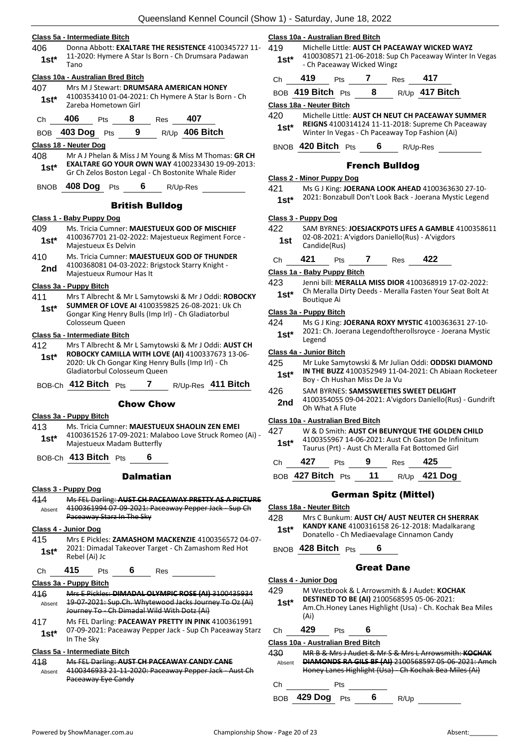#### **Class 5a - Intermediate Bitch**

406 Donna Abbott: **EXALTARE THE RESISTENCE** 4100345727 11- 11-2020: Hymere A Star Is Born - Ch Drumsara Padawan  $1$ st<sup>\*</sup> $\frac{11}{1}$ ano

#### **Class 10a - Australian Bred Bitch**

- 407 Mrs M J Stewart: **DRUMSARA AMERICAN HONEY** 4100353410 01-04-2021: Ch Hymere A Star Is Born - Ch Zareba Hometown Girl **1st\***
- Ch **406** Pts **8** Res **407**

BOB **403 Dog** Pts **9** R/Up **406 Bitch**

#### **Class 18 - Neuter Dog**

408 Mr A J Phelan & Miss J M Young & Miss M Thomas: **GR CH EXALTARE GO YOUR OWN WAY** 4100233430 19-09-2013: **1st\* EXALIARE GO YOUR OWN WAY** 4100233430 19-09-<br>Gr Ch Zelos Boston Legal - Ch Bostonite Whale Rider

BNOB **408 Dog** Pts **6** R/Up-Res

#### British Bulldog

#### **Class 1 - Baby Puppy Dog**

- 409 Ms. Tricia Cumner: **MAJESTUEUX GOD OF MISCHIEF** 4100367701 21-02-2022: Majestueux Regiment Force - Majestueux Es Delvin **1st\*** 410 Ms. Tricia Cumner: **MAJESTUEUX GOD OF THUNDER**
- 4100368081 04-03-2022: Brigstock Starry Knight 2nd <sup>4100308081</sup> 04-03-2022: B<br>Majestueux Rumour Has It

#### **Class 3a - Puppy Bitch**

411 Mrs T Albrecht & Mr L Samytowski & Mr J Oddi: **ROBOCKY SUMMER OF LOVE AI** 4100359825 26-08-2021: Uk Ch Gongar King Henry Bulls (Imp Irl) - Ch Gladiatorbul Colosseum Queen **1st\***

#### **Class 5a - Intermediate Bitch**

412 Mrs T Albrecht & Mr L Samytowski & Mr J Oddi: **AUST CH ROBOCKY CAMILLA WITH LOVE (AI)** 4100337673 13-06- 2020: Uk Ch Gongar King Henry Bulls (Imp Irl) - Ch Gladiatorbul Colosseum Queen **1st\***

BOB-Ch **412 Bitch** Pts **7** R/Up-Res **411 Bitch**

#### Chow Chow

#### **Class 3a - Puppy Bitch**

- 413 Ms. Tricia Cumner: **MAJESTUEUX SHAOLIN ZEN EMEI**
- 4100361526 17-09-2021: Malaboo Love Struck Romeo (Ai) Majestueux Madam Butterfly **1st\***

BOB-Ch **413 Bitch** Pts **6**

#### **Dalmatian**

- **Class 3 - Puppy Dog**
- 414 Ms FEL Darling: **AUST CH PACEAWAY PRETTY AS A PICTURE** 4100361994 07-09-2021: Paceaway Pepper Jack - Sup Ch Paceaway Starz In The Sky Absent

### **Class 4 - Junior Dog**

415 Mrs E Pickles: **ZAMASHOM MACKENZIE** 4100356572 04-07- 2021: Dimadal Takeover Target - Ch Zamashom Red Hot **1st**\* <sup>2021:</sup> Dimach

Ch **415** Pts **6** Res

#### **Class 3a - Puppy Bitch**

- 416 Mrs E Pickles: **DIMADAL OLYMPIC ROSE (AI)** 3100435934 19-07-2021: Sup.Ch. Whytewood Jacks Journey To Oz (Ai) Journey To - Ch Dimadal Wild With Dotz (Ai) Absent
- 417 Ms FEL Darling: **PACEAWAY PRETTY IN PINK** 4100361991 07-09-2021: Paceaway Pepper Jack - Sup Ch Paceaway Starz **1st**\*  $\frac{07-09-202}{\ln \text{The Sky}}$

## **Class 5a - Intermediate Bitch**

418 Ms FEL Darling: **AUST CH PACEAWAY CANDY CANE** 4100346933 21-11-2020: Paceaway Pepper Jack Paceaway Eye Candy Absent

#### **Class 10a - Australian Bred Bitch**

- 419 Michelle Little: **AUST CH PACEAWAY WICKED WAYZ** 4100308571 21-06-2018: Sup Ch Paceaway Winter In Vegas
	- Ch Paceaway Wicked Wingz **1st\***
	- Ch **419** Pts **7** Res **417** BOB **419 Bitch** Pts **8** R/Up **417 Bitch**

### **Class 18a - Neuter Bitch**

420 Michelle Little: **AUST CH NEUT CH PACEAWAY SUMMER REIGNS** 4100314124 11-11-2018: Supreme Ch Paceaway **1st\*** REIGNS 4100314124 11-11-2018: Supreme Ch P<br>Winter In Vegas - Ch Paceaway Top Fashion (Ai)

BNOB **420 Bitch** Pts **6** R/Up-Res

#### French Bulldog

#### **Class 2 - Minor Puppy Dog**

421 Ms G J King: **JOERANA LOOK AHEAD** 4100363630 27-10- 2021: Bonzabull Don't Look Back - Joerana Mystic Legend **1st\***

#### **Class 3 - Puppy Dog**

- 422 SAM BYRNES: **JOESJACKPOTS LIFES A GAMBLE** 4100358611 02-08-2021: A'vigdors Daniello(Rus) - A'vigdors 1st U<sup>2-U8-2U21:</sup>
- Ch **421** Pts **7** Res **422**

#### **Class 1a - Baby Puppy Bitch**

423 Jenni bill: **MERALLA MISS DIOR** 4100368919 17-02-2022: Ch Meralla Dirty Deeds - Meralla Fasten Your Seat Bolt At **1st**\* Culturation

#### **Class 3a - Puppy Bitch**

- 424 Ms G J King: **JOERANA ROXY MYSTIC** 4100363631 27-10-
- 2021: Ch. Joerana Legendoftherollsroyce Joerana Mystic **1st**\*  $\frac{2021}{1}$  Legend

#### **Class 4a - Junior Bitch**

- 425 Mr Luke Samytowski & Mr Julian Oddi: **ODDSKI DIAMOND IN THE BUZZ** 4100352949 11-04-2021: Ch Abiaan Rocketeer **1st\*** IN THE BUZZ 4100352949 11-0<br>Boy - Ch Hushan Miss De Ja Vu
- 426 SAM BYRNES: **SAMSSWEETIES SWEET DELIGHT** 4100354055 09-04-2021: A'vigdors Daniello(Rus) - Gundrift **2nd** <sup>4100354055 09-09-09</sup>

#### **Class 10a - Australian Bred Bitch**

- 427 W & D Smith: **AUST CH BEUNYQUE THE GOLDEN CHILD** 4100355967 14-06-2021: Aust Ch Gaston De Infinitum Taurus (Prt) - Aust Ch Meralla Fat Bottomed Girl **1st\***
- Ch **427** Pts **9** Res **425**
- BOB **427 Bitch** Pts **11** R/Up **421 Dog**

#### German Spitz (Mittel)

- **Class 18a - Neuter Bitch**
- 428 Mrs C Bunkum: **AUST CH/ AUST NEUTER CH SHERRAK** 
	- **KANDY KANE** 4100316158 26-12-2018: Madalkarang
	- Donatello Ch Mediaevalage Cinnamon Candy **1st\***
- BNOB **428 Bitch** Pts **6**

## Great Dane

#### **Class 4 - Junior Dog**

- 429 M Westbrook & L Arrowsmith & J Audet: **KOCHAK DESTINED TO BE (AI)** 2100568595 05-06-2021: Am.Ch.Honey Lanes Highlight (Usa) - Ch. Kochak Bea Miles (Ai) **1st\*** Ch **429** Pts **6 Class 10a - Australian Bred Bitch** 430 MR B & Mrs J Audet & Mr S & Mrs L Arrowsmith: **KOCHAK DIAMONDS RA GILS BF (AI)** 2100568597 05-06-2021: Amch
	- Honey Lanes Highlight (Usa) Ch Kochak Bea Miles (Ai) Absent

| Сh |                 | Pts |     |      |  |
|----|-----------------|-----|-----|------|--|
|    | BOB 429 Dog Pts |     | - 6 | R/Up |  |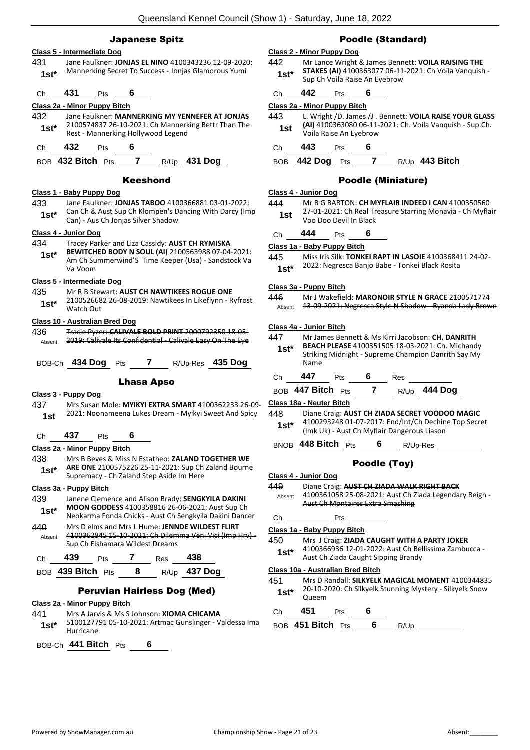### Japanese Spitz

#### **Class 5 - Intermediate Dog**

431 Jane Faulkner: **JONJAS EL NINO** 4100343236 12-09-2020: Mannerking Secret To Success - Jonjas Glamorous Yumi **1st\***

## Ch **431** Pts **6**

#### **Class 2a - Minor Puppy Bitch**

- 432 Jane Faulkner: **MANNERKING MY YENNEFER AT JONJAS** 2100574837 26-10-2021: Ch Mannerking Bettr Than The 1st\* 2100574837 26-10-2021: Ch Mannerk<br>Rest - Mannerking Hollywood Legend
- Ch **432** Pts **6**

BOB **432 Bitch** Pts **7** R/Up **431 Dog**

#### Keeshond

#### **Class 1 - Baby Puppy Dog**

- 433 Jane Faulkner: **JONJAS TABOO** 4100366881 03-01-2022:
- Can Ch & Aust Sup Ch Klompen's Dancing With Darcy (Imp **1st**\* Can Ch & Aust Sup Ch Klompen's D<br>Can) - Aus Ch Jonjas Silver Shadow

#### **Class 4 - Junior Dog**

- 434 Tracey Parker and Liza Cassidy: **AUST CH RYMISKA** 
	- **BEWITCHED BODY N SOUL (AI)** 2100563988 07-04-2021: Am Ch Summerwind'S Time Keeper (Usa) - Sandstock Va Va Voom **1st\***

#### **Class 5 - Intermediate Dog**

#### 435 Mr R B Stewart: **AUST CH NAWTIKEES ROGUE ONE**

2100526682 26-08-2019: Nawtikees In Likeflynn - Ryfrost Watch Out **1st\***

#### **Class 10 - Australian Bred Dog**

436 Tracie Pyzer: **CALIVALE BOLD PRINT** 2000792350 18-05- Absent 2019: Calivale Its Confidential - Calivale Easy On The Eye

|  | BOB-Ch 434 Dog Pts |  |  |  | R/Up-Res 435 Dog |
|--|--------------------|--|--|--|------------------|
|--|--------------------|--|--|--|------------------|

#### Lhasa Apso

#### **Class 3 - Puppy Dog**

437 Mrs Susan Mole: **MYIKYI EXTRA SMART** 4100362233 26-09- 2021: Noonameena Lukes Dream - Myikyi Sweet And Spicy **1st**

## Ch **437** Pts **6**

### **Class 2a - Minor Puppy Bitch**

438 Mrs B Beves & Miss N Estatheo: **ZALAND TOGETHER WE ARE ONE** 2100575226 25-11-2021: Sup Ch Zaland Bourne **1st\*** And UNE 21003/3220 25-11-2021: Sup Ch Supremacy - Ch Zaland Step Aside Im Here

#### **Class 3a - Puppy Bitch**

- 439 Janene Clemence and Alison Brady: **SENGKYILA DAKINI MOON GODDESS** 4100358816 26-06-2021: Aust Sup Ch **1st\* INUUN GUUULSS** 4100358816 26-06-2021: Aust Sup Ch<br>Neokarma Fonda Chicks - Aust Ch Sengkyila Dakini Dancer
- 440 Mrs D elms and Mrs L Hume: **JENNDE WILDEST FLIRT** 4100362845 15-10-2021: Ch Dilemma Veni Vici (Imp Hrv) - Sup Ch Elshamara Wildest Dreams Absent

| Ch. | 439                      | <b>Pts</b> |     | Res | 438         |
|-----|--------------------------|------------|-----|-----|-------------|
|     | $ROR$ 439 Ritch $D_{1c}$ |            | - 8 |     | P/Lin 437 D |

## BOB **439 Bitch** Pts **8** R/Up **437 Dog**

## Peruvian Hairless Dog (Med)

#### **Class 2a - Minor Puppy Bitch**

- 441 Mrs A Jarvis & Ms S Johnson: **XIOMA CHICAMA**
- 5100127791 05-10-2021: Artmac Gunslinger Valdessa Ima Hurricane **1st\***

BOB-Ch **441 Bitch** Pts **6**

## Poodle (Standard)

#### **Class 2 - Minor Puppy Dog**

- 442 Mr Lance Wright & James Bennett: **VOILA RAISING THE STAKES (AI)** 4100363077 06-11-2021: Ch Voila Vanquish - **1st\*** STAKES (AI) 4100363077 06-11<br>Sup Ch Voila Raise An Eyebrow
- Ch **442** Pts **6**

#### **Class 2a - Minor Puppy Bitch**

443 L. Wright /D. James /J . Bennett: **VOILA RAISE YOUR GLASS (AI)** 4100363080 06-11-2021: Ch. Voila Vanquish - Sup.Ch. Voila Raise An Eyebrow **1st**

### Ch **443** Pts **6**

#### BOB **442 Dog** Pts **7** R/Up **443 Bitch**

#### Poodle (Miniature)

#### **Class 4 - Junior Dog**

- 444 Mr B G BARTON: **CH MYFLAIR INDEED I CAN** 4100350560 27-01-2021: Ch Real Treasure Starring Monavia - Ch Myflair Voo Doo Devil In Black **1st**
- Ch **444** Pts **6**

#### **Class 1a - Baby Puppy Bitch**

- 445 Miss Iris Silk: **TONKEI RAPT IN LASOIE** 4100368411 24-02-
	- 2022: Negresca Banjo Babe Tonkei Black Rosita **1st\***

#### **Class 3a - Puppy Bitch**

446 Mr J Wakefield: **MARONOIR STYLE N GRACE** 2100571774 Absent 13-09-2021: Negresca Style N Shadow - Byanda Lady Brown

#### **Class 4a - Junior Bitch**

- 447 Mr James Bennett & Ms Kirri Jacobson: **CH. DANRITH BEACH PLEASE** 4100351505 18-03-2021: Ch. Michandy
	- Striking Midnight Supreme Champion Danrith Say My Name **1st\***

| Сh | 447 | Pts | 6 | Res |
|----|-----|-----|---|-----|
|    |     |     |   |     |

BOB **447 Bitch** Pts **7** R/Up **444 Dog**

**Class 18a - Neuter Bitch**

448 Diane Craig: **AUST CH ZIADA SECRET VOODOO MAGIC** 4100293248 01-07-2017: End/Int/Ch Dechine Top Secret (Imk Uk) - Aust Ch Myflair Dangerous Liason **1st\***

BNOB **448 Bitch** Pts **6** R/Up-Res

## Poodle (Toy)

- **Class 4 - Junior Dog**
- 449 Diane Craig: **AUST CH ZIADA WALK RIGHT BACK** 4100361058 25-08-2021: Aust Ch Ziada Legendary Reign Aust Ch Montaires Extra Smashing Absent Ch Pts **Class 1a - Baby Puppy Bitch** 450 Mrs J Craig: **ZIADA CAUGHT WITH A PARTY JOKER** 4100366936 12-01-2022: Aust Ch Bellissima Zambucca - **1st** 4100366936 12-01-2022: Aust Ch Bell<br>Aust Ch Ziada Caught Sipping Brandy

#### **Class 10a - Australian Bred Bitch**

451 Mrs D Randall: **SILKYELK MAGICAL MOMENT** 4100344835 20-10-2020: Ch Silkyelk Stunning Mystery - Silkyelk Snow **1st**\*  $\frac{20-10-2}{\text{Queen}}$ 

## Ch **451** Pts **6**

BOB **451 Bitch** Pts **6** R/Up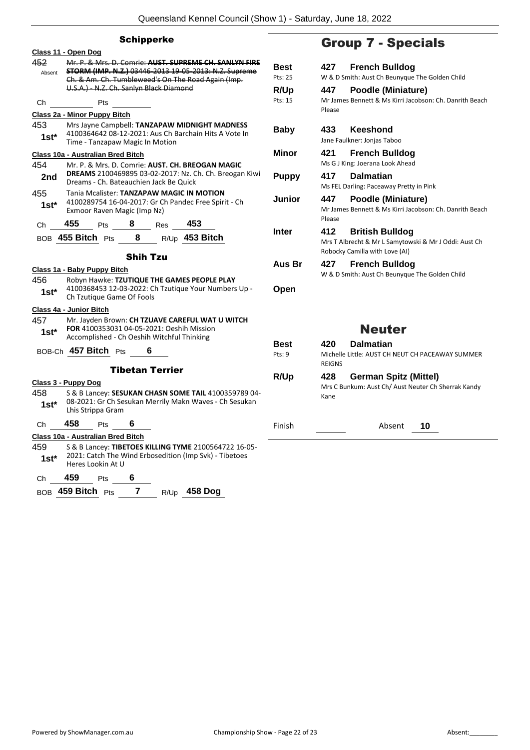|                | <b>Group 7</b>                                                                                                                                                                                                                          |                                |                                                             |
|----------------|-----------------------------------------------------------------------------------------------------------------------------------------------------------------------------------------------------------------------------------------|--------------------------------|-------------------------------------------------------------|
| 452<br>Absent  | Class 11 - Open Dog<br>Mr. P. & Mrs. D. Comrie: AUST. SUPREME CH. SANLYN FIRE<br>STORM (IMP. N.Z.) 03446-2013 19-05-2013: N.Z. Supreme<br>Ch. & Am. Ch. Tumbleweed's On The Road Again (Imp.<br>U.S.A.) - N.Z. Ch. Sanlyn Black Diamond | <b>Best</b><br>Pts: 25<br>R/Up | 427<br>Freno<br>W & D Smith: Aus<br>447<br>Pood             |
| Ch             | Pts                                                                                                                                                                                                                                     | Pts: 15                        | Mr James Bennet                                             |
|                | Class 2a - Minor Puppy Bitch                                                                                                                                                                                                            |                                | Please                                                      |
| 453<br>$1st*$  | Mrs Jayne Campbell: TANZAPAW MIDNIGHT MADNESS<br>4100364642 08-12-2021: Aus Ch Barchain Hits A Vote In<br>Time - Tanzapaw Magic In Motion                                                                                               | <b>Baby</b>                    | 433<br>Kees<br>Jane Faulkner: Jor                           |
|                | Class 10a - Australian Bred Bitch                                                                                                                                                                                                       | Minor                          | 421<br>Freno                                                |
| 454<br>2nd     | Mr. P. & Mrs. D. Comrie: AUST. CH. BREOGAN MAGIC<br><b>DREAMS</b> 2100469895 03-02-2017: Nz. Ch. Ch. Breogan Kiwi<br>Dreams - Ch. Bateauchien Jack Be Quick                                                                             | <b>Puppy</b>                   | Ms G J King: Joera<br>417<br>Dalm                           |
| 455<br>$1st^*$ | Tania Mcalister: TANZAPAW MAGIC IN MOTION<br>4100289754 16-04-2017: Gr Ch Pandec Free Spirit - Ch<br>Exmoor Raven Magic (Imp Nz)                                                                                                        | Junior                         | Ms FEL Darling: P.<br>447<br>Pood<br>Mr James Bennet        |
| Ch             | 455<br>Pts 8<br>453<br>Res                                                                                                                                                                                                              |                                | Please                                                      |
|                | R/Up 453 Bitch<br>$\overline{\mathbf{8}}$<br>BOB $455$ Bitch $Pts$                                                                                                                                                                      | Inter                          | 412<br><b>Britis</b><br>Mrs T Albrecht &<br>Robocky Camilla |
|                | <b>Shih Tzu</b>                                                                                                                                                                                                                         | Aus Br                         | 427<br>Freno                                                |
|                | Class 1a - Baby Puppy Bitch                                                                                                                                                                                                             |                                | W & D Smith: Aus                                            |
| 456<br>1st*    | Robyn Hawke: TZUTIQUE THE GAMES PEOPLE PLAY<br>4100368453 12-03-2022: Ch Tzutique Your Numbers Up -<br>Ch Tzutique Game Of Fools                                                                                                        | Open                           |                                                             |
|                | Class 4a - Junior Bitch                                                                                                                                                                                                                 |                                |                                                             |
| 457<br>1st*    | Mr. Jayden Brown: CH TZUAVE CAREFUL WAT U WITCH<br>FOR 4100353031 04-05-2021: Oeshih Mission<br>Accomplished - Ch Oeshih Witchful Thinking                                                                                              |                                | N                                                           |
|                | BOB-Ch 457 Bitch Pts<br>6                                                                                                                                                                                                               | <b>Best</b><br>Pts: 9          | 420<br>Dalm<br>Michelle Little: Al<br><b>REIGNS</b>         |
|                | <b>Tibetan Terrier</b>                                                                                                                                                                                                                  | R/Up                           | 428<br>Germ                                                 |
| 458<br>1st*    | Class 3 - Puppy Dog<br>S & B Lancey: SESUKAN CHASN SOME TAIL 4100359789 04-<br>08-2021: Gr Ch Sesukan Merrily Makn Waves - Ch Sesukan<br>Lhis Strippa Gram                                                                              |                                | Mrs C Bunkum: A<br>Kane                                     |
| Ch             | 458<br>Pts<br>6                                                                                                                                                                                                                         | Finish                         |                                                             |
|                | Class 10a - Australian Bred Bitch                                                                                                                                                                                                       |                                |                                                             |
| 459<br>1st*    | S & B Lancey: TIBETOES KILLING TYME 2100564722 16-05-<br>2021: Catch The Wind Erbosedition (Imp Svk) - Tibetoes<br>Heres Lookin At U                                                                                                    |                                |                                                             |
| Ch             | 459<br>6<br>Pts                                                                                                                                                                                                                         |                                |                                                             |
|                | BOB 459 Bitch Pts<br>7<br><b>458 Dog</b><br>R/Up                                                                                                                                                                                        |                                |                                                             |

## 7 - Specials

|               | <b>Best</b>  | <b>French Bulldog</b><br>427                                                                                             |  |
|---------------|--------------|--------------------------------------------------------------------------------------------------------------------------|--|
|               | Pts: 25      | W & D Smith: Aust Ch Beunyque The Golden Child                                                                           |  |
|               | R/Up         | 447<br>Poodle (Miniature)                                                                                                |  |
|               | Pts: 15      | Mr James Bennett & Ms Kirri Jacobson: Ch. Danrith Beach<br>Please                                                        |  |
|               | Baby         | <b>Keeshond</b><br>433<br>Jane Faulkner: Jonjas Taboo                                                                    |  |
|               | <b>Minor</b> | 421<br><b>French Bulldog</b><br>Ms G J King: Joerana Look Ahead                                                          |  |
| vi            | <b>Puppy</b> | 417<br><b>Dalmatian</b><br>Ms FEL Darling: Paceaway Pretty in Pink                                                       |  |
|               | Junior       | Poodle (Miniature)<br>447<br>Mr James Bennett & Ms Kirri Jacobson: Ch. Danrith Beach<br>Please                           |  |
|               | <b>Inter</b> | 412<br><b>British Bulldog</b><br>Mrs T Albrecht & Mr L Samytowski & Mr J Oddi: Aust Ch<br>Robocky Camilla with Love (AI) |  |
|               | Aus Br       | 427<br><b>French Bulldog</b><br>W & D Smith: Aust Ch Beunyque The Golden Child                                           |  |
|               | Open         |                                                                                                                          |  |
| <b>Neuter</b> |              |                                                                                                                          |  |
|               | <b>Best</b>  | <b>Dalmatian</b><br>420                                                                                                  |  |
|               | Pts: 9       | Michelle Little: AUST CH NEUT CH PACEAWAY SUMMER<br><b>REIGNS</b>                                                        |  |
|               | R/Up         | 428<br><b>German Spitz (Mittel)</b>                                                                                      |  |
| 1-            |              | Mrs C Bunkum: Aust Ch/ Aust Neuter Ch Sherrak Kandy<br>Kane                                                              |  |
|               | Finish       | Absent<br>10                                                                                                             |  |